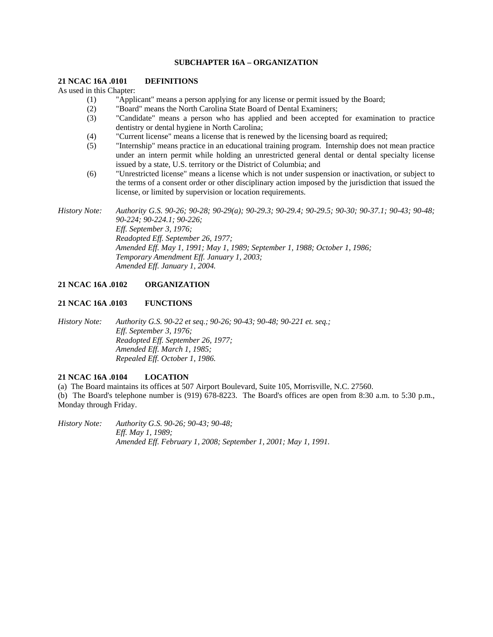### **SUBCHAPTER 16A – ORGANIZATION**

#### **21 NCAC 16A .0101 DEFINITIONS**

As used in this Chapter:

- (1) "Applicant" means a person applying for any license or permit issued by the Board;
- (2) "Board" means the North Carolina State Board of Dental Examiners;
- (3) "Candidate" means a person who has applied and been accepted for examination to practice dentistry or dental hygiene in North Carolina;
- (4) "Current license" means a license that is renewed by the licensing board as required;
- (5) "Internship" means practice in an educational training program. Internship does not mean practice under an intern permit while holding an unrestricted general dental or dental specialty license issued by a state, U.S. territory or the District of Columbia; and
- (6) "Unrestricted license" means a license which is not under suspension or inactivation, or subject to the terms of a consent order or other disciplinary action imposed by the jurisdiction that issued the license, or limited by supervision or location requirements.

*History Note: Authority G.S. 90-26; 90-28; 90-29(a); 90-29.3; 90-29.4; 90-29.5; 90-30; 90-37.1; 90-43; 90-48; 90-224; 90-224.1; 90-226; Eff. September 3, 1976; Readopted Eff. September 26, 1977; Amended Eff. May 1, 1991; May 1, 1989; September 1, 1988; October 1, 1986; Temporary Amendment Eff. January 1, 2003; Amended Eff. January 1, 2004.* 

#### **21 NCAC 16A .0102 ORGANIZATION**

#### **21 NCAC 16A .0103 FUNCTIONS**

*History Note: Authority G.S. 90-22 et seq.; 90-26; 90-43; 90-48; 90-221 et. seq.; Eff. September 3, 1976; Readopted Eff. September 26, 1977; Amended Eff. March 1, 1985; Repealed Eff. October 1, 1986.* 

# **21 NCAC 16A .0104 LOCATION**

(a) The Board maintains its offices at 507 Airport Boulevard, Suite 105, Morrisville, N.C. 27560. (b) The Board's telephone number is (919) 678-8223. The Board's offices are open from 8:30 a.m. to 5:30 p.m., Monday through Friday.

*History Note: Authority G.S. 90-26; 90-43; 90-48; Eff. May 1, 1989; Amended Eff. February 1, 2008; September 1, 2001; May 1, 1991.*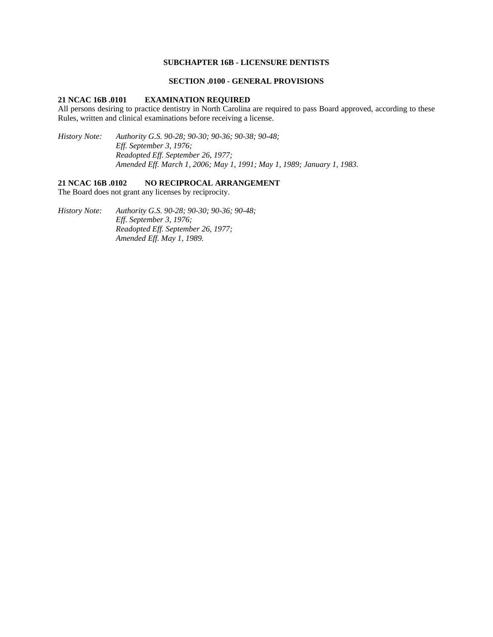# **SUBCHAPTER 16B - LICENSURE DENTISTS**

### **SECTION .0100 - GENERAL PROVISIONS**

#### **21 NCAC 16B .0101 EXAMINATION REQUIRED**

All persons desiring to practice dentistry in North Carolina are required to pass Board approved, according to these Rules, written and clinical examinations before receiving a license.

*History Note: Authority G.S. 90-28; 90-30; 90-36; 90-38; 90-48; Eff. September 3, 1976; Readopted Eff. September 26, 1977; Amended Eff. March 1, 2006; May 1, 1991; May 1, 1989; January 1, 1983.* 

### **21 NCAC 16B .0102 NO RECIPROCAL ARRANGEMENT**

The Board does not grant any licenses by reciprocity.

*History Note: Authority G.S. 90-28; 90-30; 90-36; 90-48; Eff. September 3, 1976; Readopted Eff. September 26, 1977; Amended Eff. May 1, 1989.*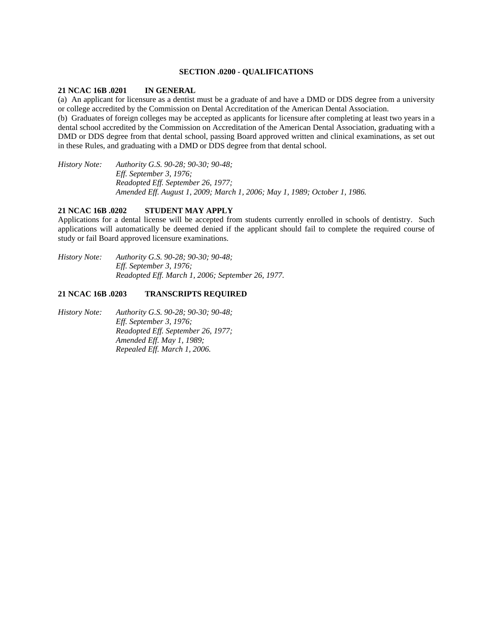### **SECTION .0200 - QUALIFICATIONS**

### **21 NCAC 16B .0201 IN GENERAL**

(a) An applicant for licensure as a dentist must be a graduate of and have a DMD or DDS degree from a university or college accredited by the Commission on Dental Accreditation of the American Dental Association.

(b) Graduates of foreign colleges may be accepted as applicants for licensure after completing at least two years in a dental school accredited by the Commission on Accreditation of the American Dental Association, graduating with a DMD or DDS degree from that dental school, passing Board approved written and clinical examinations, as set out in these Rules, and graduating with a DMD or DDS degree from that dental school.

*History Note: Authority G.S. 90-28; 90-30; 90-48; Eff. September 3, 1976; Readopted Eff. September 26, 1977; Amended Eff. August 1, 2009; March 1, 2006; May 1, 1989; October 1, 1986.* 

# **21 NCAC 16B .0202 STUDENT MAY APPLY**

Applications for a dental license will be accepted from students currently enrolled in schools of dentistry. Such applications will automatically be deemed denied if the applicant should fail to complete the required course of study or fail Board approved licensure examinations.

*History Note: Authority G.S. 90-28; 90-30; 90-48; Eff. September 3, 1976; Readopted Eff. March 1, 2006; September 26, 1977.* 

# **21 NCAC 16B .0203 TRANSCRIPTS REQUIRED**

*History Note: Authority G.S. 90-28; 90-30; 90-48; Eff. September 3, 1976; Readopted Eff. September 26, 1977; Amended Eff. May 1, 1989; Repealed Eff. March 1, 2006.*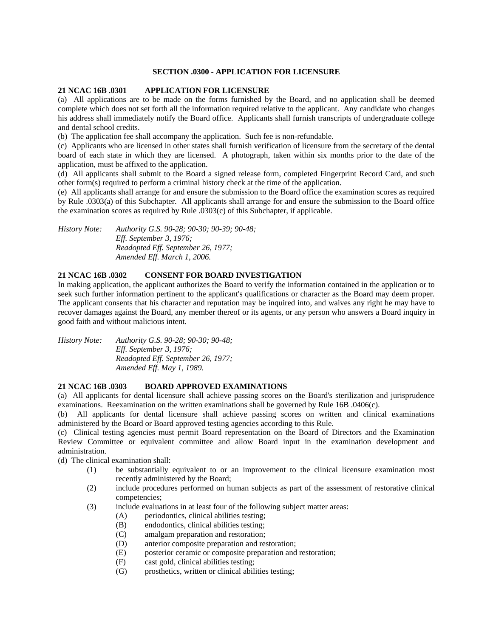# **SECTION .0300 - APPLICATION FOR LICENSURE**

### **21 NCAC 16B .0301 APPLICATION FOR LICENSURE**

(a) All applications are to be made on the forms furnished by the Board, and no application shall be deemed complete which does not set forth all the information required relative to the applicant. Any candidate who changes his address shall immediately notify the Board office. Applicants shall furnish transcripts of undergraduate college and dental school credits.

(b) The application fee shall accompany the application. Such fee is non-refundable.

(c) Applicants who are licensed in other states shall furnish verification of licensure from the secretary of the dental board of each state in which they are licensed. A photograph, taken within six months prior to the date of the application, must be affixed to the application.

(d) All applicants shall submit to the Board a signed release form, completed Fingerprint Record Card, and such other form(s) required to perform a criminal history check at the time of the application.

(e) All applicants shall arrange for and ensure the submission to the Board office the examination scores as required by Rule .0303(a) of this Subchapter. All applicants shall arrange for and ensure the submission to the Board office the examination scores as required by Rule .0303(c) of this Subchapter, if applicable.

*History Note: Authority G.S. 90-28; 90-30; 90-39; 90-48; Eff. September 3, 1976; Readopted Eff. September 26, 1977; Amended Eff. March 1, 2006.* 

# **21 NCAC 16B .0302 CONSENT FOR BOARD INVESTIGATION**

In making application, the applicant authorizes the Board to verify the information contained in the application or to seek such further information pertinent to the applicant's qualifications or character as the Board may deem proper. The applicant consents that his character and reputation may be inquired into, and waives any right he may have to recover damages against the Board, any member thereof or its agents, or any person who answers a Board inquiry in good faith and without malicious intent.

*History Note: Authority G.S. 90-28; 90-30; 90-48; Eff. September 3, 1976; Readopted Eff. September 26, 1977; Amended Eff. May 1, 1989.* 

### **21 NCAC 16B .0303 BOARD APPROVED EXAMINATIONS**

(a) All applicants for dental licensure shall achieve passing scores on the Board's sterilization and jurisprudence examinations. Reexamination on the written examinations shall be governed by Rule 16B .0406(c).

(b) All applicants for dental licensure shall achieve passing scores on written and clinical examinations administered by the Board or Board approved testing agencies according to this Rule.

(c) Clinical testing agencies must permit Board representation on the Board of Directors and the Examination Review Committee or equivalent committee and allow Board input in the examination development and administration.

(d) The clinical examination shall:

- (1) be substantially equivalent to or an improvement to the clinical licensure examination most recently administered by the Board;
- (2) include procedures performed on human subjects as part of the assessment of restorative clinical competencies;
- (3) include evaluations in at least four of the following subject matter areas:
	- (A) periodontics, clinical abilities testing;
	- (B) endodontics, clinical abilities testing;
	- (C) amalgam preparation and restoration;
	- (D) anterior composite preparation and restoration;
	- (E) posterior ceramic or composite preparation and restoration;
	- (F) cast gold, clinical abilities testing;
	- (G) prosthetics, written or clinical abilities testing;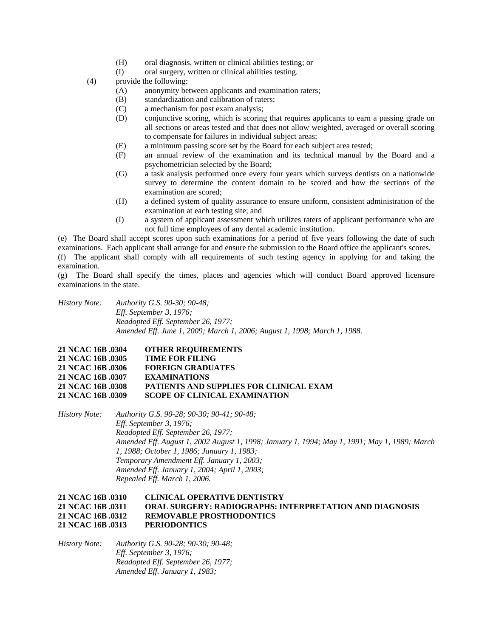- (H) oral diagnosis, written or clinical abilities testing; or
- (I) oral surgery, written or clinical abilities testing.
- (4) provide the following:
	- (A) anonymity between applicants and examination raters;
	- (B) standardization and calibration of raters;
	- (C) a mechanism for post exam analysis;
	- (D) conjunctive scoring, which is scoring that requires applicants to earn a passing grade on all sections or areas tested and that does not allow weighted, averaged or overall scoring to compensate for failures in individual subject areas;
	- (E) a minimum passing score set by the Board for each subject area tested;
	- (F) an annual review of the examination and its technical manual by the Board and a psychometrician selected by the Board;
	- (G) a task analysis performed once every four years which surveys dentists on a nationwide survey to determine the content domain to be scored and how the sections of the examination are scored;
	- (H) a defined system of quality assurance to ensure uniform, consistent administration of the examination at each testing site; and
	- (I) a system of applicant assessment which utilizes raters of applicant performance who are not full time employees of any dental academic institution.

(e) The Board shall accept scores upon such examinations for a period of five years following the date of such examinations. Each applicant shall arrange for and ensure the submission to the Board office the applicant's scores.

(f) The applicant shall comply with all requirements of such testing agency in applying for and taking the examination.

(g) The Board shall specify the times, places and agencies which will conduct Board approved licensure examinations in the state.

*History Note: Authority G.S. 90-30; 90-48; Eff. September 3, 1976; Readopted Eff. September 26, 1977; Amended Eff. June 1, 2009; March 1, 2006; August 1, 1998; March 1, 1988.* 

| 21 NCAC 16B .0304 | <b>OTHER REOUIREMENTS</b>                      |
|-------------------|------------------------------------------------|
| 21 NCAC 16B 0305  | <b>TIME FOR FILING</b>                         |
| 21 NCAC 16B 0306  | <b>FOREIGN GRADUATES</b>                       |
| 21 NCAC 16B 0307  | <b>EXAMINATIONS</b>                            |
| 21 NCAC 16B 0308  | <b>PATIENTS AND SUPPLIES FOR CLINICAL EXAM</b> |
| 21 NCAC 16B .0309 | <b>SCOPE OF CLINICAL EXAMINATION</b>           |

*History Note: Authority G.S. 90-28; 90-30; 90-41; 90-48; Eff. September 3, 1976; Readopted Eff. September 26, 1977; Amended Eff. August 1, 2002 August 1, 1998; January 1, 1994; May 1, 1991; May 1, 1989; March 1, 1988; October 1, 1986; January 1, 1983; Temporary Amendment Eff. January 1, 2003; Amended Eff. January 1, 2004; April 1, 2003; Repealed Eff. March 1, 2006.* 

# **21 NCAC 16B .0310 CLINICAL OPERATIVE DENTISTRY 21 NCAC 16B .0311 ORAL SURGERY: RADIOGRAPHS: INTERPRETATION AND DIAGNOSIS 21 NCAC 16B .0312 REMOVABLE PROSTHODONTICS 21 NCAC 16B .0313 PERIODONTICS**

*History Note: Authority G.S. 90-28; 90-30; 90-48; Eff. September 3, 1976; Readopted Eff. September 26, 1977; Amended Eff. January 1, 1983;*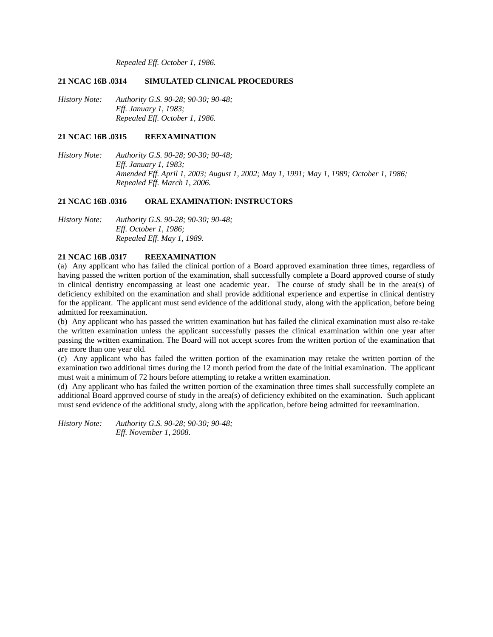*Repealed Eff. October 1, 1986.* 

### **21 NCAC 16B .0314 SIMULATED CLINICAL PROCEDURES**

*History Note: Authority G.S. 90-28; 90-30; 90-48; Eff. January 1, 1983; Repealed Eff. October 1, 1986.* 

### **21 NCAC 16B .0315 REEXAMINATION**

*History Note: Authority G.S. 90-28; 90-30; 90-48; Eff. January 1, 1983; Amended Eff. April 1, 2003; August 1, 2002; May 1, 1991; May 1, 1989; October 1, 1986; Repealed Eff. March 1, 2006.* 

#### **21 NCAC 16B .0316 ORAL EXAMINATION: INSTRUCTORS**

*History Note: Authority G.S. 90-28; 90-30; 90-48; Eff. October 1, 1986; Repealed Eff. May 1, 1989.* 

# **21 NCAC 16B .0317 REEXAMINATION**

(a) Any applicant who has failed the clinical portion of a Board approved examination three times, regardless of having passed the written portion of the examination, shall successfully complete a Board approved course of study in clinical dentistry encompassing at least one academic year. The course of study shall be in the area(s) of deficiency exhibited on the examination and shall provide additional experience and expertise in clinical dentistry for the applicant. The applicant must send evidence of the additional study, along with the application, before being admitted for reexamination.

(b) Any applicant who has passed the written examination but has failed the clinical examination must also re-take the written examination unless the applicant successfully passes the clinical examination within one year after passing the written examination. The Board will not accept scores from the written portion of the examination that are more than one year old.

(c) Any applicant who has failed the written portion of the examination may retake the written portion of the examination two additional times during the 12 month period from the date of the initial examination. The applicant must wait a minimum of 72 hours before attempting to retake a written examination.

(d) Any applicant who has failed the written portion of the examination three times shall successfully complete an additional Board approved course of study in the area(s) of deficiency exhibited on the examination. Such applicant must send evidence of the additional study, along with the application, before being admitted for reexamination.

*History Note: Authority G.S. 90-28; 90-30; 90-48; Eff. November 1, 2008.*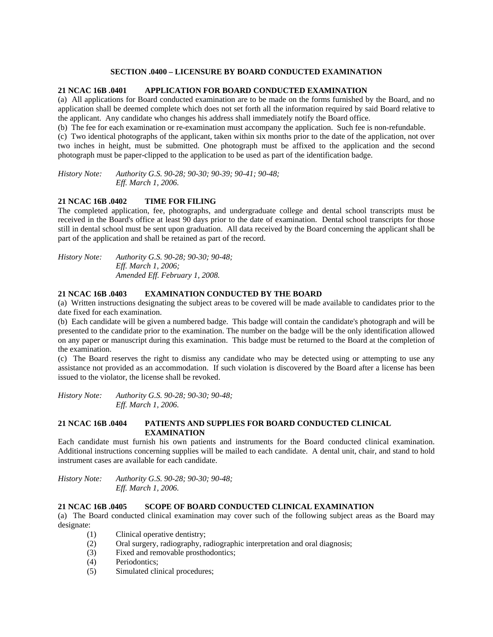# **SECTION .0400 – LICENSURE BY BOARD CONDUCTED EXAMINATION**

# **21 NCAC 16B .0401 APPLICATION FOR BOARD CONDUCTED EXAMINATION**

(a) All applications for Board conducted examination are to be made on the forms furnished by the Board, and no application shall be deemed complete which does not set forth all the information required by said Board relative to the applicant. Any candidate who changes his address shall immediately notify the Board office.

(b) The fee for each examination or re-examination must accompany the application. Such fee is non-refundable.

(c) Two identical photographs of the applicant, taken within six months prior to the date of the application, not over two inches in height, must be submitted. One photograph must be affixed to the application and the second photograph must be paper-clipped to the application to be used as part of the identification badge.

*History Note: Authority G.S. 90-28; 90-30; 90-39; 90-41; 90-48; Eff. March 1, 2006.* 

# **21 NCAC 16B .0402 TIME FOR FILING**

The completed application, fee, photographs, and undergraduate college and dental school transcripts must be received in the Board's office at least 90 days prior to the date of examination. Dental school transcripts for those still in dental school must be sent upon graduation. All data received by the Board concerning the applicant shall be part of the application and shall be retained as part of the record.

*History Note: Authority G.S. 90-28; 90-30; 90-48; Eff. March 1, 2006; Amended Eff. February 1, 2008.* 

# **21 NCAC 16B .0403 EXAMINATION CONDUCTED BY THE BOARD**

(a) Written instructions designating the subject areas to be covered will be made available to candidates prior to the date fixed for each examination.

(b) Each candidate will be given a numbered badge. This badge will contain the candidate's photograph and will be presented to the candidate prior to the examination. The number on the badge will be the only identification allowed on any paper or manuscript during this examination. This badge must be returned to the Board at the completion of the examination.

(c) The Board reserves the right to dismiss any candidate who may be detected using or attempting to use any assistance not provided as an accommodation. If such violation is discovered by the Board after a license has been issued to the violator, the license shall be revoked.

*History Note: Authority G.S. 90-28; 90-30; 90-48; Eff. March 1, 2006.* 

# **21 NCAC 16B .0404 PATIENTS AND SUPPLIES FOR BOARD CONDUCTED CLINICAL EXAMINATION**

Each candidate must furnish his own patients and instruments for the Board conducted clinical examination. Additional instructions concerning supplies will be mailed to each candidate. A dental unit, chair, and stand to hold instrument cases are available for each candidate.

*History Note: Authority G.S. 90-28; 90-30; 90-48; Eff. March 1, 2006.* 

# **21 NCAC 16B .0405 SCOPE OF BOARD CONDUCTED CLINICAL EXAMINATION**

(a) The Board conducted clinical examination may cover such of the following subject areas as the Board may designate:

- (1) Clinical operative dentistry;
- (2) Oral surgery, radiography, radiographic interpretation and oral diagnosis;
- (3) Fixed and removable prosthodontics;
- (4) Periodontics;
- (5) Simulated clinical procedures;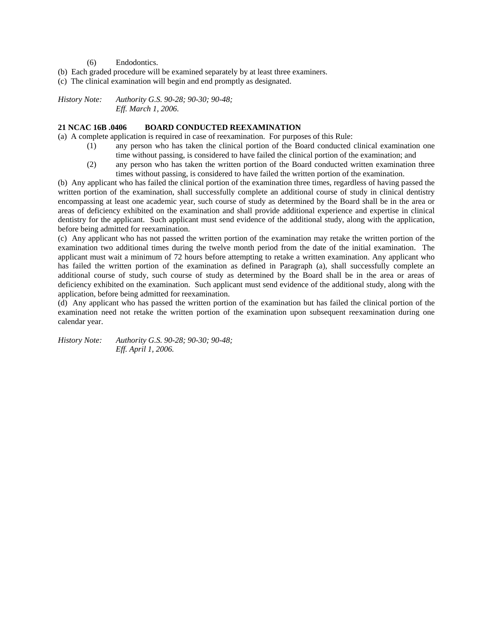- (6) Endodontics.
- (b) Each graded procedure will be examined separately by at least three examiners.

(c) The clinical examination will begin and end promptly as designated.

*History Note: Authority G.S. 90-28; 90-30; 90-48; Eff. March 1, 2006.* 

### **21 NCAC 16B .0406 BOARD CONDUCTED REEXAMINATION**

(a) A complete application is required in case of reexamination. For purposes of this Rule:

- (1) any person who has taken the clinical portion of the Board conducted clinical examination one time without passing, is considered to have failed the clinical portion of the examination; and
- (2) any person who has taken the written portion of the Board conducted written examination three times without passing, is considered to have failed the written portion of the examination.

(b) Any applicant who has failed the clinical portion of the examination three times, regardless of having passed the written portion of the examination, shall successfully complete an additional course of study in clinical dentistry encompassing at least one academic year, such course of study as determined by the Board shall be in the area or areas of deficiency exhibited on the examination and shall provide additional experience and expertise in clinical dentistry for the applicant. Such applicant must send evidence of the additional study, along with the application, before being admitted for reexamination.

(c) Any applicant who has not passed the written portion of the examination may retake the written portion of the examination two additional times during the twelve month period from the date of the initial examination. The applicant must wait a minimum of 72 hours before attempting to retake a written examination. Any applicant who has failed the written portion of the examination as defined in Paragraph (a), shall successfully complete an additional course of study, such course of study as determined by the Board shall be in the area or areas of deficiency exhibited on the examination. Such applicant must send evidence of the additional study, along with the application, before being admitted for reexamination.

(d) Any applicant who has passed the written portion of the examination but has failed the clinical portion of the examination need not retake the written portion of the examination upon subsequent reexamination during one calendar year.

*History Note: Authority G.S. 90-28; 90-30; 90-48; Eff. April 1, 2006.*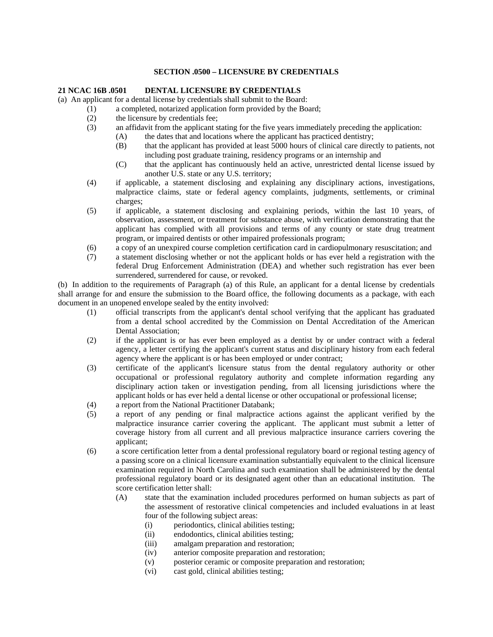### **SECTION .0500 – LICENSURE BY CREDENTIALS**

### **21 NCAC 16B .0501 DENTAL LICENSURE BY CREDENTIALS**

(a) An applicant for a dental license by credentials shall submit to the Board:

- (1) a completed, notarized application form provided by the Board;
- (2) the licensure by credentials fee;
- (3) an affidavit from the applicant stating for the five years immediately preceding the application:
	- (A) the dates that and locations where the applicant has practiced dentistry;
		- (B) that the applicant has provided at least 5000 hours of clinical care directly to patients, not including post graduate training, residency programs or an internship and
		- (C) that the applicant has continuously held an active, unrestricted dental license issued by another U.S. state or any U.S. territory;
- (4) if applicable, a statement disclosing and explaining any disciplinary actions, investigations, malpractice claims, state or federal agency complaints, judgments, settlements, or criminal charges;
- (5) if applicable, a statement disclosing and explaining periods, within the last 10 years, of observation, assessment, or treatment for substance abuse, with verification demonstrating that the applicant has complied with all provisions and terms of any county or state drug treatment program, or impaired dentists or other impaired professionals program;
- (6) a copy of an unexpired course completion certification card in cardiopulmonary resuscitation; and
- (7) a statement disclosing whether or not the applicant holds or has ever held a registration with the federal Drug Enforcement Administration (DEA) and whether such registration has ever been surrendered, surrendered for cause, or revoked.

(b) In addition to the requirements of Paragraph (a) of this Rule, an applicant for a dental license by credentials shall arrange for and ensure the submission to the Board office, the following documents as a package, with each document in an unopened envelope sealed by the entity involved:

- (1) official transcripts from the applicant's dental school verifying that the applicant has graduated from a dental school accredited by the Commission on Dental Accreditation of the American Dental Association;
- (2) if the applicant is or has ever been employed as a dentist by or under contract with a federal agency, a letter certifying the applicant's current status and disciplinary history from each federal agency where the applicant is or has been employed or under contract;
- (3) certificate of the applicant's licensure status from the dental regulatory authority or other occupational or professional regulatory authority and complete information regarding any disciplinary action taken or investigation pending, from all licensing jurisdictions where the applicant holds or has ever held a dental license or other occupational or professional license;
- (4) a report from the National Practitioner Databank;
- (5) a report of any pending or final malpractice actions against the applicant verified by the malpractice insurance carrier covering the applicant. The applicant must submit a letter of coverage history from all current and all previous malpractice insurance carriers covering the applicant;
- (6) a score certification letter from a dental professional regulatory board or regional testing agency of a passing score on a clinical licensure examination substantially equivalent to the clinical licensure examination required in North Carolina and such examination shall be administered by the dental professional regulatory board or its designated agent other than an educational institution. The score certification letter shall:
	- (A) state that the examination included procedures performed on human subjects as part of the assessment of restorative clinical competencies and included evaluations in at least four of the following subject areas:
		- (i) periodontics, clinical abilities testing;
		- (ii) endodontics, clinical abilities testing;
		- (iii) amalgam preparation and restoration;
		- (iv) anterior composite preparation and restoration;
		- (v) posterior ceramic or composite preparation and restoration;
		- (vi) cast gold, clinical abilities testing;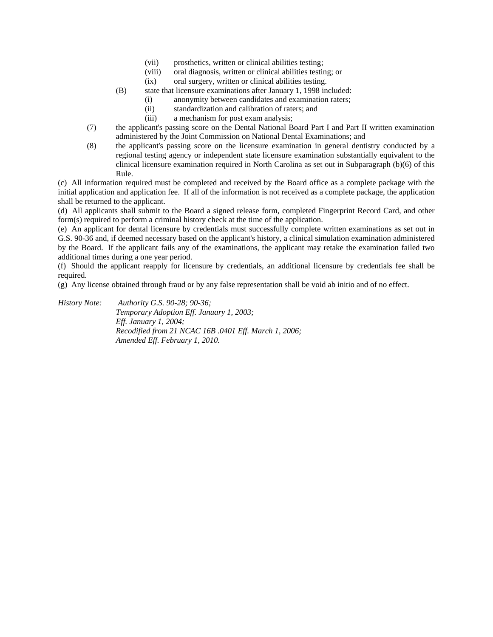- (vii) prosthetics, written or clinical abilities testing;
- (viii) oral diagnosis, written or clinical abilities testing; or
- (ix) oral surgery, written or clinical abilities testing.
- (B) state that licensure examinations after January 1, 1998 included:
	- (i) anonymity between candidates and examination raters;
	- (ii) standardization and calibration of raters; and
	- (iii) a mechanism for post exam analysis;
- (7) the applicant's passing score on the Dental National Board Part I and Part II written examination administered by the Joint Commission on National Dental Examinations; and
- (8) the applicant's passing score on the licensure examination in general dentistry conducted by a regional testing agency or independent state licensure examination substantially equivalent to the clinical licensure examination required in North Carolina as set out in Subparagraph (b)(6) of this Rule.

(c) All information required must be completed and received by the Board office as a complete package with the initial application and application fee. If all of the information is not received as a complete package, the application shall be returned to the applicant.

(d) All applicants shall submit to the Board a signed release form, completed Fingerprint Record Card, and other form(s) required to perform a criminal history check at the time of the application.

(e) An applicant for dental licensure by credentials must successfully complete written examinations as set out in G.S. 90-36 and, if deemed necessary based on the applicant's history, a clinical simulation examination administered by the Board. If the applicant fails any of the examinations, the applicant may retake the examination failed two additional times during a one year period.

(f) Should the applicant reapply for licensure by credentials, an additional licensure by credentials fee shall be required.

(g) Any license obtained through fraud or by any false representation shall be void ab initio and of no effect.

*History Note: Authority G.S. 90-28; 90-36; Temporary Adoption Eff. January 1, 2003; Eff. January 1, 2004; Recodified from 21 NCAC 16B .0401 Eff. March 1, 2006; Amended Eff. February 1, 2010.*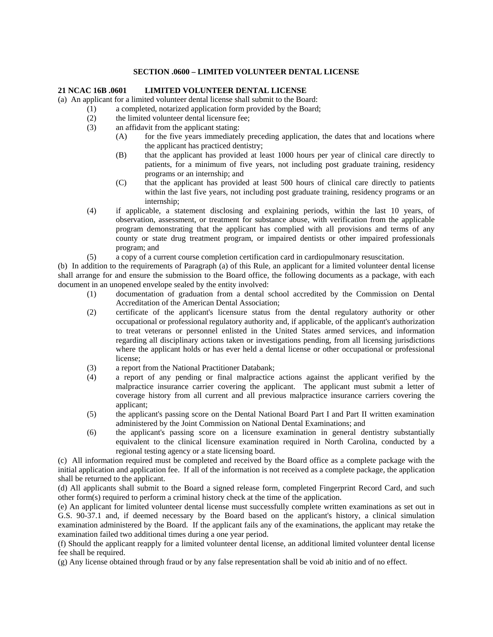## **SECTION .0600 – LIMITED VOLUNTEER DENTAL LICENSE**

# **21 NCAC 16B .0601 LIMITED VOLUNTEER DENTAL LICENSE**

(a) An applicant for a limited volunteer dental license shall submit to the Board:

- (1) a completed, notarized application form provided by the Board;
- (2) the limited volunteer dental licensure fee;
- (3) an affidavit from the applicant stating:
	- (A) for the five years immediately preceding application, the dates that and locations where the applicant has practiced dentistry;
	- (B) that the applicant has provided at least 1000 hours per year of clinical care directly to patients, for a minimum of five years, not including post graduate training, residency programs or an internship; and
	- (C) that the applicant has provided at least 500 hours of clinical care directly to patients within the last five years, not including post graduate training, residency programs or an internship;
- (4) if applicable, a statement disclosing and explaining periods, within the last 10 years, of observation, assessment, or treatment for substance abuse, with verification from the applicable program demonstrating that the applicant has complied with all provisions and terms of any county or state drug treatment program, or impaired dentists or other impaired professionals program; and
- (5) a copy of a current course completion certification card in cardiopulmonary resuscitation.

(b) In addition to the requirements of Paragraph (a) of this Rule, an applicant for a limited volunteer dental license shall arrange for and ensure the submission to the Board office, the following documents as a package, with each document in an unopened envelope sealed by the entity involved:

- (1) documentation of graduation from a dental school accredited by the Commission on Dental Accreditation of the American Dental Association;
- (2) certificate of the applicant's licensure status from the dental regulatory authority or other occupational or professional regulatory authority and, if applicable, of the applicant's authorization to treat veterans or personnel enlisted in the United States armed services, and information regarding all disciplinary actions taken or investigations pending, from all licensing jurisdictions where the applicant holds or has ever held a dental license or other occupational or professional license;
- (3) a report from the National Practitioner Databank;
- (4) a report of any pending or final malpractice actions against the applicant verified by the malpractice insurance carrier covering the applicant. The applicant must submit a letter of coverage history from all current and all previous malpractice insurance carriers covering the applicant;
- (5) the applicant's passing score on the Dental National Board Part I and Part II written examination administered by the Joint Commission on National Dental Examinations; and
- (6) the applicant's passing score on a licensure examination in general dentistry substantially equivalent to the clinical licensure examination required in North Carolina, conducted by a regional testing agency or a state licensing board.

(c) All information required must be completed and received by the Board office as a complete package with the initial application and application fee. If all of the information is not received as a complete package, the application shall be returned to the applicant.

(d) All applicants shall submit to the Board a signed release form, completed Fingerprint Record Card, and such other form(s) required to perform a criminal history check at the time of the application.

(e) An applicant for limited volunteer dental license must successfully complete written examinations as set out in G.S. 90-37.1 and, if deemed necessary by the Board based on the applicant's history, a clinical simulation examination administered by the Board. If the applicant fails any of the examinations, the applicant may retake the examination failed two additional times during a one year period.

(f) Should the applicant reapply for a limited volunteer dental license, an additional limited volunteer dental license fee shall be required.

(g) Any license obtained through fraud or by any false representation shall be void ab initio and of no effect.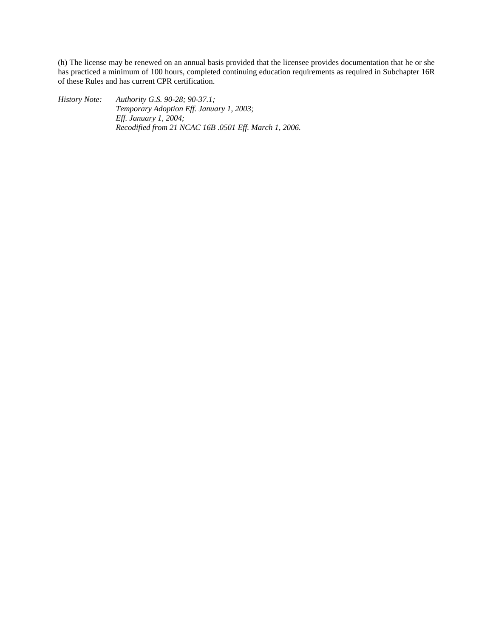(h) The license may be renewed on an annual basis provided that the licensee provides documentation that he or she has practiced a minimum of 100 hours, completed continuing education requirements as required in Subchapter 16R of these Rules and has current CPR certification.

*History Note: Authority G.S. 90-28; 90-37.1; Temporary Adoption Eff. January 1, 2003; Eff. January 1, 2004; Recodified from 21 NCAC 16B .0501 Eff. March 1, 2006.*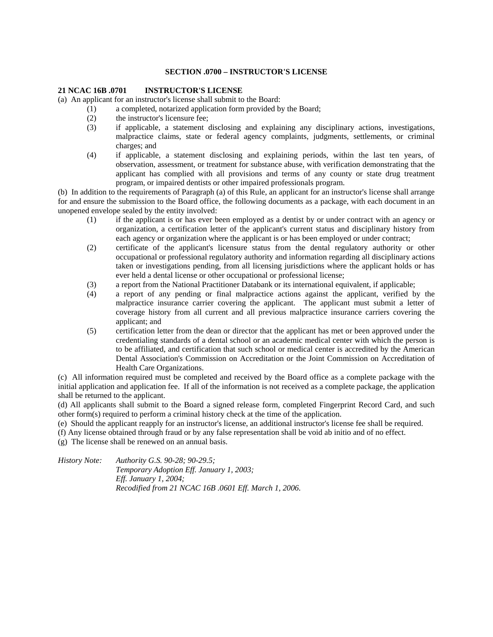#### **SECTION .0700 – INSTRUCTOR'S LICENSE**

#### **21 NCAC 16B .0701 INSTRUCTOR'S LICENSE**

(a) An applicant for an instructor's license shall submit to the Board:

- (1) a completed, notarized application form provided by the Board;
- (2) the instructor's licensure fee;
- (3) if applicable, a statement disclosing and explaining any disciplinary actions, investigations, malpractice claims, state or federal agency complaints, judgments, settlements, or criminal charges; and
- (4) if applicable, a statement disclosing and explaining periods, within the last ten years, of observation, assessment, or treatment for substance abuse, with verification demonstrating that the applicant has complied with all provisions and terms of any county or state drug treatment program, or impaired dentists or other impaired professionals program.

(b) In addition to the requirements of Paragraph (a) of this Rule, an applicant for an instructor's license shall arrange for and ensure the submission to the Board office, the following documents as a package, with each document in an unopened envelope sealed by the entity involved:

- (1) if the applicant is or has ever been employed as a dentist by or under contract with an agency or organization, a certification letter of the applicant's current status and disciplinary history from each agency or organization where the applicant is or has been employed or under contract;
- (2) certificate of the applicant's licensure status from the dental regulatory authority or other occupational or professional regulatory authority and information regarding all disciplinary actions taken or investigations pending, from all licensing jurisdictions where the applicant holds or has ever held a dental license or other occupational or professional license;
- (3) a report from the National Practitioner Databank or its international equivalent, if applicable;
- (4) a report of any pending or final malpractice actions against the applicant, verified by the malpractice insurance carrier covering the applicant. The applicant must submit a letter of coverage history from all current and all previous malpractice insurance carriers covering the applicant; and
- (5) certification letter from the dean or director that the applicant has met or been approved under the credentialing standards of a dental school or an academic medical center with which the person is to be affiliated, and certification that such school or medical center is accredited by the American Dental Association's Commission on Accreditation or the Joint Commission on Accreditation of Health Care Organizations.

(c) All information required must be completed and received by the Board office as a complete package with the initial application and application fee. If all of the information is not received as a complete package, the application shall be returned to the applicant.

(d) All applicants shall submit to the Board a signed release form, completed Fingerprint Record Card, and such other form(s) required to perform a criminal history check at the time of the application.

(e) Should the applicant reapply for an instructor's license, an additional instructor's license fee shall be required.

(f) Any license obtained through fraud or by any false representation shall be void ab initio and of no effect.

(g) The license shall be renewed on an annual basis.

*History Note: Authority G.S. 90-28; 90-29.5; Temporary Adoption Eff. January 1, 2003; Eff. January 1, 2004; Recodified from 21 NCAC 16B .0601 Eff. March 1, 2006.*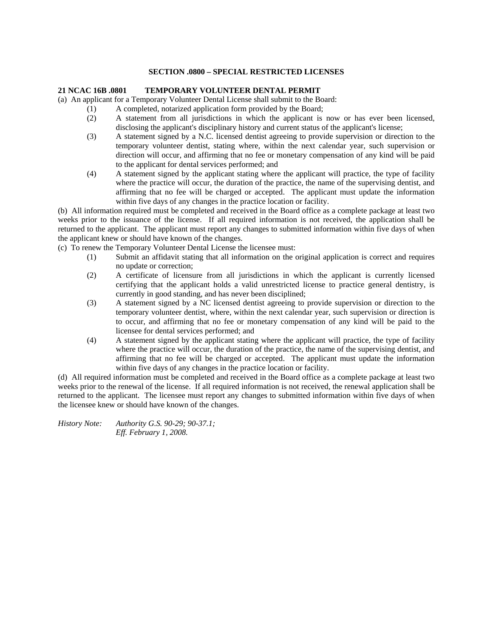### **SECTION .0800 – SPECIAL RESTRICTED LICENSES**

# **21 NCAC 16B .0801 TEMPORARY VOLUNTEER DENTAL PERMIT**

(a) An applicant for a Temporary Volunteer Dental License shall submit to the Board:

- (1) A completed, notarized application form provided by the Board;
- (2) A statement from all jurisdictions in which the applicant is now or has ever been licensed, disclosing the applicant's disciplinary history and current status of the applicant's license;
- (3) A statement signed by a N.C. licensed dentist agreeing to provide supervision or direction to the temporary volunteer dentist, stating where, within the next calendar year, such supervision or direction will occur, and affirming that no fee or monetary compensation of any kind will be paid to the applicant for dental services performed; and
- (4) A statement signed by the applicant stating where the applicant will practice, the type of facility where the practice will occur, the duration of the practice, the name of the supervising dentist, and affirming that no fee will be charged or accepted. The applicant must update the information within five days of any changes in the practice location or facility.

(b) All information required must be completed and received in the Board office as a complete package at least two weeks prior to the issuance of the license. If all required information is not received, the application shall be returned to the applicant. The applicant must report any changes to submitted information within five days of when the applicant knew or should have known of the changes.

(c) To renew the Temporary Volunteer Dental License the licensee must:

- (1) Submit an affidavit stating that all information on the original application is correct and requires no update or correction;
- (2) A certificate of licensure from all jurisdictions in which the applicant is currently licensed certifying that the applicant holds a valid unrestricted license to practice general dentistry, is currently in good standing, and has never been disciplined;
- (3) A statement signed by a NC licensed dentist agreeing to provide supervision or direction to the temporary volunteer dentist, where, within the next calendar year, such supervision or direction is to occur, and affirming that no fee or monetary compensation of any kind will be paid to the licensee for dental services performed; and
- (4) A statement signed by the applicant stating where the applicant will practice, the type of facility where the practice will occur, the duration of the practice, the name of the supervising dentist, and affirming that no fee will be charged or accepted. The applicant must update the information within five days of any changes in the practice location or facility.

(d) All required information must be completed and received in the Board office as a complete package at least two weeks prior to the renewal of the license. If all required information is not received, the renewal application shall be returned to the applicant. The licensee must report any changes to submitted information within five days of when the licensee knew or should have known of the changes.

*History Note: Authority G.S. 90-29; 90-37.1; Eff. February 1, 2008.*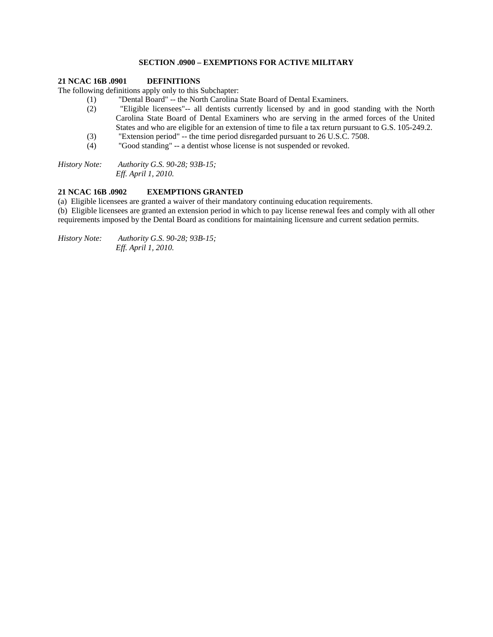# **SECTION .0900 – EXEMPTIONS FOR ACTIVE MILITARY**

### **21 NCAC 16B .0901 DEFINITIONS**

The following definitions apply only to this Subchapter:

- (1) "Dental Board" -- the North Carolina State Board of Dental Examiners.
- (2) "Eligible licensees"-- all dentists currently licensed by and in good standing with the North Carolina State Board of Dental Examiners who are serving in the armed forces of the United States and who are eligible for an extension of time to file a tax return pursuant to G.S. 105-249.2.
- (3) "Extension period" -- the time period disregarded pursuant to 26 U.S.C. 7508.
- (4) "Good standing" -- a dentist whose license is not suspended or revoked.

*History Note: Authority G.S. 90-28; 93B-15; Eff. April 1, 2010.* 

### **21 NCAC 16B .0902 EXEMPTIONS GRANTED**

(a) Eligible licensees are granted a waiver of their mandatory continuing education requirements.

(b) Eligible licensees are granted an extension period in which to pay license renewal fees and comply with all other requirements imposed by the Dental Board as conditions for maintaining licensure and current sedation permits.

*History Note: Authority G.S. 90-28; 93B-15; Eff. April 1, 2010.*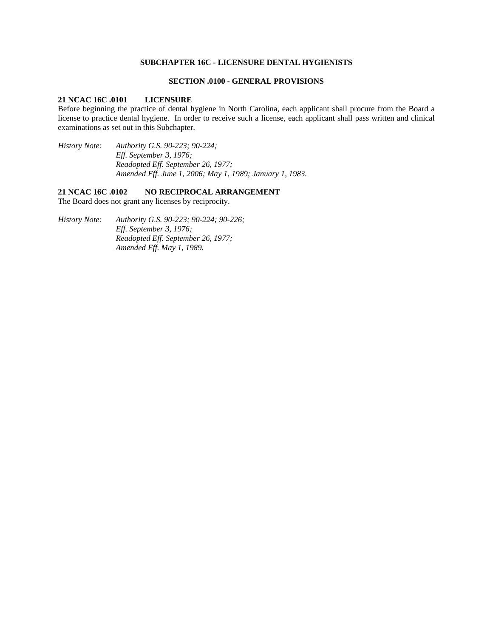# **SUBCHAPTER 16C - LICENSURE DENTAL HYGIENISTS**

#### **SECTION .0100 - GENERAL PROVISIONS**

# **21 NCAC 16C .0101 LICENSURE**

Before beginning the practice of dental hygiene in North Carolina, each applicant shall procure from the Board a license to practice dental hygiene. In order to receive such a license, each applicant shall pass written and clinical examinations as set out in this Subchapter.

*History Note: Authority G.S. 90-223; 90-224; Eff. September 3, 1976; Readopted Eff. September 26, 1977; Amended Eff. June 1, 2006; May 1, 1989; January 1, 1983.* 

# **21 NCAC 16C .0102 NO RECIPROCAL ARRANGEMENT**

The Board does not grant any licenses by reciprocity.

*History Note: Authority G.S. 90-223; 90-224; 90-226; Eff. September 3, 1976; Readopted Eff. September 26, 1977; Amended Eff. May 1, 1989.*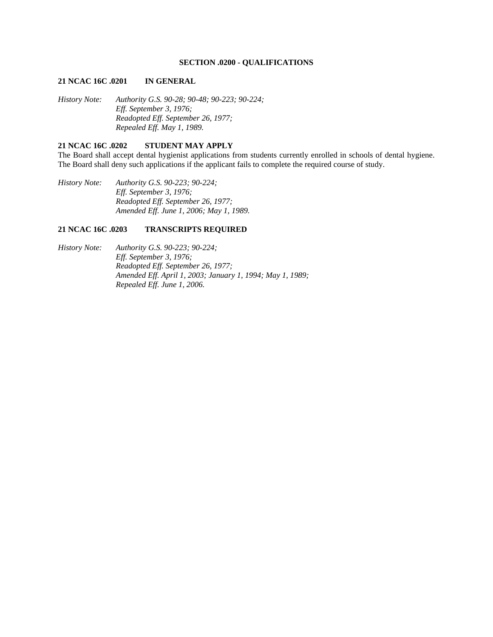# **SECTION .0200 - QUALIFICATIONS**

#### **21 NCAC 16C .0201 IN GENERAL**

*History Note: Authority G.S. 90-28; 90-48; 90-223; 90-224; Eff. September 3, 1976; Readopted Eff. September 26, 1977; Repealed Eff. May 1, 1989.* 

# **21 NCAC 16C .0202 STUDENT MAY APPLY**

The Board shall accept dental hygienist applications from students currently enrolled in schools of dental hygiene. The Board shall deny such applications if the applicant fails to complete the required course of study.

*History Note: Authority G.S. 90-223; 90-224; Eff. September 3, 1976; Readopted Eff. September 26, 1977; Amended Eff. June 1, 2006; May 1, 1989.* 

### **21 NCAC 16C .0203 TRANSCRIPTS REQUIRED**

*History Note: Authority G.S. 90-223; 90-224; Eff. September 3, 1976; Readopted Eff. September 26, 1977; Amended Eff. April 1, 2003; January 1, 1994; May 1, 1989; Repealed Eff. June 1, 2006.*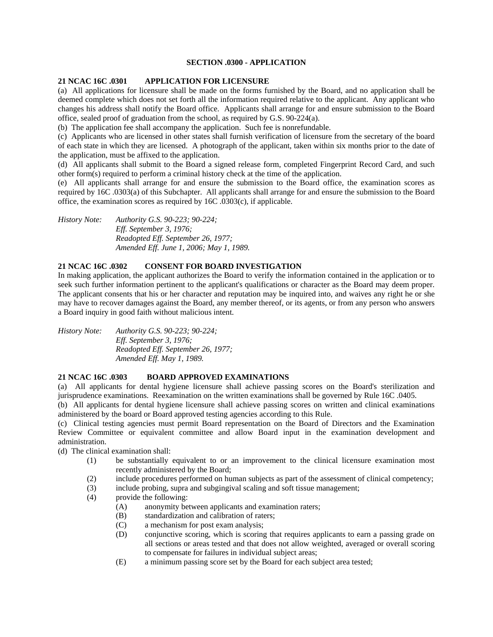# **SECTION .0300 - APPLICATION**

# **21 NCAC 16C .0301 APPLICATION FOR LICENSURE**

(a) All applications for licensure shall be made on the forms furnished by the Board, and no application shall be deemed complete which does not set forth all the information required relative to the applicant. Any applicant who changes his address shall notify the Board office. Applicants shall arrange for and ensure submission to the Board office, sealed proof of graduation from the school, as required by G.S. 90-224(a).

(b) The application fee shall accompany the application. Such fee is nonrefundable.

(c) Applicants who are licensed in other states shall furnish verification of licensure from the secretary of the board of each state in which they are licensed. A photograph of the applicant, taken within six months prior to the date of the application, must be affixed to the application.

(d) All applicants shall submit to the Board a signed release form, completed Fingerprint Record Card, and such other form(s) required to perform a criminal history check at the time of the application.

(e) All applicants shall arrange for and ensure the submission to the Board office, the examination scores as required by 16C .0303(a) of this Subchapter. All applicants shall arrange for and ensure the submission to the Board office, the examination scores as required by 16C .0303(c), if applicable.

*History Note: Authority G.S. 90-223; 90-224; Eff. September 3, 1976; Readopted Eff. September 26, 1977; Amended Eff. June 1, 2006; May 1, 1989.* 

# **21 NCAC 16C .0302 CONSENT FOR BOARD INVESTIGATION**

In making application, the applicant authorizes the Board to verify the information contained in the application or to seek such further information pertinent to the applicant's qualifications or character as the Board may deem proper. The applicant consents that his or her character and reputation may be inquired into, and waives any right he or she may have to recover damages against the Board, any member thereof, or its agents, or from any person who answers a Board inquiry in good faith without malicious intent.

*History Note: Authority G.S. 90-223; 90-224; Eff. September 3, 1976; Readopted Eff. September 26, 1977; Amended Eff. May 1, 1989.* 

### **21 NCAC 16C .0303 BOARD APPROVED EXAMINATIONS**

(a) All applicants for dental hygiene licensure shall achieve passing scores on the Board's sterilization and jurisprudence examinations. Reexamination on the written examinations shall be governed by Rule 16C .0405.

(b) All applicants for dental hygiene licensure shall achieve passing scores on written and clinical examinations administered by the board or Board approved testing agencies according to this Rule.

(c) Clinical testing agencies must permit Board representation on the Board of Directors and the Examination Review Committee or equivalent committee and allow Board input in the examination development and administration.

(d) The clinical examination shall:

- (1) be substantially equivalent to or an improvement to the clinical licensure examination most recently administered by the Board;
- (2) include procedures performed on human subjects as part of the assessment of clinical competency;
- (3) include probing, supra and subgingival scaling and soft tissue management;
- (4) provide the following:
	- (A) anonymity between applicants and examination raters;
	- (B) standardization and calibration of raters;
	- (C) a mechanism for post exam analysis;
	- (D) conjunctive scoring, which is scoring that requires applicants to earn a passing grade on all sections or areas tested and that does not allow weighted, averaged or overall scoring to compensate for failures in individual subject areas;
	- (E) a minimum passing score set by the Board for each subject area tested;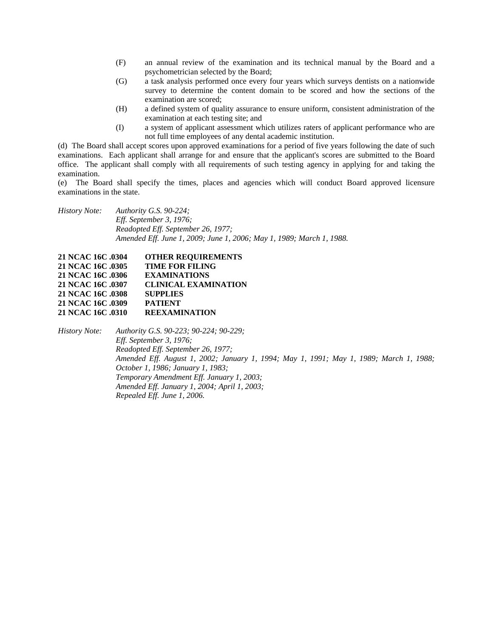- (F) an annual review of the examination and its technical manual by the Board and a psychometrician selected by the Board;
- (G) a task analysis performed once every four years which surveys dentists on a nationwide survey to determine the content domain to be scored and how the sections of the examination are scored;
- (H) a defined system of quality assurance to ensure uniform, consistent administration of the examination at each testing site; and
- (I) a system of applicant assessment which utilizes raters of applicant performance who are not full time employees of any dental academic institution.

(d) The Board shall accept scores upon approved examinations for a period of five years following the date of such examinations. Each applicant shall arrange for and ensure that the applicant's scores are submitted to the Board office. The applicant shall comply with all requirements of such testing agency in applying for and taking the examination.

(e) The Board shall specify the times, places and agencies which will conduct Board approved licensure examinations in the state.

*History Note: Authority G.S. 90-224; Eff. September 3, 1976; Readopted Eff. September 26, 1977; Amended Eff. June 1, 2009; June 1, 2006; May 1, 1989; March 1, 1988.* 

| 21 NCAC 16C .0304 | <b>OTHER REQUIREMENTS</b>   |
|-------------------|-----------------------------|
| 21 NCAC 16C .0305 | <b>TIME FOR FILING</b>      |
| 21 NCAC 16C .0306 | <b>EXAMINATIONS</b>         |
| 21 NCAC 16C .0307 | <b>CLINICAL EXAMINATION</b> |
| 21 NCAC 16C 0308  | <b>SUPPLIES</b>             |
| 21 NCAC 16C .0309 | <b>PATIENT</b>              |
| 21 NCAC 16C 0310  | <b>REEXAMINATION</b>        |

*History Note: Authority G.S. 90-223; 90-224; 90-229; Eff. September 3, 1976; Readopted Eff. September 26, 1977; Amended Eff. August 1, 2002; January 1, 1994; May 1, 1991; May 1, 1989; March 1, 1988; October 1, 1986; January 1, 1983; Temporary Amendment Eff. January 1, 2003; Amended Eff. January 1, 2004; April 1, 2003; Repealed Eff. June 1, 2006.*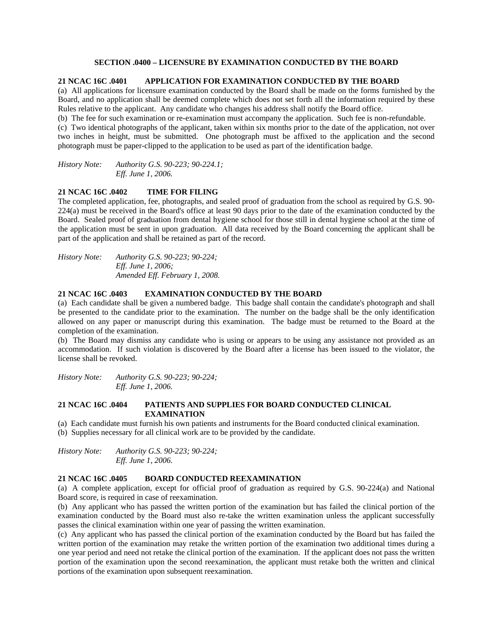# **SECTION .0400 – LICENSURE BY EXAMINATION CONDUCTED BY THE BOARD**

### **21 NCAC 16C .0401 APPLICATION FOR EXAMINATION CONDUCTED BY THE BOARD**

(a) All applications for licensure examination conducted by the Board shall be made on the forms furnished by the Board, and no application shall be deemed complete which does not set forth all the information required by these Rules relative to the applicant. Any candidate who changes his address shall notify the Board office.

(b) The fee for such examination or re-examination must accompany the application. Such fee is non-refundable.

(c) Two identical photographs of the applicant, taken within six months prior to the date of the application, not over two inches in height, must be submitted. One photograph must be affixed to the application and the second photograph must be paper-clipped to the application to be used as part of the identification badge.

*History Note: Authority G.S. 90-223; 90-224.1; Eff. June 1, 2006.* 

### **21 NCAC 16C .0402 TIME FOR FILING**

The completed application, fee, photographs, and sealed proof of graduation from the school as required by G.S. 90- 224(a) must be received in the Board's office at least 90 days prior to the date of the examination conducted by the Board. Sealed proof of graduation from dental hygiene school for those still in dental hygiene school at the time of the application must be sent in upon graduation. All data received by the Board concerning the applicant shall be part of the application and shall be retained as part of the record.

*History Note: Authority G.S. 90-223; 90-224; Eff. June 1, 2006; Amended Eff. February 1, 2008.* 

### **21 NCAC 16C .0403 EXAMINATION CONDUCTED BY THE BOARD**

(a) Each candidate shall be given a numbered badge. This badge shall contain the candidate's photograph and shall be presented to the candidate prior to the examination. The number on the badge shall be the only identification allowed on any paper or manuscript during this examination. The badge must be returned to the Board at the completion of the examination.

(b) The Board may dismiss any candidate who is using or appears to be using any assistance not provided as an accommodation. If such violation is discovered by the Board after a license has been issued to the violator, the license shall be revoked.

*History Note: Authority G.S. 90-223; 90-224; Eff. June 1, 2006.* 

# **21 NCAC 16C .0404 PATIENTS AND SUPPLIES FOR BOARD CONDUCTED CLINICAL EXAMINATION**

(a) Each candidate must furnish his own patients and instruments for the Board conducted clinical examination.

(b) Supplies necessary for all clinical work are to be provided by the candidate.

*History Note: Authority G.S. 90-223; 90-224; Eff. June 1, 2006.* 

### **21 NCAC 16C .0405 BOARD CONDUCTED REEXAMINATION**

(a) A complete application, except for official proof of graduation as required by G.S. 90-224(a) and National Board score, is required in case of reexamination.

(b) Any applicant who has passed the written portion of the examination but has failed the clinical portion of the examination conducted by the Board must also re-take the written examination unless the applicant successfully passes the clinical examination within one year of passing the written examination.

(c) Any applicant who has passed the clinical portion of the examination conducted by the Board but has failed the written portion of the examination may retake the written portion of the examination two additional times during a one year period and need not retake the clinical portion of the examination. If the applicant does not pass the written portion of the examination upon the second reexamination, the applicant must retake both the written and clinical portions of the examination upon subsequent reexamination.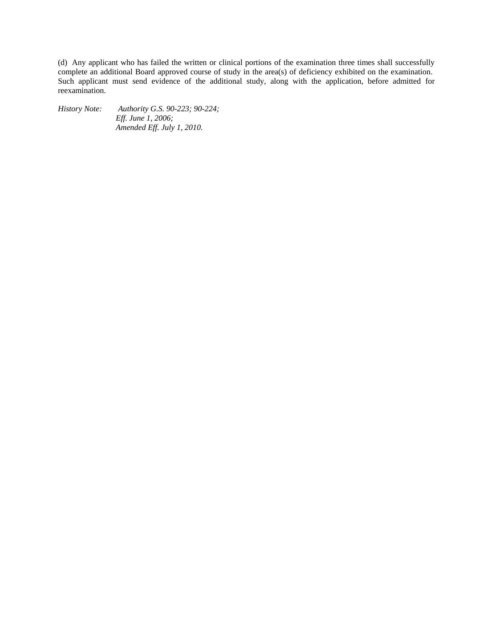(d) Any applicant who has failed the written or clinical portions of the examination three times shall successfully complete an additional Board approved course of study in the area(s) of deficiency exhibited on the examination. Such applicant must send evidence of the additional study, along with the application, before admitted for reexamination.

*History Note: Authority G.S. 90-223; 90-224; Eff. June 1, 2006; Amended Eff. July 1, 2010.*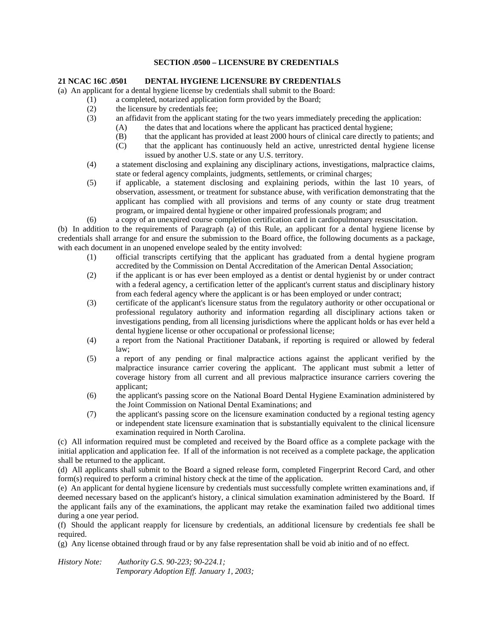# **SECTION .0500 – LICENSURE BY CREDENTIALS**

# **21 NCAC 16C .0501 DENTAL HYGIENE LICENSURE BY CREDENTIALS**

(a) An applicant for a dental hygiene license by credentials shall submit to the Board:

- (1) a completed, notarized application form provided by the Board;
	- (2) the licensure by credentials fee;
	- (3) an affidavit from the applicant stating for the two years immediately preceding the application:
		- (A) the dates that and locations where the applicant has practiced dental hygiene;
		- (B) that the applicant has provided at least 2000 hours of clinical care directly to patients; and
		- (C) that the applicant has continuously held an active, unrestricted dental hygiene license issued by another U.S. state or any U.S. territory.
	- (4) a statement disclosing and explaining any disciplinary actions, investigations, malpractice claims, state or federal agency complaints, judgments, settlements, or criminal charges;
	- (5) if applicable, a statement disclosing and explaining periods, within the last 10 years, of observation, assessment, or treatment for substance abuse, with verification demonstrating that the applicant has complied with all provisions and terms of any county or state drug treatment program, or impaired dental hygiene or other impaired professionals program; and
	- (6) a copy of an unexpired course completion certification card in cardiopulmonary resuscitation.

(b) In addition to the requirements of Paragraph (a) of this Rule, an applicant for a dental hygiene license by credentials shall arrange for and ensure the submission to the Board office, the following documents as a package, with each document in an unopened envelope sealed by the entity involved:

- (1) official transcripts certifying that the applicant has graduated from a dental hygiene program accredited by the Commission on Dental Accreditation of the American Dental Association;
- (2) if the applicant is or has ever been employed as a dentist or dental hygienist by or under contract with a federal agency, a certification letter of the applicant's current status and disciplinary history from each federal agency where the applicant is or has been employed or under contract;
- (3) certificate of the applicant's licensure status from the regulatory authority or other occupational or professional regulatory authority and information regarding all disciplinary actions taken or investigations pending, from all licensing jurisdictions where the applicant holds or has ever held a dental hygiene license or other occupational or professional license;
- (4) a report from the National Practitioner Databank, if reporting is required or allowed by federal law;
- (5) a report of any pending or final malpractice actions against the applicant verified by the malpractice insurance carrier covering the applicant. The applicant must submit a letter of coverage history from all current and all previous malpractice insurance carriers covering the applicant;
- (6) the applicant's passing score on the National Board Dental Hygiene Examination administered by the Joint Commission on National Dental Examinations; and
- (7) the applicant's passing score on the licensure examination conducted by a regional testing agency or independent state licensure examination that is substantially equivalent to the clinical licensure examination required in North Carolina.

(c) All information required must be completed and received by the Board office as a complete package with the initial application and application fee. If all of the information is not received as a complete package, the application shall be returned to the applicant.

(d) All applicants shall submit to the Board a signed release form, completed Fingerprint Record Card, and other form(s) required to perform a criminal history check at the time of the application.

(e) An applicant for dental hygiene licensure by credentials must successfully complete written examinations and, if deemed necessary based on the applicant's history, a clinical simulation examination administered by the Board. If the applicant fails any of the examinations, the applicant may retake the examination failed two additional times during a one year period.

(f) Should the applicant reapply for licensure by credentials, an additional licensure by credentials fee shall be required.

(g) Any license obtained through fraud or by any false representation shall be void ab initio and of no effect.

*History Note: Authority G.S. 90-223; 90-224.1; Temporary Adoption Eff. January 1, 2003;*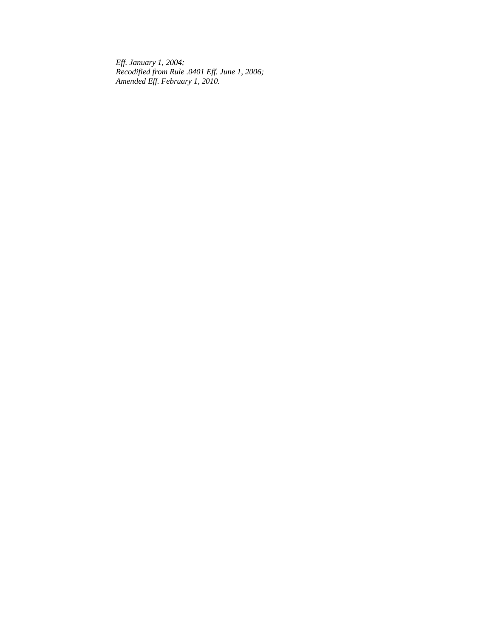*Eff. January 1, 2004; Recodified from Rule .0401 Eff. June 1, 2006; Amended Eff. February 1, 2010.*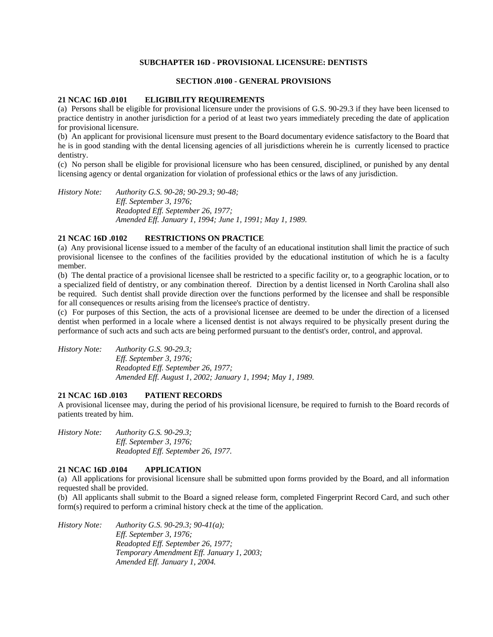### **SUBCHAPTER 16D - PROVISIONAL LICENSURE: DENTISTS**

# **SECTION .0100 - GENERAL PROVISIONS**

### **21 NCAC 16D .0101 ELIGIBILITY REQUIREMENTS**

(a) Persons shall be eligible for provisional licensure under the provisions of G.S. 90-29.3 if they have been licensed to practice dentistry in another jurisdiction for a period of at least two years immediately preceding the date of application for provisional licensure.

(b) An applicant for provisional licensure must present to the Board documentary evidence satisfactory to the Board that he is in good standing with the dental licensing agencies of all jurisdictions wherein he is currently licensed to practice dentistry.

(c) No person shall be eligible for provisional licensure who has been censured, disciplined, or punished by any dental licensing agency or dental organization for violation of professional ethics or the laws of any jurisdiction.

*History Note: Authority G.S. 90-28; 90-29.3; 90-48; Eff. September 3, 1976; Readopted Eff. September 26, 1977; Amended Eff. January 1, 1994; June 1, 1991; May 1, 1989.* 

# **21 NCAC 16D .0102 RESTRICTIONS ON PRACTICE**

(a) Any provisional license issued to a member of the faculty of an educational institution shall limit the practice of such provisional licensee to the confines of the facilities provided by the educational institution of which he is a faculty member.

(b) The dental practice of a provisional licensee shall be restricted to a specific facility or, to a geographic location, or to a specialized field of dentistry, or any combination thereof. Direction by a dentist licensed in North Carolina shall also be required. Such dentist shall provide direction over the functions performed by the licensee and shall be responsible for all consequences or results arising from the licensee's practice of dentistry.

(c) For purposes of this Section, the acts of a provisional licensee are deemed to be under the direction of a licensed dentist when performed in a locale where a licensed dentist is not always required to be physically present during the performance of such acts and such acts are being performed pursuant to the dentist's order, control, and approval.

| History Note: | Authority G.S. $90-29.3$ ;                                 |
|---------------|------------------------------------------------------------|
|               | <i>Eff.</i> September 3, 1976;                             |
|               | Readopted Eff. September 26, 1977;                         |
|               | Amended Eff. August 1, 2002; January 1, 1994; May 1, 1989. |

#### **21 NCAC 16D .0103 PATIENT RECORDS**

A provisional licensee may, during the period of his provisional licensure, be required to furnish to the Board records of patients treated by him.

*History Note: Authority G.S. 90-29.3; Eff. September 3, 1976; Readopted Eff. September 26, 1977.* 

## **21 NCAC 16D .0104 APPLICATION**

(a) All applications for provisional licensure shall be submitted upon forms provided by the Board, and all information requested shall be provided.

(b) All applicants shall submit to the Board a signed release form, completed Fingerprint Record Card, and such other form(s) required to perform a criminal history check at the time of the application.

*History Note: Authority G.S. 90-29.3; 90-41(a); Eff. September 3, 1976; Readopted Eff. September 26, 1977; Temporary Amendment Eff. January 1, 2003; Amended Eff. January 1, 2004.*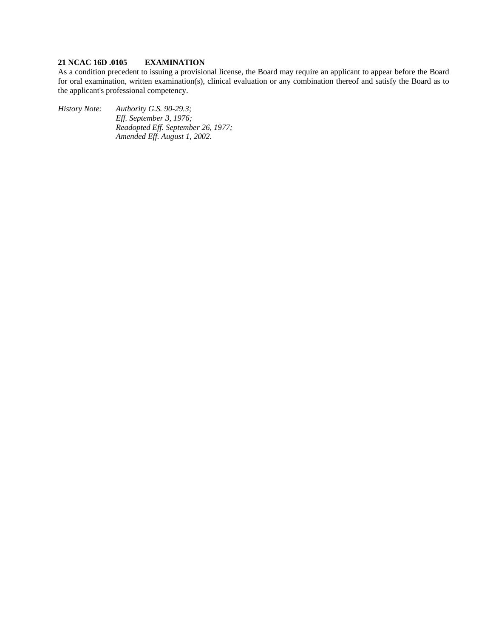# **21 NCAC 16D .0105 EXAMINATION**

As a condition precedent to issuing a provisional license, the Board may require an applicant to appear before the Board for oral examination, written examination(s), clinical evaluation or any combination thereof and satisfy the Board as to the applicant's professional competency.

*History Note: Authority G.S. 90-29.3;* 

*Eff. September 3, 1976; Readopted Eff. September 26, 1977; Amended Eff. August 1, 2002.*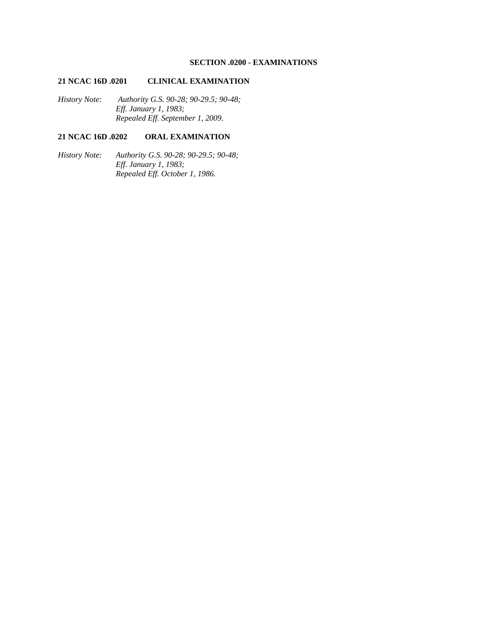# **SECTION .0200 - EXAMINATIONS**

# **21 NCAC 16D .0201 CLINICAL EXAMINATION**

*History Note: Authority G.S. 90-28; 90-29.5; 90-48; Eff. January 1, 1983; Repealed Eff. September 1, 2009.* 

# **21 NCAC 16D .0202 ORAL EXAMINATION**

*History Note: Authority G.S. 90-28; 90-29.5; 90-48; Eff. January 1, 1983; Repealed Eff. October 1, 1986.*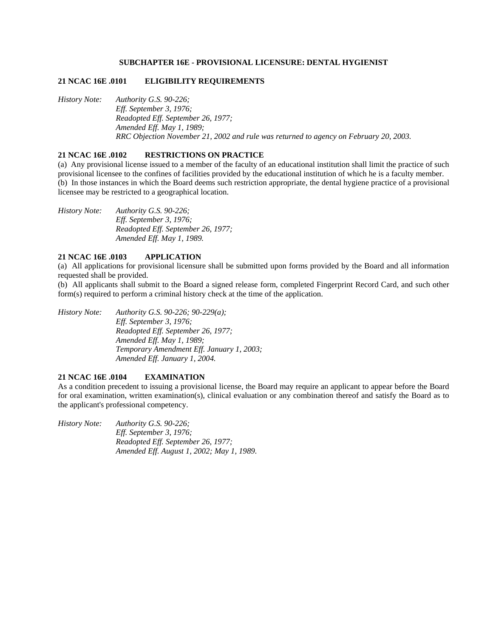### **SUBCHAPTER 16E - PROVISIONAL LICENSURE: DENTAL HYGIENIST**

### **21 NCAC 16E .0101 ELIGIBILITY REQUIREMENTS**

*History Note: Authority G.S. 90-226; Eff. September 3, 1976; Readopted Eff. September 26, 1977; Amended Eff. May 1, 1989; RRC Objection November 21, 2002 and rule was returned to agency on February 20, 2003.* 

# **21 NCAC 16E .0102 RESTRICTIONS ON PRACTICE**

(a) Any provisional license issued to a member of the faculty of an educational institution shall limit the practice of such provisional licensee to the confines of facilities provided by the educational institution of which he is a faculty member. (b) In those instances in which the Board deems such restriction appropriate, the dental hygiene practice of a provisional licensee may be restricted to a geographical location.

*History Note: Authority G.S. 90-226; Eff. September 3, 1976; Readopted Eff. September 26, 1977; Amended Eff. May 1, 1989.* 

# **21 NCAC 16E .0103 APPLICATION**

(a) All applications for provisional licensure shall be submitted upon forms provided by the Board and all information requested shall be provided.

(b) All applicants shall submit to the Board a signed release form, completed Fingerprint Record Card, and such other form(s) required to perform a criminal history check at the time of the application.

*History Note: Authority G.S. 90-226; 90-229(a); Eff. September 3, 1976; Readopted Eff. September 26, 1977; Amended Eff. May 1, 1989; Temporary Amendment Eff. January 1, 2003; Amended Eff. January 1, 2004.* 

### **21 NCAC 16E .0104 EXAMINATION**

As a condition precedent to issuing a provisional license, the Board may require an applicant to appear before the Board for oral examination, written examination(s), clinical evaluation or any combination thereof and satisfy the Board as to the applicant's professional competency.

*History Note: Authority G.S. 90-226; Eff. September 3, 1976; Readopted Eff. September 26, 1977; Amended Eff. August 1, 2002; May 1, 1989.*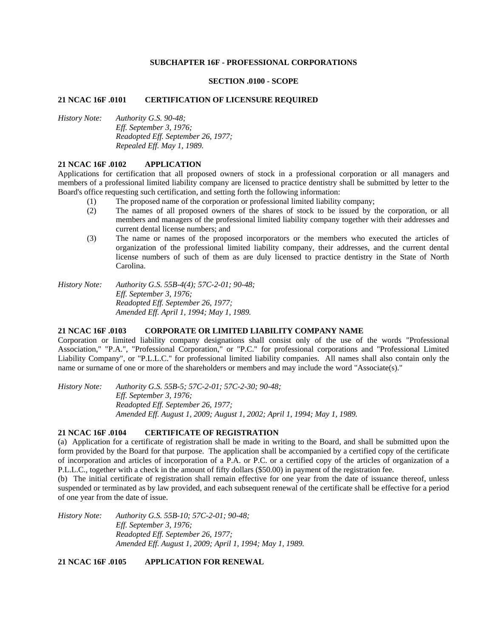### **SUBCHAPTER 16F - PROFESSIONAL CORPORATIONS**

#### **SECTION .0100 - SCOPE**

#### **21 NCAC 16F .0101 CERTIFICATION OF LICENSURE REQUIRED**

*History Note: Authority G.S. 90-48; Eff. September 3, 1976; Readopted Eff. September 26, 1977; Repealed Eff. May 1, 1989.* 

#### **21 NCAC 16F .0102 APPLICATION**

Applications for certification that all proposed owners of stock in a professional corporation or all managers and members of a professional limited liability company are licensed to practice dentistry shall be submitted by letter to the Board's office requesting such certification, and setting forth the following information:

- (1) The proposed name of the corporation or professional limited liability company;
- (2) The names of all proposed owners of the shares of stock to be issued by the corporation, or all members and managers of the professional limited liability company together with their addresses and current dental license numbers; and
- (3) The name or names of the proposed incorporators or the members who executed the articles of organization of the professional limited liability company, their addresses, and the current dental license numbers of such of them as are duly licensed to practice dentistry in the State of North Carolina.

*History Note: Authority G.S. 55B-4(4); 57C-2-01; 90-48; Eff. September 3, 1976; Readopted Eff. September 26, 1977; Amended Eff. April 1, 1994; May 1, 1989.* 

#### **21 NCAC 16F .0103 CORPORATE OR LIMITED LIABILITY COMPANY NAME**

Corporation or limited liability company designations shall consist only of the use of the words "Professional Association," "P.A.", "Professional Corporation," or "P.C." for professional corporations and "Professional Limited Liability Company", or "P.L.L.C." for professional limited liability companies. All names shall also contain only the name or surname of one or more of the shareholders or members and may include the word "Associate(s)."

*History Note: Authority G.S. 55B-5; 57C-2-01; 57C-2-30; 90-48; Eff. September 3, 1976; Readopted Eff. September 26, 1977; Amended Eff. August 1, 2009; August 1, 2002; April 1, 1994; May 1, 1989.* 

### **21 NCAC 16F .0104 CERTIFICATE OF REGISTRATION**

(a) Application for a certificate of registration shall be made in writing to the Board, and shall be submitted upon the form provided by the Board for that purpose. The application shall be accompanied by a certified copy of the certificate of incorporation and articles of incorporation of a P.A. or P.C. or a certified copy of the articles of organization of a P.L.L.C., together with a check in the amount of fifty dollars (\$50.00) in payment of the registration fee.

(b) The initial certificate of registration shall remain effective for one year from the date of issuance thereof, unless suspended or terminated as by law provided, and each subsequent renewal of the certificate shall be effective for a period of one year from the date of issue.

*History Note: Authority G.S. 55B-10; 57C-2-01; 90-48; Eff. September 3, 1976; Readopted Eff. September 26, 1977; Amended Eff. August 1, 2009; April 1, 1994; May 1, 1989.* 

**21 NCAC 16F .0105 APPLICATION FOR RENEWAL**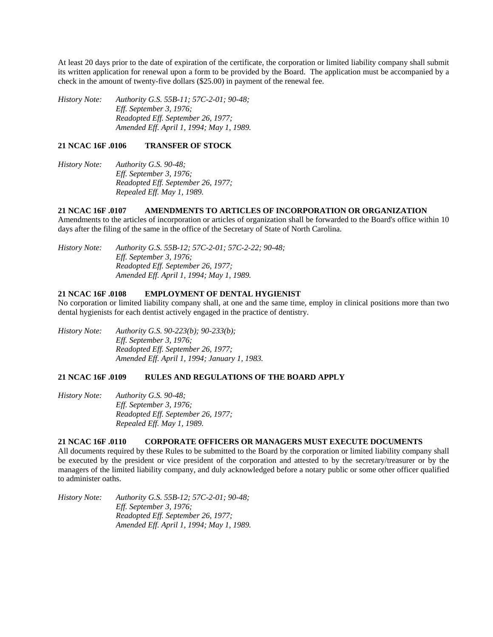At least 20 days prior to the date of expiration of the certificate, the corporation or limited liability company shall submit its written application for renewal upon a form to be provided by the Board. The application must be accompanied by a check in the amount of twenty-five dollars (\$25.00) in payment of the renewal fee.

*History Note: Authority G.S. 55B-11; 57C-2-01; 90-48; Eff. September 3, 1976; Readopted Eff. September 26, 1977; Amended Eff. April 1, 1994; May 1, 1989.* 

### **21 NCAC 16F .0106 TRANSFER OF STOCK**

*History Note: Authority G.S. 90-48; Eff. September 3, 1976; Readopted Eff. September 26, 1977; Repealed Eff. May 1, 1989.* 

# **21 NCAC 16F .0107 AMENDMENTS TO ARTICLES OF INCORPORATION OR ORGANIZATION**

Amendments to the articles of incorporation or articles of organization shall be forwarded to the Board's office within 10 days after the filing of the same in the office of the Secretary of State of North Carolina.

*History Note: Authority G.S. 55B-12; 57C-2-01; 57C-2-22; 90-48; Eff. September 3, 1976; Readopted Eff. September 26, 1977; Amended Eff. April 1, 1994; May 1, 1989.* 

# **21 NCAC 16F .0108 EMPLOYMENT OF DENTAL HYGIENIST**

No corporation or limited liability company shall, at one and the same time, employ in clinical positions more than two dental hygienists for each dentist actively engaged in the practice of dentistry.

*History Note: Authority G.S. 90-223(b); 90-233(b); Eff. September 3, 1976; Readopted Eff. September 26, 1977; Amended Eff. April 1, 1994; January 1, 1983.* 

# **21 NCAC 16F .0109 RULES AND REGULATIONS OF THE BOARD APPLY**

*History Note: Authority G.S. 90-48; Eff. September 3, 1976; Readopted Eff. September 26, 1977; Repealed Eff. May 1, 1989.* 

### **21 NCAC 16F .0110 CORPORATE OFFICERS OR MANAGERS MUST EXECUTE DOCUMENTS**

All documents required by these Rules to be submitted to the Board by the corporation or limited liability company shall be executed by the president or vice president of the corporation and attested to by the secretary/treasurer or by the managers of the limited liability company, and duly acknowledged before a notary public or some other officer qualified to administer oaths.

*History Note: Authority G.S. 55B-12; 57C-2-01; 90-48; Eff. September 3, 1976; Readopted Eff. September 26, 1977; Amended Eff. April 1, 1994; May 1, 1989.*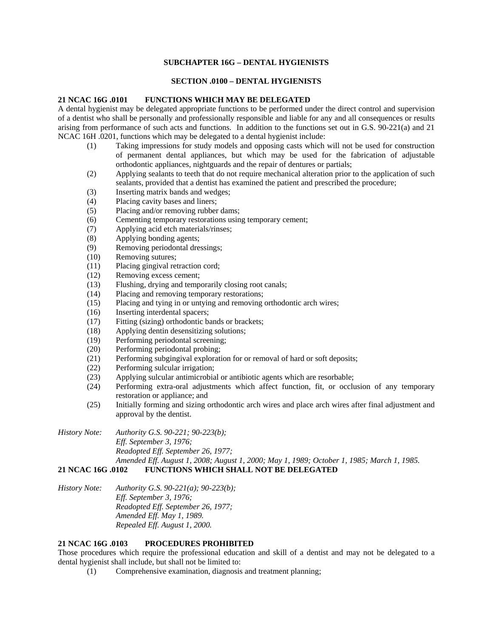# **SUBCHAPTER 16G – DENTAL HYGIENISTS**

# **SECTION .0100 – DENTAL HYGIENISTS**

### **21 NCAC 16G .0101 FUNCTIONS WHICH MAY BE DELEGATED**

A dental hygienist may be delegated appropriate functions to be performed under the direct control and supervision of a dentist who shall be personally and professionally responsible and liable for any and all consequences or results arising from performance of such acts and functions. In addition to the functions set out in G.S. 90-221(a) and 21 NCAC 16H .0201, functions which may be delegated to a dental hygienist include:

- (1) Taking impressions for study models and opposing casts which will not be used for construction of permanent dental appliances, but which may be used for the fabrication of adjustable orthodontic appliances, nightguards and the repair of dentures or partials;
- (2) Applying sealants to teeth that do not require mechanical alteration prior to the application of such sealants, provided that a dentist has examined the patient and prescribed the procedure;
- (3) Inserting matrix bands and wedges;
- (4) Placing cavity bases and liners;
- (5) Placing and/or removing rubber dams;
- (6) Cementing temporary restorations using temporary cement;
- (7) Applying acid etch materials/rinses;
- (8) Applying bonding agents;
- (9) Removing periodontal dressings;
- (10) Removing sutures;
- (11) Placing gingival retraction cord;
- (12) Removing excess cement;
- (13) Flushing, drying and temporarily closing root canals;
- (14) Placing and removing temporary restorations;
- (15) Placing and tying in or untying and removing orthodontic arch wires;
- (16) Inserting interdental spacers;
- (17) Fitting (sizing) orthodontic bands or brackets;
- (18) Applying dentin desensitizing solutions;
- (19) Performing periodontal screening;
- (20) Performing periodontal probing;
- (21) Performing subgingival exploration for or removal of hard or soft deposits;
- (22) Performing sulcular irrigation;
- (23) Applying sulcular antimicrobial or antibiotic agents which are resorbable;
- (24) Performing extra-oral adjustments which affect function, fit, or occlusion of any temporary restoration or appliance; and
- (25) Initially forming and sizing orthodontic arch wires and place arch wires after final adjustment and approval by the dentist.

*History Note: Authority G.S. 90-221; 90-223(b); Eff. September 3, 1976; Readopted Eff. September 26, 1977; Amended Eff. August 1, 2008; August 1, 2000; May 1, 1989; October 1, 1985; March 1, 1985.*  **21 NCAC 16G .0102 FUNCTIONS WHICH SHALL NOT BE DELEGATED** 

*History Note: Authority G.S. 90-221(a); 90-223(b); Eff. September 3, 1976; Readopted Eff. September 26, 1977; Amended Eff. May 1, 1989. Repealed Eff. August 1, 2000.* 

# **21 NCAC 16G .0103 PROCEDURES PROHIBITED**

Those procedures which require the professional education and skill of a dentist and may not be delegated to a dental hygienist shall include, but shall not be limited to:

(1) Comprehensive examination, diagnosis and treatment planning;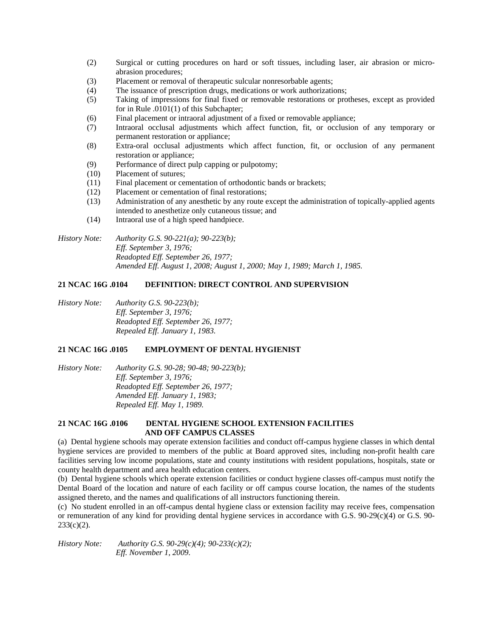- (2) Surgical or cutting procedures on hard or soft tissues, including laser, air abrasion or microabrasion procedures;
- (3) Placement or removal of therapeutic sulcular nonresorbable agents;
- (4) The issuance of prescription drugs, medications or work authorizations;
- (5) Taking of impressions for final fixed or removable restorations or protheses, except as provided for in Rule .0101(1) of this Subchapter;
- (6) Final placement or intraoral adjustment of a fixed or removable appliance;
- (7) Intraoral occlusal adjustments which affect function, fit, or occlusion of any temporary or permanent restoration or appliance;
- (8) Extra-oral occlusal adjustments which affect function, fit, or occlusion of any permanent restoration or appliance;
- (9) Performance of direct pulp capping or pulpotomy;
- (10) Placement of sutures;
- (11) Final placement or cementation of orthodontic bands or brackets;
- (12) Placement or cementation of final restorations;
- (13) Administration of any anesthetic by any route except the administration of topically-applied agents intended to anesthetize only cutaneous tissue; and
- (14) Intraoral use of a high speed handpiece.

*History Note: Authority G.S. 90-221(a); 90-223(b); Eff. September 3, 1976; Readopted Eff. September 26, 1977; Amended Eff. August 1, 2008; August 1, 2000; May 1, 1989; March 1, 1985.* 

# **21 NCAC 16G .0104 DEFINITION: DIRECT CONTROL AND SUPERVISION**

*History Note: Authority G.S. 90-223(b); Eff. September 3, 1976; Readopted Eff. September 26, 1977; Repealed Eff. January 1, 1983.* 

### **21 NCAC 16G .0105 EMPLOYMENT OF DENTAL HYGIENIST**

*History Note: Authority G.S. 90-28; 90-48; 90-223(b); Eff. September 3, 1976; Readopted Eff. September 26, 1977; Amended Eff. January 1, 1983; Repealed Eff. May 1, 1989.* 

# **21 NCAC 16G .0106 DENTAL HYGIENE SCHOOL EXTENSION FACILITIES AND OFF CAMPUS CLASSES**

(a) Dental hygiene schools may operate extension facilities and conduct off-campus hygiene classes in which dental hygiene services are provided to members of the public at Board approved sites, including non-profit health care facilities serving low income populations, state and county institutions with resident populations, hospitals, state or county health department and area health education centers.

(b) Dental hygiene schools which operate extension facilities or conduct hygiene classes off-campus must notify the Dental Board of the location and nature of each facility or off campus course location, the names of the students assigned thereto, and the names and qualifications of all instructors functioning therein.

(c) No student enrolled in an off-campus dental hygiene class or extension facility may receive fees, compensation or remuneration of any kind for providing dental hygiene services in accordance with G.S. 90-29(c)(4) or G.S. 90-  $233(c)(2)$ .

*History Note: Authority G.S. 90-29(c)(4); 90-233(c)(2); Eff. November 1, 2009.*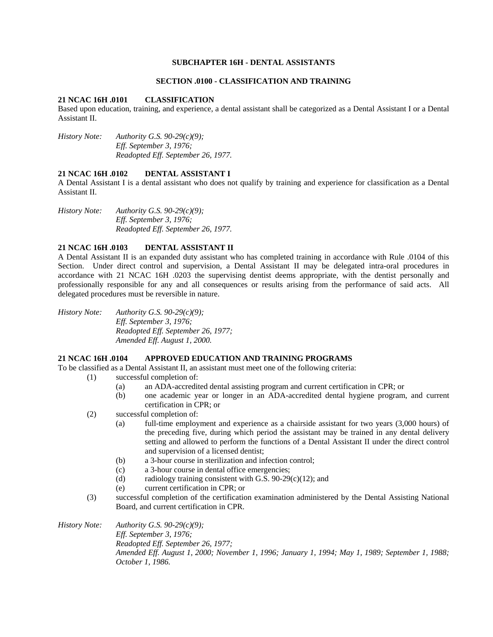### **SUBCHAPTER 16H - DENTAL ASSISTANTS**

### **SECTION .0100 - CLASSIFICATION AND TRAINING**

### **21 NCAC 16H .0101 CLASSIFICATION**

Based upon education, training, and experience, a dental assistant shall be categorized as a Dental Assistant I or a Dental Assistant II.

*History Note: Authority G.S. 90-29(c)(9); Eff. September 3, 1976; Readopted Eff. September 26, 1977.* 

### **21 NCAC 16H .0102 DENTAL ASSISTANT I**

A Dental Assistant I is a dental assistant who does not qualify by training and experience for classification as a Dental Assistant II.

*History Note: Authority G.S. 90-29(c)(9); Eff. September 3, 1976; Readopted Eff. September 26, 1977.* 

# **21 NCAC 16H .0103 DENTAL ASSISTANT II**

A Dental Assistant II is an expanded duty assistant who has completed training in accordance with Rule .0104 of this Section. Under direct control and supervision, a Dental Assistant II may be delegated intra-oral procedures in accordance with 21 NCAC 16H .0203 the supervising dentist deems appropriate, with the dentist personally and professionally responsible for any and all consequences or results arising from the performance of said acts. All delegated procedures must be reversible in nature.

*History Note: Authority G.S. 90-29(c)(9); Eff. September 3, 1976; Readopted Eff. September 26, 1977; Amended Eff. August 1, 2000.* 

### **21 NCAC 16H .0104 APPROVED EDUCATION AND TRAINING PROGRAMS**

To be classified as a Dental Assistant II, an assistant must meet one of the following criteria:

- (1) successful completion of:
	- (a) an ADA-accredited dental assisting program and current certification in CPR; or
	- (b) one academic year or longer in an ADA-accredited dental hygiene program, and current certification in CPR; or
	- (2) successful completion of:
		- (a) full-time employment and experience as a chairside assistant for two years (3,000 hours) of the preceding five, during which period the assistant may be trained in any dental delivery setting and allowed to perform the functions of a Dental Assistant II under the direct control and supervision of a licensed dentist;
		- (b) a 3-hour course in sterilization and infection control;
		- (c) a 3-hour course in dental office emergencies;
		- (d) radiology training consistent with G.S.  $90-29(c)(12)$ ; and
		- (e) current certification in CPR; or
	- (3) successful completion of the certification examination administered by the Dental Assisting National Board, and current certification in CPR.

*History Note: Authority G.S. 90-29(c)(9); Eff. September 3, 1976; Readopted Eff. September 26, 1977; Amended Eff. August 1, 2000; November 1, 1996; January 1, 1994; May 1, 1989; September 1, 1988; October 1, 1986.*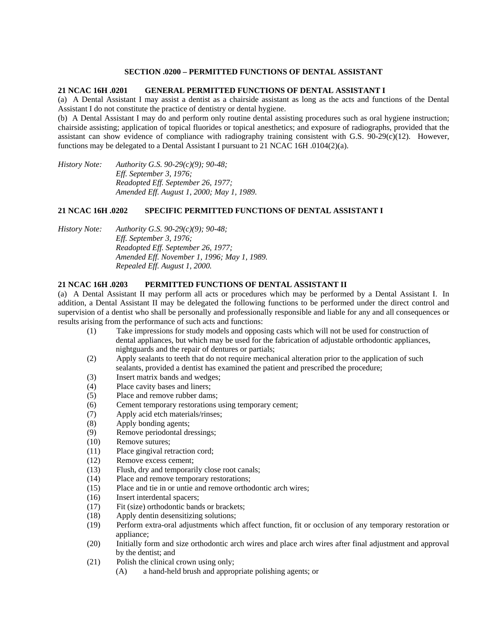### **SECTION .0200 – PERMITTED FUNCTIONS OF DENTAL ASSISTANT**

### **21 NCAC 16H .0201 GENERAL PERMITTED FUNCTIONS OF DENTAL ASSISTANT I**

(a) A Dental Assistant I may assist a dentist as a chairside assistant as long as the acts and functions of the Dental Assistant I do not constitute the practice of dentistry or dental hygiene.

(b) A Dental Assistant I may do and perform only routine dental assisting procedures such as oral hygiene instruction; chairside assisting; application of topical fluorides or topical anesthetics; and exposure of radiographs, provided that the assistant can show evidence of compliance with radiography training consistent with G.S. 90-29(c)(12). However, functions may be delegated to a Dental Assistant I pursuant to 21 NCAC 16H .0104(2)(a).

*History Note: Authority G.S. 90-29(c)(9); 90-48; Eff. September 3, 1976; Readopted Eff. September 26, 1977; Amended Eff. August 1, 2000; May 1, 1989.* 

# **21 NCAC 16H .0202 SPECIFIC PERMITTED FUNCTIONS OF DENTAL ASSISTANT I**

*History Note: Authority G.S. 90-29(c)(9); 90-48; Eff. September 3, 1976; Readopted Eff. September 26, 1977; Amended Eff. November 1, 1996; May 1, 1989. Repealed Eff. August 1, 2000.* 

#### **21 NCAC 16H .0203 PERMITTED FUNCTIONS OF DENTAL ASSISTANT II**

(a) A Dental Assistant II may perform all acts or procedures which may be performed by a Dental Assistant I. In addition, a Dental Assistant II may be delegated the following functions to be performed under the direct control and supervision of a dentist who shall be personally and professionally responsible and liable for any and all consequences or results arising from the performance of such acts and functions:

- (1) Take impressions for study models and opposing casts which will not be used for construction of dental appliances, but which may be used for the fabrication of adjustable orthodontic appliances, nightguards and the repair of dentures or partials;
- (2) Apply sealants to teeth that do not require mechanical alteration prior to the application of such sealants, provided a dentist has examined the patient and prescribed the procedure;
- (3) Insert matrix bands and wedges;
- (4) Place cavity bases and liners;
- (5) Place and remove rubber dams;
- (6) Cement temporary restorations using temporary cement;
- (7) Apply acid etch materials/rinses;
- (8) Apply bonding agents;
- (9) Remove periodontal dressings;
- (10) Remove sutures;
- (11) Place gingival retraction cord;
- (12) Remove excess cement;
- (13) Flush, dry and temporarily close root canals;
- (14) Place and remove temporary restorations;
- (15) Place and tie in or untie and remove orthodontic arch wires;
- (16) Insert interdental spacers;
- (17) Fit (size) orthodontic bands or brackets;
- (18) Apply dentin desensitizing solutions;
- (19) Perform extra-oral adjustments which affect function, fit or occlusion of any temporary restoration or appliance;
- (20) Initially form and size orthodontic arch wires and place arch wires after final adjustment and approval by the dentist; and
- (21) Polish the clinical crown using only;
	- (A) a hand-held brush and appropriate polishing agents; or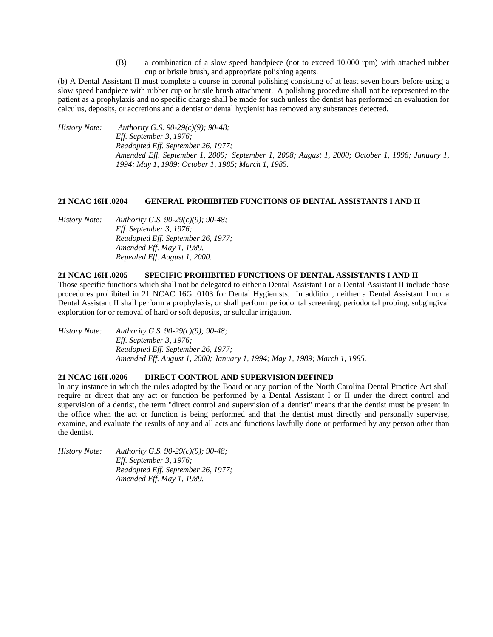(B) a combination of a slow speed handpiece (not to exceed 10,000 rpm) with attached rubber cup or bristle brush, and appropriate polishing agents.

(b) A Dental Assistant II must complete a course in coronal polishing consisting of at least seven hours before using a slow speed handpiece with rubber cup or bristle brush attachment. A polishing procedure shall not be represented to the patient as a prophylaxis and no specific charge shall be made for such unless the dentist has performed an evaluation for calculus, deposits, or accretions and a dentist or dental hygienist has removed any substances detected.

*History Note: Authority G.S. 90-29(c)(9); 90-48; Eff. September 3, 1976; Readopted Eff. September 26, 1977; Amended Eff. September 1, 2009; September 1, 2008; August 1, 2000; October 1, 1996; January 1, 1994; May 1, 1989; October 1, 1985; March 1, 1985.* 

# **21 NCAC 16H .0204 GENERAL PROHIBITED FUNCTIONS OF DENTAL ASSISTANTS I AND II**

*History Note: Authority G.S. 90-29(c)(9); 90-48; Eff. September 3, 1976; Readopted Eff. September 26, 1977; Amended Eff. May 1, 1989. Repealed Eff. August 1, 2000.* 

### **21 NCAC 16H .0205 SPECIFIC PROHIBITED FUNCTIONS OF DENTAL ASSISTANTS I AND II**

Those specific functions which shall not be delegated to either a Dental Assistant I or a Dental Assistant II include those procedures prohibited in 21 NCAC 16G .0103 for Dental Hygienists. In addition, neither a Dental Assistant I nor a Dental Assistant II shall perform a prophylaxis, or shall perform periodontal screening, periodontal probing, subgingival exploration for or removal of hard or soft deposits, or sulcular irrigation.

*History Note: Authority G.S. 90-29(c)(9); 90-48; Eff. September 3, 1976; Readopted Eff. September 26, 1977; Amended Eff. August 1, 2000; January 1, 1994; May 1, 1989; March 1, 1985.* 

# **21 NCAC 16H .0206 DIRECT CONTROL AND SUPERVISION DEFINED**

In any instance in which the rules adopted by the Board or any portion of the North Carolina Dental Practice Act shall require or direct that any act or function be performed by a Dental Assistant I or II under the direct control and supervision of a dentist, the term "direct control and supervision of a dentist" means that the dentist must be present in the office when the act or function is being performed and that the dentist must directly and personally supervise, examine, and evaluate the results of any and all acts and functions lawfully done or performed by any person other than the dentist.

*History Note: Authority G.S. 90-29(c)(9); 90-48; Eff. September 3, 1976; Readopted Eff. September 26, 1977; Amended Eff. May 1, 1989.*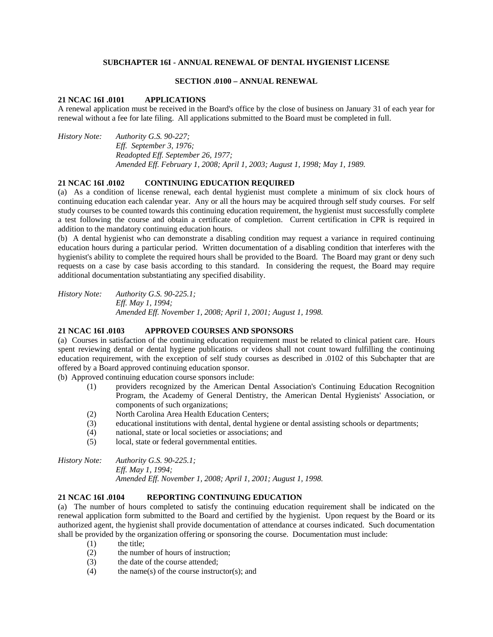### **SUBCHAPTER 16I - ANNUAL RENEWAL OF DENTAL HYGIENIST LICENSE**

### **SECTION .0100 – ANNUAL RENEWAL**

#### **21 NCAC 16I .0101 APPLICATIONS**

A renewal application must be received in the Board's office by the close of business on January 31 of each year for renewal without a fee for late filing. All applications submitted to the Board must be completed in full.

*History Note: Authority G.S. 90-227; Eff. September 3, 1976; Readopted Eff. September 26, 1977; Amended Eff. February 1, 2008; April 1, 2003; August 1, 1998; May 1, 1989.* 

#### **21 NCAC 16I .0102 CONTINUING EDUCATION REQUIRED**

(a) As a condition of license renewal, each dental hygienist must complete a minimum of six clock hours of continuing education each calendar year. Any or all the hours may be acquired through self study courses. For self study courses to be counted towards this continuing education requirement, the hygienist must successfully complete a test following the course and obtain a certificate of completion. Current certification in CPR is required in addition to the mandatory continuing education hours.

(b) A dental hygienist who can demonstrate a disabling condition may request a variance in required continuing education hours during a particular period. Written documentation of a disabling condition that interferes with the hygienist's ability to complete the required hours shall be provided to the Board. The Board may grant or deny such requests on a case by case basis according to this standard. In considering the request, the Board may require additional documentation substantiating any specified disability.

*History Note: Authority G.S. 90-225.1; Eff. May 1, 1994; Amended Eff. November 1, 2008; April 1, 2001; August 1, 1998.* 

### **21 NCAC 16I .0103 APPROVED COURSES AND SPONSORS**

(a) Courses in satisfaction of the continuing education requirement must be related to clinical patient care. Hours spent reviewing dental or dental hygiene publications or videos shall not count toward fulfilling the continuing education requirement, with the exception of self study courses as described in .0102 of this Subchapter that are offered by a Board approved continuing education sponsor.

(b) Approved continuing education course sponsors include:

- (1) providers recognized by the American Dental Association's Continuing Education Recognition Program, the Academy of General Dentistry, the American Dental Hygienists' Association, or components of such organizations;
- (2) North Carolina Area Health Education Centers;
- (3) educational institutions with dental, dental hygiene or dental assisting schools or departments;
- (4) national, state or local societies or associations; and
- (5) local, state or federal governmental entities.

*History Note: Authority G.S. 90-225.1; Eff. May 1, 1994; Amended Eff. November 1, 2008; April 1, 2001; August 1, 1998.* 

# **21 NCAC 16I .0104 REPORTING CONTINUING EDUCATION**

(a) The number of hours completed to satisfy the continuing education requirement shall be indicated on the renewal application form submitted to the Board and certified by the hygienist. Upon request by the Board or its authorized agent, the hygienist shall provide documentation of attendance at courses indicated. Such documentation shall be provided by the organization offering or sponsoring the course. Documentation must include:

- (1) the title;
- (2) the number of hours of instruction;
- (3) the date of the course attended;
- $(4)$  the name(s) of the course instructor(s); and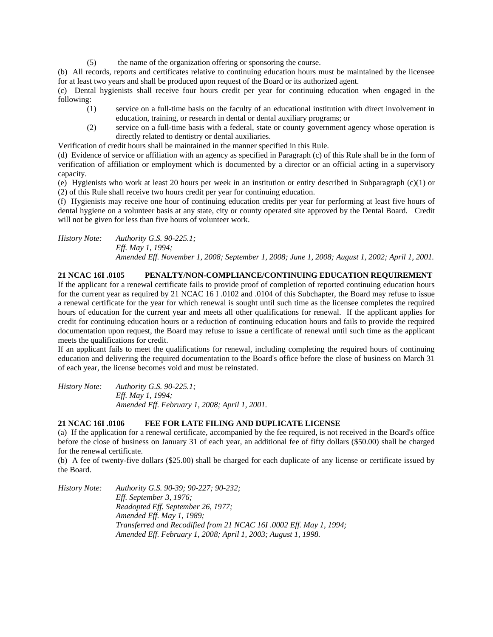(5) the name of the organization offering or sponsoring the course.

(b) All records, reports and certificates relative to continuing education hours must be maintained by the licensee for at least two years and shall be produced upon request of the Board or its authorized agent.

(c) Dental hygienists shall receive four hours credit per year for continuing education when engaged in the following:

- (1) service on a full-time basis on the faculty of an educational institution with direct involvement in education, training, or research in dental or dental auxiliary programs; or
- (2) service on a full-time basis with a federal, state or county government agency whose operation is directly related to dentistry or dental auxiliaries.

Verification of credit hours shall be maintained in the manner specified in this Rule.

(d) Evidence of service or affiliation with an agency as specified in Paragraph (c) of this Rule shall be in the form of verification of affiliation or employment which is documented by a director or an official acting in a supervisory capacity.

(e) Hygienists who work at least 20 hours per week in an institution or entity described in Subparagraph (c)(1) or (2) of this Rule shall receive two hours credit per year for continuing education.

(f) Hygienists may receive one hour of continuing education credits per year for performing at least five hours of dental hygiene on a volunteer basis at any state, city or county operated site approved by the Dental Board. Credit will not be given for less than five hours of volunteer work.

*History Note: Authority G.S. 90-225.1; Eff. May 1, 1994; Amended Eff. November 1, 2008; September 1, 2008; June 1, 2008; August 1, 2002; April 1, 2001.* 

# **21 NCAC 16I .0105 PENALTY/NON-COMPLIANCE/CONTINUING EDUCATION REQUIREMENT**

If the applicant for a renewal certificate fails to provide proof of completion of reported continuing education hours for the current year as required by 21 NCAC 16 I .0102 and .0104 of this Subchapter, the Board may refuse to issue a renewal certificate for the year for which renewal is sought until such time as the licensee completes the required hours of education for the current year and meets all other qualifications for renewal. If the applicant applies for credit for continuing education hours or a reduction of continuing education hours and fails to provide the required documentation upon request, the Board may refuse to issue a certificate of renewal until such time as the applicant meets the qualifications for credit.

If an applicant fails to meet the qualifications for renewal, including completing the required hours of continuing education and delivering the required documentation to the Board's office before the close of business on March 31 of each year, the license becomes void and must be reinstated.

*History Note: Authority G.S. 90-225.1; Eff. May 1, 1994; Amended Eff. February 1, 2008; April 1, 2001.* 

# **21 NCAC 16I .0106 FEE FOR LATE FILING AND DUPLICATE LICENSE**

(a) If the application for a renewal certificate, accompanied by the fee required, is not received in the Board's office before the close of business on January 31 of each year, an additional fee of fifty dollars (\$50.00) shall be charged for the renewal certificate.

(b) A fee of twenty-five dollars (\$25.00) shall be charged for each duplicate of any license or certificate issued by the Board.

*History Note: Authority G.S. 90-39; 90-227; 90-232; Eff. September 3, 1976; Readopted Eff. September 26, 1977; Amended Eff. May 1, 1989; Transferred and Recodified from 21 NCAC 16I .0002 Eff. May 1, 1994; Amended Eff. February 1, 2008; April 1, 2003; August 1, 1998.*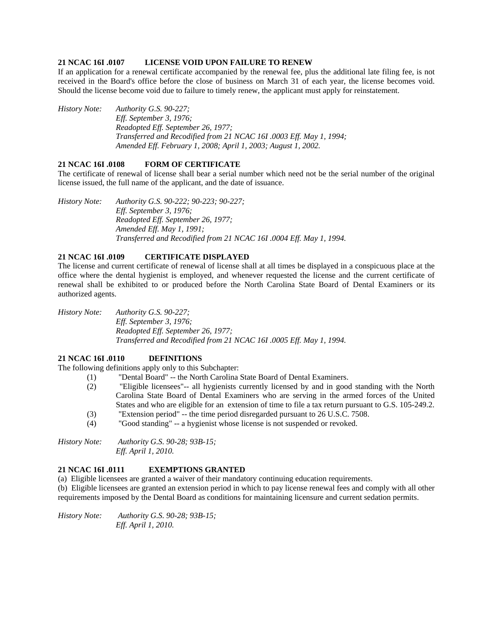## **21 NCAC 16I .0107 LICENSE VOID UPON FAILURE TO RENEW**

If an application for a renewal certificate accompanied by the renewal fee, plus the additional late filing fee, is not received in the Board's office before the close of business on March 31 of each year, the license becomes void. Should the license become void due to failure to timely renew, the applicant must apply for reinstatement.

*History Note: Authority G.S. 90-227; Eff. September 3, 1976; Readopted Eff. September 26, 1977; Transferred and Recodified from 21 NCAC 16I .0003 Eff. May 1, 1994; Amended Eff. February 1, 2008; April 1, 2003; August 1, 2002.* 

## **21 NCAC 16I .0108 FORM OF CERTIFICATE**

The certificate of renewal of license shall bear a serial number which need not be the serial number of the original license issued, the full name of the applicant, and the date of issuance.

*History Note: Authority G.S. 90-222; 90-223; 90-227; Eff. September 3, 1976; Readopted Eff. September 26, 1977; Amended Eff. May 1, 1991; Transferred and Recodified from 21 NCAC 16I .0004 Eff. May 1, 1994.* 

## **21 NCAC 16I .0109 CERTIFICATE DISPLAYED**

The license and current certificate of renewal of license shall at all times be displayed in a conspicuous place at the office where the dental hygienist is employed, and whenever requested the license and the current certificate of renewal shall be exhibited to or produced before the North Carolina State Board of Dental Examiners or its authorized agents.

*History Note: Authority G.S. 90-227; Eff. September 3, 1976; Readopted Eff. September 26, 1977; Transferred and Recodified from 21 NCAC 16I .0005 Eff. May 1, 1994.* 

## **21 NCAC 16I .0110 DEFINITIONS**

The following definitions apply only to this Subchapter:

- (1) "Dental Board" -- the North Carolina State Board of Dental Examiners.
	- (2) "Eligible licensees"-- all hygienists currently licensed by and in good standing with the North Carolina State Board of Dental Examiners who are serving in the armed forces of the United States and who are eligible for an extension of time to file a tax return pursuant to G.S. 105-249.2.
	- (3) "Extension period" -- the time period disregarded pursuant to 26 U.S.C. 7508.
	- (4) "Good standing" -- a hygienist whose license is not suspended or revoked.

*History Note: Authority G.S. 90-28; 93B-15; Eff. April 1, 2010.* 

### **21 NCAC 16I .0111 EXEMPTIONS GRANTED**

(a) Eligible licensees are granted a waiver of their mandatory continuing education requirements.

(b) Eligible licensees are granted an extension period in which to pay license renewal fees and comply with all other requirements imposed by the Dental Board as conditions for maintaining licensure and current sedation permits.

*History Note: Authority G.S. 90-28; 93B-15; Eff. April 1, 2010.*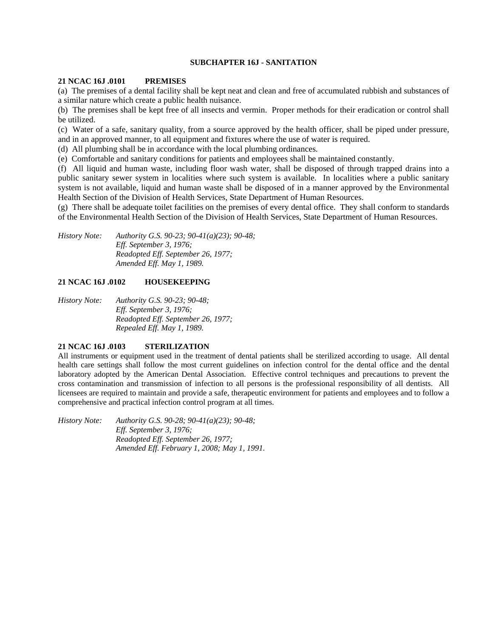## **SUBCHAPTER 16J - SANITATION**

## **21 NCAC 16J .0101 PREMISES**

(a) The premises of a dental facility shall be kept neat and clean and free of accumulated rubbish and substances of a similar nature which create a public health nuisance.

(b) The premises shall be kept free of all insects and vermin. Proper methods for their eradication or control shall be utilized.

(c) Water of a safe, sanitary quality, from a source approved by the health officer, shall be piped under pressure, and in an approved manner, to all equipment and fixtures where the use of water is required.

(d) All plumbing shall be in accordance with the local plumbing ordinances.

(e) Comfortable and sanitary conditions for patients and employees shall be maintained constantly.

(f) All liquid and human waste, including floor wash water, shall be disposed of through trapped drains into a public sanitary sewer system in localities where such system is available. In localities where a public sanitary system is not available, liquid and human waste shall be disposed of in a manner approved by the Environmental Health Section of the Division of Health Services, State Department of Human Resources.

(g) There shall be adequate toilet facilities on the premises of every dental office. They shall conform to standards of the Environmental Health Section of the Division of Health Services, State Department of Human Resources.

*History Note: Authority G.S. 90-23; 90-41(a)(23); 90-48; Eff. September 3, 1976; Readopted Eff. September 26, 1977; Amended Eff. May 1, 1989.* 

## **21 NCAC 16J .0102 HOUSEKEEPING**

*History Note: Authority G.S. 90-23; 90-48; Eff. September 3, 1976; Readopted Eff. September 26, 1977; Repealed Eff. May 1, 1989.* 

## **21 NCAC 16J .0103 STERILIZATION**

All instruments or equipment used in the treatment of dental patients shall be sterilized according to usage. All dental health care settings shall follow the most current guidelines on infection control for the dental office and the dental laboratory adopted by the American Dental Association. Effective control techniques and precautions to prevent the cross contamination and transmission of infection to all persons is the professional responsibility of all dentists. All licensees are required to maintain and provide a safe, therapeutic environment for patients and employees and to follow a comprehensive and practical infection control program at all times.

*History Note: Authority G.S. 90-28; 90-41(a)(23); 90-48; Eff. September 3, 1976; Readopted Eff. September 26, 1977; Amended Eff. February 1, 2008; May 1, 1991.*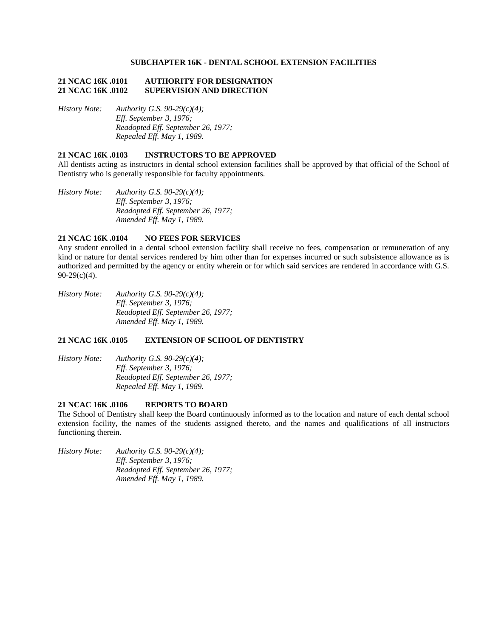### **SUBCHAPTER 16K - DENTAL SCHOOL EXTENSION FACILITIES**

## **21 NCAC 16K .0101 AUTHORITY FOR DESIGNATION 21 NCAC 16K .0102 SUPERVISION AND DIRECTION**

*History Note: Authority G.S. 90-29(c)(4); Eff. September 3, 1976; Readopted Eff. September 26, 1977; Repealed Eff. May 1, 1989.* 

### **21 NCAC 16K .0103 INSTRUCTORS TO BE APPROVED**

All dentists acting as instructors in dental school extension facilities shall be approved by that official of the School of Dentistry who is generally responsible for faculty appointments.

*History Note: Authority G.S. 90-29(c)(4); Eff. September 3, 1976; Readopted Eff. September 26, 1977; Amended Eff. May 1, 1989.* 

## **21 NCAC 16K .0104 NO FEES FOR SERVICES**

Any student enrolled in a dental school extension facility shall receive no fees, compensation or remuneration of any kind or nature for dental services rendered by him other than for expenses incurred or such subsistence allowance as is authorized and permitted by the agency or entity wherein or for which said services are rendered in accordance with G.S. 90-29(c)(4).

*History Note: Authority G.S. 90-29(c)(4); Eff. September 3, 1976; Readopted Eff. September 26, 1977; Amended Eff. May 1, 1989.* 

### **21 NCAC 16K .0105 EXTENSION OF SCHOOL OF DENTISTRY**

*History Note: Authority G.S. 90-29(c)(4); Eff. September 3, 1976; Readopted Eff. September 26, 1977; Repealed Eff. May 1, 1989.* 

## **21 NCAC 16K .0106 REPORTS TO BOARD**

The School of Dentistry shall keep the Board continuously informed as to the location and nature of each dental school extension facility, the names of the students assigned thereto, and the names and qualifications of all instructors functioning therein.

*History Note: Authority G.S. 90-29(c)(4); Eff. September 3, 1976; Readopted Eff. September 26, 1977; Amended Eff. May 1, 1989.*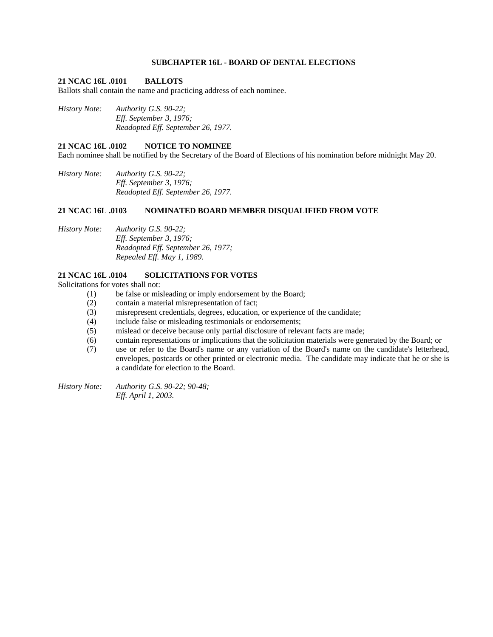## **SUBCHAPTER 16L - BOARD OF DENTAL ELECTIONS**

### **21 NCAC 16L .0101 BALLOTS**

Ballots shall contain the name and practicing address of each nominee.

*History Note: Authority G.S. 90-22; Eff. September 3, 1976; Readopted Eff. September 26, 1977.* 

### **21 NCAC 16L .0102 NOTICE TO NOMINEE**

Each nominee shall be notified by the Secretary of the Board of Elections of his nomination before midnight May 20.

*History Note: Authority G.S. 90-22; Eff. September 3, 1976; Readopted Eff. September 26, 1977.* 

## **21 NCAC 16L .0103 NOMINATED BOARD MEMBER DISQUALIFIED FROM VOTE**

*History Note: Authority G.S. 90-22; Eff. September 3, 1976; Readopted Eff. September 26, 1977; Repealed Eff. May 1, 1989.* 

### **21 NCAC 16L .0104 SOLICITATIONS FOR VOTES**

Solicitations for votes shall not:

- (1) be false or misleading or imply endorsement by the Board;
- (2) contain a material misrepresentation of fact;
- (3) misrepresent credentials, degrees, education, or experience of the candidate;
- (4) include false or misleading testimonials or endorsements;
- (5) mislead or deceive because only partial disclosure of relevant facts are made;
- (6) contain representations or implications that the solicitation materials were generated by the Board; or
- (7) use or refer to the Board's name or any variation of the Board's name on the candidate's letterhead, envelopes, postcards or other printed or electronic media. The candidate may indicate that he or she is a candidate for election to the Board.

*History Note: Authority G.S. 90-22; 90-48; Eff. April 1, 2003.*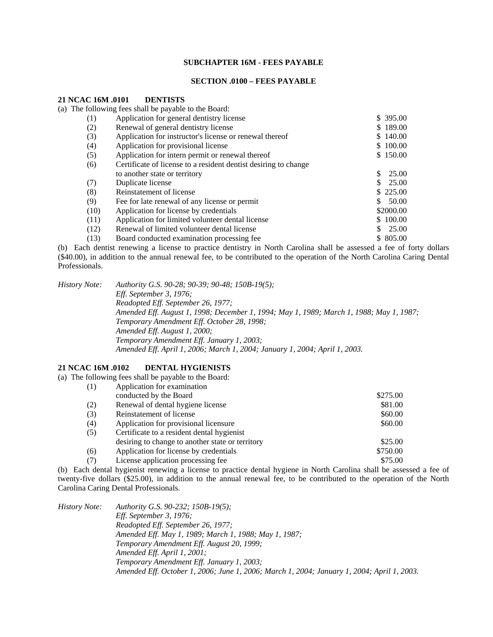### **SUBCHAPTER 16M - FEES PAYABLE**

#### **SECTION .0100 – FEES PAYABLE**

#### **21 NCAC 16M .0101 DENTISTS**

(a) The following fees shall be payable to the Board:

| (1)  | Application for general dentistry license                       | \$395.00  |
|------|-----------------------------------------------------------------|-----------|
| (2)  | Renewal of general dentistry license                            | \$189.00  |
| (3)  | Application for instructor's license or renewal thereof         | \$140.00  |
| (4)  | Application for provisional license                             | \$100.00  |
| (5)  | Application for intern permit or renewal thereof                | \$150.00  |
| (6)  | Certificate of license to a resident dentist desiring to change |           |
|      | to another state or territory                                   | 25.00     |
| (7)  | Duplicate license                                               | 25.00     |
| (8)  | Reinstatement of license                                        | \$225.00  |
| (9)  | Fee for late renewal of any license or permit                   | 50.00     |
| (10) | Application for license by credentials                          | \$2000.00 |
| (11) | Application for limited volunteer dental license                | \$100.00  |
| (12) | Renewal of limited volunteer dental license                     | 25.00     |
| (13) | Board conducted examination processing fee                      | \$ 805.00 |

(b) Each dentist renewing a license to practice dentistry in North Carolina shall be assessed a fee of forty dollars (\$40.00), in addition to the annual renewal fee, to be contributed to the operation of the North Carolina Caring Dental Professionals.

*History Note: Authority G.S. 90-28; 90-39; 90-48; 150B-19(5); Eff. September 3, 1976; Readopted Eff. September 26, 1977; Amended Eff. August 1, 1998; December 1, 1994; May 1, 1989; March 1, 1988; May 1, 1987; Temporary Amendment Eff. October 28, 1998; Amended Eff. August 1, 2000; Temporary Amendment Eff. January 1, 2003; Amended Eff. April 1, 2006; March 1, 2004; January 1, 2004; April 1, 2003.* 

## **21 NCAC 16M .0102 DENTAL HYGIENISTS**

(a) The following fees shall be payable to the Board:

|     | $10110 + 1118 + 1000$ should be particle to the Bourg. |          |
|-----|--------------------------------------------------------|----------|
| (1) | Application for examination                            |          |
|     | conducted by the Board                                 | \$275.00 |
| (2) | Renewal of dental hygiene license                      | \$81.00  |
| (3) | Reinstatement of license                               | \$60.00  |
| (4) | Application for provisional licensure                  | \$60.00  |
| (5) | Certificate to a resident dental hygienist             |          |
|     | desiring to change to another state or territory       | \$25.00  |
| (6) | Application for license by credentials                 | \$750.00 |
| (7) | License application processing fee                     | \$75.00  |

(b) Each dental hygienist renewing a license to practice dental hygiene in North Carolina shall be assessed a fee of twenty-five dollars (\$25.00), in addition to the annual renewal fee, to be contributed to the operation of the North Carolina Caring Dental Professionals.

| History Note: | Authority G.S. 90-232; 150B-19(5);                                                         |
|---------------|--------------------------------------------------------------------------------------------|
|               | Eff. September 3, $1976$ ;                                                                 |
|               | Readopted Eff. September 26, 1977;                                                         |
|               | Amended Eff. May 1, 1989; March 1, 1988; May 1, 1987;                                      |
|               | Temporary Amendment Eff. August 20, 1999;                                                  |
|               | Amended Eff. April 1, 2001;                                                                |
|               | Temporary Amendment Eff. January 1, 2003;                                                  |
|               | Amended Eff. October 1, 2006; June 1, 2006; March 1, 2004; January 1, 2004; April 1, 2003. |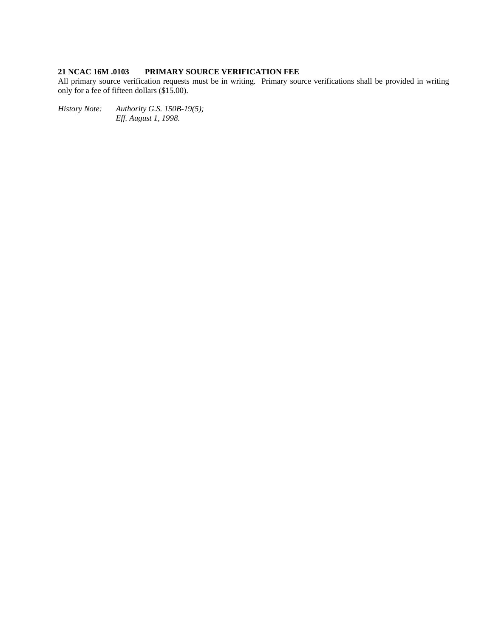# **21 NCAC 16M .0103 PRIMARY SOURCE VERIFICATION FEE**

All primary source verification requests must be in writing. Primary source verifications shall be provided in writing only for a fee of fifteen dollars (\$15.00).

*History Note: Authority G.S. 150B-19(5); Eff. August 1, 1998.*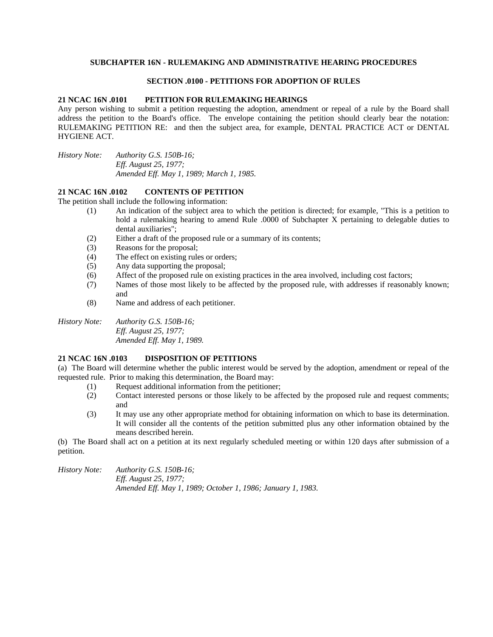## **SUBCHAPTER 16N - RULEMAKING AND ADMINISTRATIVE HEARING PROCEDURES**

#### **SECTION .0100 - PETITIONS FOR ADOPTION OF RULES**

#### **21 NCAC 16N .0101 PETITION FOR RULEMAKING HEARINGS**

Any person wishing to submit a petition requesting the adoption, amendment or repeal of a rule by the Board shall address the petition to the Board's office. The envelope containing the petition should clearly bear the notation: RULEMAKING PETITION RE: and then the subject area, for example, DENTAL PRACTICE ACT or DENTAL HYGIENE ACT.

*History Note: Authority G.S. 150B-16; Eff. August 25, 1977; Amended Eff. May 1, 1989; March 1, 1985.* 

### **21 NCAC 16N .0102 CONTENTS OF PETITION**

The petition shall include the following information:

- (1) An indication of the subject area to which the petition is directed; for example, "This is a petition to hold a rulemaking hearing to amend Rule .0000 of Subchapter X pertaining to delegable duties to dental auxiliaries";
- (2) Either a draft of the proposed rule or a summary of its contents;
- (3) Reasons for the proposal;
- (4) The effect on existing rules or orders;
- (5) Any data supporting the proposal;
- (6) Affect of the proposed rule on existing practices in the area involved, including cost factors;
- (7) Names of those most likely to be affected by the proposed rule, with addresses if reasonably known; and
- (8) Name and address of each petitioner.

*History Note: Authority G.S. 150B-16; Eff. August 25, 1977; Amended Eff. May 1, 1989.* 

## **21 NCAC 16N .0103 DISPOSITION OF PETITIONS**

(a) The Board will determine whether the public interest would be served by the adoption, amendment or repeal of the requested rule. Prior to making this determination, the Board may:

- (1) Request additional information from the petitioner;
- (2) Contact interested persons or those likely to be affected by the proposed rule and request comments; and
- (3) It may use any other appropriate method for obtaining information on which to base its determination. It will consider all the contents of the petition submitted plus any other information obtained by the means described herein.

(b) The Board shall act on a petition at its next regularly scheduled meeting or within 120 days after submission of a petition.

*History Note: Authority G.S. 150B-16; Eff. August 25, 1977; Amended Eff. May 1, 1989; October 1, 1986; January 1, 1983.*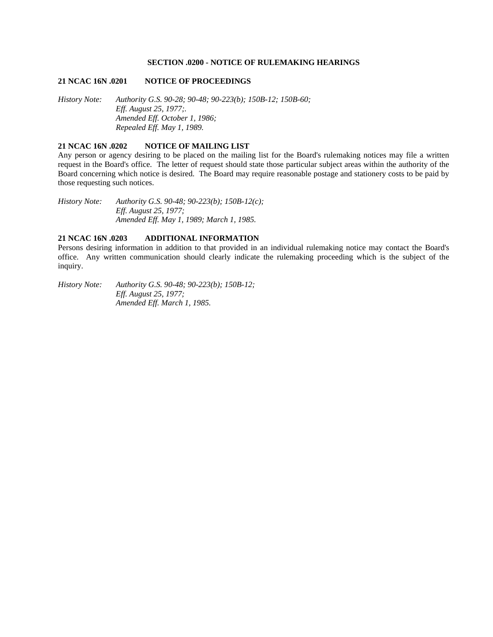## **SECTION .0200 - NOTICE OF RULEMAKING HEARINGS**

#### **21 NCAC 16N .0201 NOTICE OF PROCEEDINGS**

*History Note: Authority G.S. 90-28; 90-48; 90-223(b); 150B-12; 150B-60; Eff. August 25, 1977;. Amended Eff. October 1, 1986; Repealed Eff. May 1, 1989.* 

## **21 NCAC 16N .0202 NOTICE OF MAILING LIST**

Any person or agency desiring to be placed on the mailing list for the Board's rulemaking notices may file a written request in the Board's office. The letter of request should state those particular subject areas within the authority of the Board concerning which notice is desired. The Board may require reasonable postage and stationery costs to be paid by those requesting such notices.

*History Note: Authority G.S. 90-48; 90-223(b); 150B-12(c); Eff. August 25, 1977; Amended Eff. May 1, 1989; March 1, 1985.* 

## **21 NCAC 16N .0203 ADDITIONAL INFORMATION**

Persons desiring information in addition to that provided in an individual rulemaking notice may contact the Board's office. Any written communication should clearly indicate the rulemaking proceeding which is the subject of the inquiry.

*History Note: Authority G.S. 90-48; 90-223(b); 150B-12; Eff. August 25, 1977; Amended Eff. March 1, 1985.*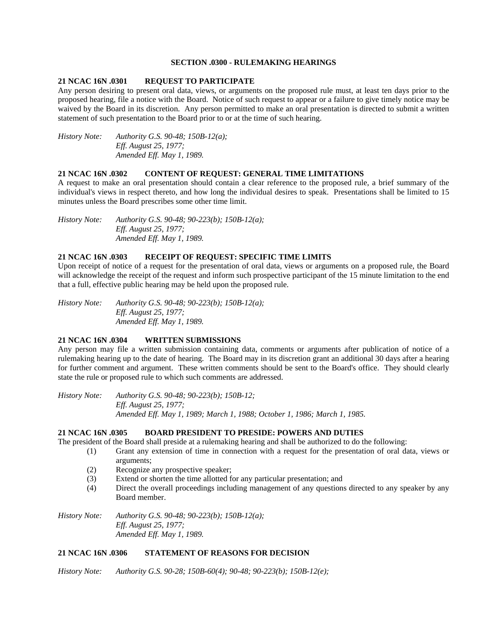### **SECTION .0300 - RULEMAKING HEARINGS**

#### **21 NCAC 16N .0301 REQUEST TO PARTICIPATE**

Any person desiring to present oral data, views, or arguments on the proposed rule must, at least ten days prior to the proposed hearing, file a notice with the Board. Notice of such request to appear or a failure to give timely notice may be waived by the Board in its discretion. Any person permitted to make an oral presentation is directed to submit a written statement of such presentation to the Board prior to or at the time of such hearing.

*History Note: Authority G.S. 90-48; 150B-12(a); Eff. August 25, 1977; Amended Eff. May 1, 1989.* 

### **21 NCAC 16N .0302 CONTENT OF REQUEST: GENERAL TIME LIMITATIONS**

A request to make an oral presentation should contain a clear reference to the proposed rule, a brief summary of the individual's views in respect thereto, and how long the individual desires to speak. Presentations shall be limited to 15 minutes unless the Board prescribes some other time limit.

*History Note: Authority G.S. 90-48; 90-223(b); 150B-12(a); Eff. August 25, 1977; Amended Eff. May 1, 1989.* 

## **21 NCAC 16N .0303 RECEIPT OF REQUEST: SPECIFIC TIME LIMITS**

Upon receipt of notice of a request for the presentation of oral data, views or arguments on a proposed rule, the Board will acknowledge the receipt of the request and inform such prospective participant of the 15 minute limitation to the end that a full, effective public hearing may be held upon the proposed rule.

*History Note: Authority G.S. 90-48; 90-223(b); 150B-12(a); Eff. August 25, 1977; Amended Eff. May 1, 1989.* 

## **21 NCAC 16N .0304 WRITTEN SUBMISSIONS**

Any person may file a written submission containing data, comments or arguments after publication of notice of a rulemaking hearing up to the date of hearing. The Board may in its discretion grant an additional 30 days after a hearing for further comment and argument. These written comments should be sent to the Board's office. They should clearly state the rule or proposed rule to which such comments are addressed.

*History Note: Authority G.S. 90-48; 90-223(b); 150B-12; Eff. August 25, 1977; Amended Eff. May 1, 1989; March 1, 1988; October 1, 1986; March 1, 1985.* 

#### **21 NCAC 16N .0305 BOARD PRESIDENT TO PRESIDE: POWERS AND DUTIES**

The president of the Board shall preside at a rulemaking hearing and shall be authorized to do the following:

- (1) Grant any extension of time in connection with a request for the presentation of oral data, views or arguments;
- (2) Recognize any prospective speaker;
- (3) Extend or shorten the time allotted for any particular presentation; and
- (4) Direct the overall proceedings including management of any questions directed to any speaker by any Board member.

*History Note: Authority G.S. 90-48; 90-223(b); 150B-12(a); Eff. August 25, 1977; Amended Eff. May 1, 1989.* 

## **21 NCAC 16N .0306 STATEMENT OF REASONS FOR DECISION**

*History Note: Authority G.S. 90-28; 150B-60(4); 90-48; 90-223(b); 150B-12(e);*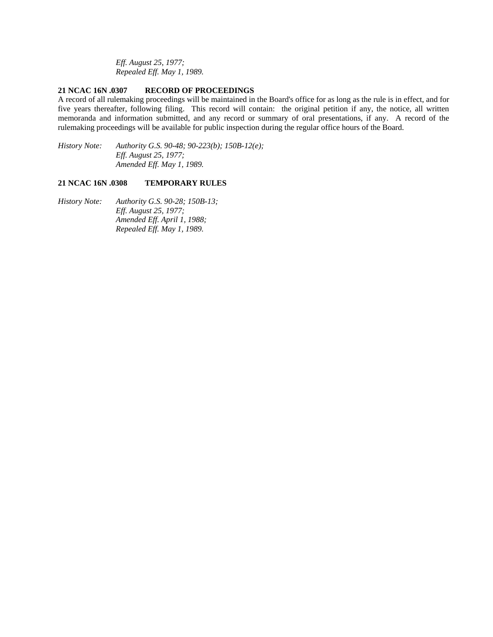*Eff. August 25, 1977; Repealed Eff. May 1, 1989.* 

## **21 NCAC 16N .0307 RECORD OF PROCEEDINGS**

A record of all rulemaking proceedings will be maintained in the Board's office for as long as the rule is in effect, and for five years thereafter, following filing. This record will contain: the original petition if any, the notice, all written memoranda and information submitted, and any record or summary of oral presentations, if any. A record of the rulemaking proceedings will be available for public inspection during the regular office hours of the Board.

*History Note: Authority G.S. 90-48; 90-223(b); 150B-12(e); Eff. August 25, 1977; Amended Eff. May 1, 1989.* 

#### **21 NCAC 16N .0308 TEMPORARY RULES**

*History Note: Authority G.S. 90-28; 150B-13; Eff. August 25, 1977; Amended Eff. April 1, 1988; Repealed Eff. May 1, 1989.*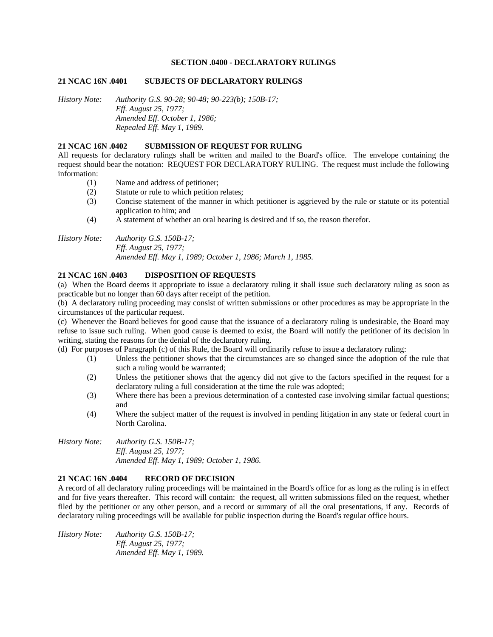#### **SECTION .0400 - DECLARATORY RULINGS**

#### **21 NCAC 16N .0401 SUBJECTS OF DECLARATORY RULINGS**

*History Note: Authority G.S. 90-28; 90-48; 90-223(b); 150B-17; Eff. August 25, 1977; Amended Eff. October 1, 1986; Repealed Eff. May 1, 1989.* 

## **21 NCAC 16N .0402 SUBMISSION OF REQUEST FOR RULING**

All requests for declaratory rulings shall be written and mailed to the Board's office. The envelope containing the request should bear the notation: REQUEST FOR DECLARATORY RULING. The request must include the following information:

- (1) Name and address of petitioner;
- (2) Statute or rule to which petition relates;
- (3) Concise statement of the manner in which petitioner is aggrieved by the rule or statute or its potential application to him; and
- (4) A statement of whether an oral hearing is desired and if so, the reason therefor.

*History Note: Authority G.S. 150B-17; Eff. August 25, 1977; Amended Eff. May 1, 1989; October 1, 1986; March 1, 1985.* 

### **21 NCAC 16N .0403 DISPOSITION OF REQUESTS**

(a) When the Board deems it appropriate to issue a declaratory ruling it shall issue such declaratory ruling as soon as practicable but no longer than 60 days after receipt of the petition.

(b) A declaratory ruling proceeding may consist of written submissions or other procedures as may be appropriate in the circumstances of the particular request.

(c) Whenever the Board believes for good cause that the issuance of a declaratory ruling is undesirable, the Board may refuse to issue such ruling. When good cause is deemed to exist, the Board will notify the petitioner of its decision in writing, stating the reasons for the denial of the declaratory ruling.

(d) For purposes of Paragraph (c) of this Rule, the Board will ordinarily refuse to issue a declaratory ruling:

- (1) Unless the petitioner shows that the circumstances are so changed since the adoption of the rule that such a ruling would be warranted;
- (2) Unless the petitioner shows that the agency did not give to the factors specified in the request for a declaratory ruling a full consideration at the time the rule was adopted;
- (3) Where there has been a previous determination of a contested case involving similar factual questions; and
- (4) Where the subject matter of the request is involved in pending litigation in any state or federal court in North Carolina.

*History Note: Authority G.S. 150B-17; Eff. August 25, 1977; Amended Eff. May 1, 1989; October 1, 1986.* 

### **21 NCAC 16N .0404 RECORD OF DECISION**

A record of all declaratory ruling proceedings will be maintained in the Board's office for as long as the ruling is in effect and for five years thereafter. This record will contain: the request, all written submissions filed on the request, whether filed by the petitioner or any other person, and a record or summary of all the oral presentations, if any. Records of declaratory ruling proceedings will be available for public inspection during the Board's regular office hours.

*History Note: Authority G.S. 150B-17; Eff. August 25, 1977; Amended Eff. May 1, 1989.*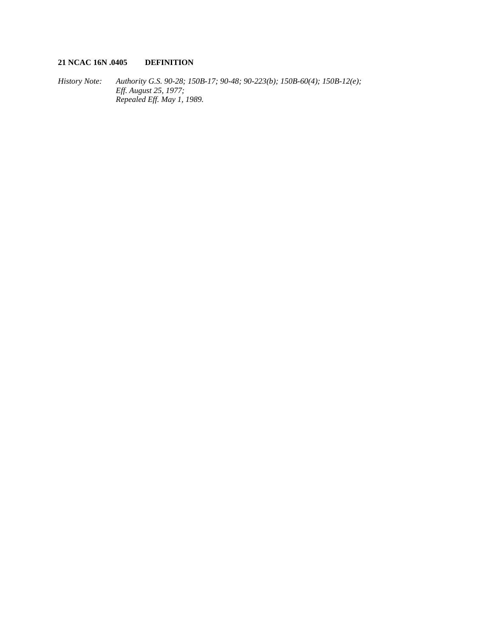# **21 NCAC 16N .0405 DEFINITION**

*History Note: Authority G.S. 90-28; 150B-17; 90-48; 90-223(b); 150B-60(4); 150B-12(e); Eff. August 25, 1977; Repealed Eff. May 1, 1989.*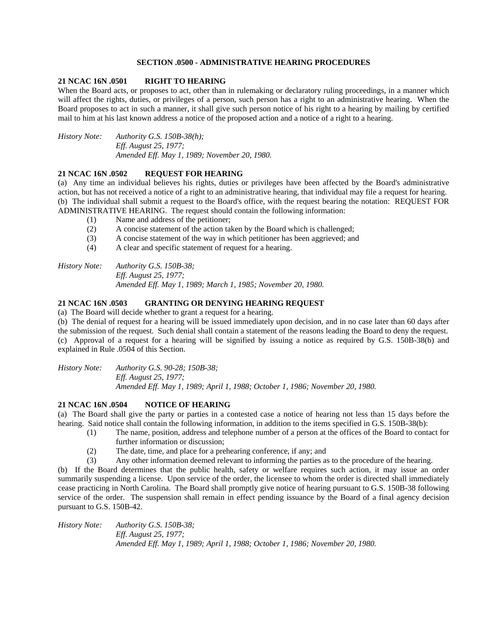## **SECTION .0500 - ADMINISTRATIVE HEARING PROCEDURES**

## **21 NCAC 16N .0501 RIGHT TO HEARING**

When the Board acts, or proposes to act, other than in rulemaking or declaratory ruling proceedings, in a manner which will affect the rights, duties, or privileges of a person, such person has a right to an administrative hearing. When the Board proposes to act in such a manner, it shall give such person notice of his right to a hearing by mailing by certified mail to him at his last known address a notice of the proposed action and a notice of a right to a hearing.

*History Note: Authority G.S. 150B-38(h); Eff. August 25, 1977; Amended Eff. May 1, 1989; November 20, 1980.* 

## **21 NCAC 16N .0502 REQUEST FOR HEARING**

(a) Any time an individual believes his rights, duties or privileges have been affected by the Board's administrative action, but has not received a notice of a right to an administrative hearing, that individual may file a request for hearing. (b) The individual shall submit a request to the Board's office, with the request bearing the notation: REQUEST FOR ADMINISTRATIVE HEARING. The request should contain the following information:

- (1) Name and address of the petitioner;
- (2) A concise statement of the action taken by the Board which is challenged;
- (3) A concise statement of the way in which petitioner has been aggrieved; and
- (4) A clear and specific statement of request for a hearing.

*History Note: Authority G.S. 150B-38; Eff. August 25, 1977; Amended Eff. May 1, 1989; March 1, 1985; November 20, 1980.* 

## **21 NCAC 16N .0503 GRANTING OR DENYING HEARING REQUEST**

(a) The Board will decide whether to grant a request for a hearing.

(b) The denial of request for a hearing will be issued immediately upon decision, and in no case later than 60 days after the submission of the request. Such denial shall contain a statement of the reasons leading the Board to deny the request. (c) Approval of a request for a hearing will be signified by issuing a notice as required by G.S. 150B-38(b) and explained in Rule .0504 of this Section.

*History Note: Authority G.S. 90-28; 150B-38; Eff. August 25, 1977; Amended Eff. May 1, 1989; April 1, 1988; October 1, 1986; November 20, 1980.* 

#### **21 NCAC 16N .0504 NOTICE OF HEARING**

(a) The Board shall give the party or parties in a contested case a notice of hearing not less than 15 days before the hearing. Said notice shall contain the following information, in addition to the items specified in G.S. 150B-38(b):

- (1) The name, position, address and telephone number of a person at the offices of the Board to contact for further information or discussion;
	- (2) The date, time, and place for a prehearing conference, if any; and
- (3) Any other information deemed relevant to informing the parties as to the procedure of the hearing.

(b) If the Board determines that the public health, safety or welfare requires such action, it may issue an order summarily suspending a license. Upon service of the order, the licensee to whom the order is directed shall immediately cease practicing in North Carolina. The Board shall promptly give notice of hearing pursuant to G.S. 150B-38 following service of the order. The suspension shall remain in effect pending issuance by the Board of a final agency decision pursuant to G.S. 150B-42.

*History Note: Authority G.S. 150B-38; Eff. August 25, 1977; Amended Eff. May 1, 1989; April 1, 1988; October 1, 1986; November 20, 1980.*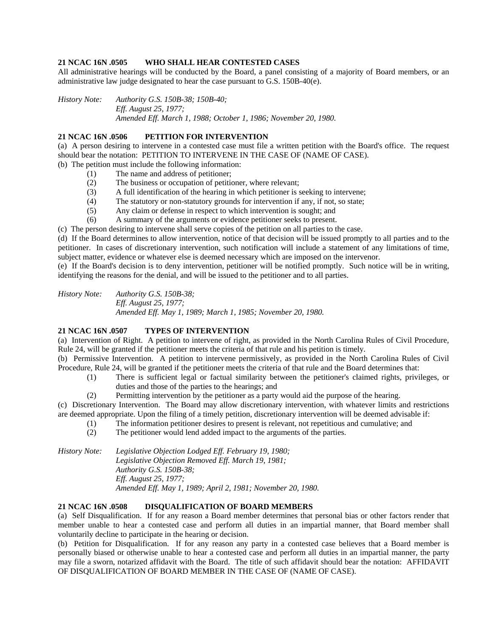## **21 NCAC 16N .0505 WHO SHALL HEAR CONTESTED CASES**

All administrative hearings will be conducted by the Board, a panel consisting of a majority of Board members, or an administrative law judge designated to hear the case pursuant to G.S. 150B-40(e).

*History Note: Authority G.S. 150B-38; 150B-40; Eff. August 25, 1977; Amended Eff. March 1, 1988; October 1, 1986; November 20, 1980.* 

## **21 NCAC 16N .0506 PETITION FOR INTERVENTION**

(a) A person desiring to intervene in a contested case must file a written petition with the Board's office. The request should bear the notation: PETITION TO INTERVENE IN THE CASE OF (NAME OF CASE). (b) The petition must include the following information:

- (1) The name and address of petitioner;
- (2) The business or occupation of petitioner, where relevant;
- (3) A full identification of the hearing in which petitioner is seeking to intervene;
- (4) The statutory or non-statutory grounds for intervention if any, if not, so state;
- (5) Any claim or defense in respect to which intervention is sought; and
- (6) A summary of the arguments or evidence petitioner seeks to present.

(c) The person desiring to intervene shall serve copies of the petition on all parties to the case.

(d) If the Board determines to allow intervention, notice of that decision will be issued promptly to all parties and to the petitioner. In cases of discretionary intervention, such notification will include a statement of any limitations of time, subject matter, evidence or whatever else is deemed necessary which are imposed on the intervenor.

(e) If the Board's decision is to deny intervention, petitioner will be notified promptly. Such notice will be in writing, identifying the reasons for the denial, and will be issued to the petitioner and to all parties.

*History Note: Authority G.S. 150B-38; Eff. August 25, 1977; Amended Eff. May 1, 1989; March 1, 1985; November 20, 1980.* 

## **21 NCAC 16N .0507 TYPES OF INTERVENTION**

(a) Intervention of Right. A petition to intervene of right, as provided in the North Carolina Rules of Civil Procedure, Rule 24, will be granted if the petitioner meets the criteria of that rule and his petition is timely.

(b) Permissive Intervention. A petition to intervene permissively, as provided in the North Carolina Rules of Civil Procedure, Rule 24, will be granted if the petitioner meets the criteria of that rule and the Board determines that:

- (1) There is sufficient legal or factual similarity between the petitioner's claimed rights, privileges, or duties and those of the parties to the hearings; and
- (2) Permitting intervention by the petitioner as a party would aid the purpose of the hearing.

(c) Discretionary Intervention. The Board may allow discretionary intervention, with whatever limits and restrictions are deemed appropriate. Upon the filing of a timely petition, discretionary intervention will be deemed advisable if:

- (1) The information petitioner desires to present is relevant, not repetitious and cumulative; and
- (2) The petitioner would lend added impact to the arguments of the parties.

*History Note: Legislative Objection Lodged Eff. February 19, 1980; Legislative Objection Removed Eff. March 19, 1981; Authority G.S. 150B-38; Eff. August 25, 1977; Amended Eff. May 1, 1989; April 2, 1981; November 20, 1980.* 

## **21 NCAC 16N .0508 DISQUALIFICATION OF BOARD MEMBERS**

(a) Self Disqualification. If for any reason a Board member determines that personal bias or other factors render that member unable to hear a contested case and perform all duties in an impartial manner, that Board member shall voluntarily decline to participate in the hearing or decision.

(b) Petition for Disqualification. If for any reason any party in a contested case believes that a Board member is personally biased or otherwise unable to hear a contested case and perform all duties in an impartial manner, the party may file a sworn, notarized affidavit with the Board. The title of such affidavit should bear the notation: AFFIDAVIT OF DISQUALIFICATION OF BOARD MEMBER IN THE CASE OF (NAME OF CASE).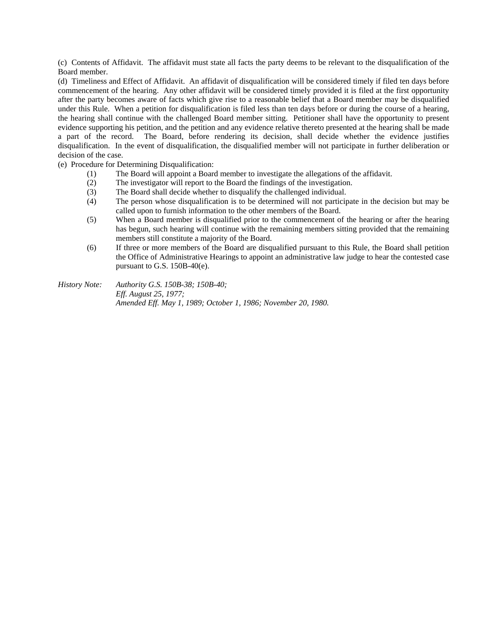(c) Contents of Affidavit. The affidavit must state all facts the party deems to be relevant to the disqualification of the Board member.

(d) Timeliness and Effect of Affidavit. An affidavit of disqualification will be considered timely if filed ten days before commencement of the hearing. Any other affidavit will be considered timely provided it is filed at the first opportunity after the party becomes aware of facts which give rise to a reasonable belief that a Board member may be disqualified under this Rule. When a petition for disqualification is filed less than ten days before or during the course of a hearing, the hearing shall continue with the challenged Board member sitting. Petitioner shall have the opportunity to present evidence supporting his petition, and the petition and any evidence relative thereto presented at the hearing shall be made a part of the record. The Board, before rendering its decision, shall decide whether the evidence justifies disqualification. In the event of disqualification, the disqualified member will not participate in further deliberation or decision of the case.

(e) Procedure for Determining Disqualification:

- (1) The Board will appoint a Board member to investigate the allegations of the affidavit.
- (2) The investigator will report to the Board the findings of the investigation.
- (3) The Board shall decide whether to disqualify the challenged individual.
- (4) The person whose disqualification is to be determined will not participate in the decision but may be called upon to furnish information to the other members of the Board.
- (5) When a Board member is disqualified prior to the commencement of the hearing or after the hearing has begun, such hearing will continue with the remaining members sitting provided that the remaining members still constitute a majority of the Board.
- (6) If three or more members of the Board are disqualified pursuant to this Rule, the Board shall petition the Office of Administrative Hearings to appoint an administrative law judge to hear the contested case pursuant to G.S. 150B-40(e).

*History Note: Authority G.S. 150B-38; 150B-40; Eff. August 25, 1977; Amended Eff. May 1, 1989; October 1, 1986; November 20, 1980.*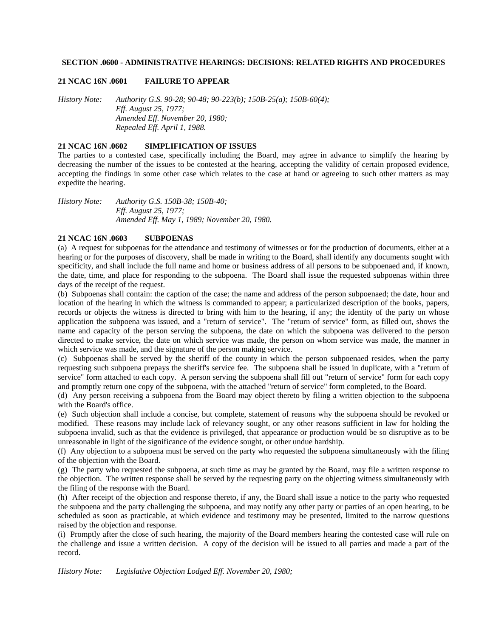## **SECTION .0600 - ADMINISTRATIVE HEARINGS: DECISIONS: RELATED RIGHTS AND PROCEDURES**

#### **21 NCAC 16N .0601 FAILURE TO APPEAR**

*History Note: Authority G.S. 90-28; 90-48; 90-223(b); 150B-25(a); 150B-60(4); Eff. August 25, 1977; Amended Eff. November 20, 1980; Repealed Eff. April 1, 1988.* 

## **21 NCAC 16N .0602 SIMPLIFICATION OF ISSUES**

The parties to a contested case, specifically including the Board, may agree in advance to simplify the hearing by decreasing the number of the issues to be contested at the hearing, accepting the validity of certain proposed evidence, accepting the findings in some other case which relates to the case at hand or agreeing to such other matters as may expedite the hearing.

*History Note: Authority G.S. 150B-38; 150B-40; Eff. August 25, 1977; Amended Eff. May 1, 1989; November 20, 1980.* 

## **21 NCAC 16N .0603 SUBPOENAS**

(a) A request for subpoenas for the attendance and testimony of witnesses or for the production of documents, either at a hearing or for the purposes of discovery, shall be made in writing to the Board, shall identify any documents sought with specificity, and shall include the full name and home or business address of all persons to be subpoenaed and, if known, the date, time, and place for responding to the subpoena. The Board shall issue the requested subpoenas within three days of the receipt of the request.

(b) Subpoenas shall contain: the caption of the case; the name and address of the person subpoenaed; the date, hour and location of the hearing in which the witness is commanded to appear; a particularized description of the books, papers, records or objects the witness is directed to bring with him to the hearing, if any; the identity of the party on whose application the subpoena was issued, and a "return of service". The "return of service" form, as filled out, shows the name and capacity of the person serving the subpoena, the date on which the subpoena was delivered to the person directed to make service, the date on which service was made, the person on whom service was made, the manner in which service was made, and the signature of the person making service.

(c) Subpoenas shall be served by the sheriff of the county in which the person subpoenaed resides, when the party requesting such subpoena prepays the sheriff's service fee. The subpoena shall be issued in duplicate, with a "return of service" form attached to each copy. A person serving the subpoena shall fill out "return of service" form for each copy and promptly return one copy of the subpoena, with the attached "return of service" form completed, to the Board.

(d) Any person receiving a subpoena from the Board may object thereto by filing a written objection to the subpoena with the Board's office.

(e) Such objection shall include a concise, but complete, statement of reasons why the subpoena should be revoked or modified. These reasons may include lack of relevancy sought, or any other reasons sufficient in law for holding the subpoena invalid, such as that the evidence is privileged, that appearance or production would be so disruptive as to be unreasonable in light of the significance of the evidence sought, or other undue hardship.

(f) Any objection to a subpoena must be served on the party who requested the subpoena simultaneously with the filing of the objection with the Board.

(g) The party who requested the subpoena, at such time as may be granted by the Board, may file a written response to the objection. The written response shall be served by the requesting party on the objecting witness simultaneously with the filing of the response with the Board.

(h) After receipt of the objection and response thereto, if any, the Board shall issue a notice to the party who requested the subpoena and the party challenging the subpoena, and may notify any other party or parties of an open hearing, to be scheduled as soon as practicable, at which evidence and testimony may be presented, limited to the narrow questions raised by the objection and response.

(i) Promptly after the close of such hearing, the majority of the Board members hearing the contested case will rule on the challenge and issue a written decision. A copy of the decision will be issued to all parties and made a part of the record.

*History Note: Legislative Objection Lodged Eff. November 20, 1980;*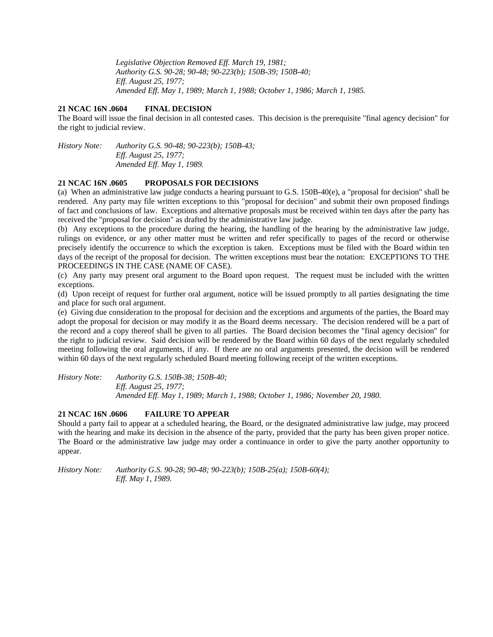*Legislative Objection Removed Eff. March 19, 1981; Authority G.S. 90-28; 90-48; 90-223(b); 150B-39; 150B-40; Eff. August 25, 1977; Amended Eff. May 1, 1989; March 1, 1988; October 1, 1986; March 1, 1985.* 

## **21 NCAC 16N .0604 FINAL DECISION**

The Board will issue the final decision in all contested cases. This decision is the prerequisite "final agency decision" for the right to judicial review.

*History Note: Authority G.S. 90-48; 90-223(b); 150B-43; Eff. August 25, 1977; Amended Eff. May 1, 1989.* 

## **21 NCAC 16N .0605 PROPOSALS FOR DECISIONS**

(a) When an administrative law judge conducts a hearing pursuant to G.S. 150B-40(e), a "proposal for decision" shall be rendered. Any party may file written exceptions to this "proposal for decision" and submit their own proposed findings of fact and conclusions of law. Exceptions and alternative proposals must be received within ten days after the party has received the "proposal for decision" as drafted by the administrative law judge.

(b) Any exceptions to the procedure during the hearing, the handling of the hearing by the administrative law judge, rulings on evidence, or any other matter must be written and refer specifically to pages of the record or otherwise precisely identify the occurrence to which the exception is taken. Exceptions must be filed with the Board within ten days of the receipt of the proposal for decision. The written exceptions must bear the notation: EXCEPTIONS TO THE PROCEEDINGS IN THE CASE (NAME OF CASE).

(c) Any party may present oral argument to the Board upon request. The request must be included with the written exceptions.

(d) Upon receipt of request for further oral argument, notice will be issued promptly to all parties designating the time and place for such oral argument.

(e) Giving due consideration to the proposal for decision and the exceptions and arguments of the parties, the Board may adopt the proposal for decision or may modify it as the Board deems necessary. The decision rendered will be a part of the record and a copy thereof shall be given to all parties. The Board decision becomes the "final agency decision" for the right to judicial review. Said decision will be rendered by the Board within 60 days of the next regularly scheduled meeting following the oral arguments, if any. If there are no oral arguments presented, the decision will be rendered within 60 days of the next regularly scheduled Board meeting following receipt of the written exceptions.

*History Note: Authority G.S. 150B-38; 150B-40; Eff. August 25, 1977; Amended Eff. May 1, 1989; March 1, 1988; October 1, 1986; November 20, 1980.* 

## **21 NCAC 16N .0606 FAILURE TO APPEAR**

Should a party fail to appear at a scheduled hearing, the Board, or the designated administrative law judge, may proceed with the hearing and make its decision in the absence of the party, provided that the party has been given proper notice. The Board or the administrative law judge may order a continuance in order to give the party another opportunity to appear.

*History Note: Authority G.S. 90-28; 90-48; 90-223(b); 150B-25(a); 150B-60(4); Eff. May 1, 1989.*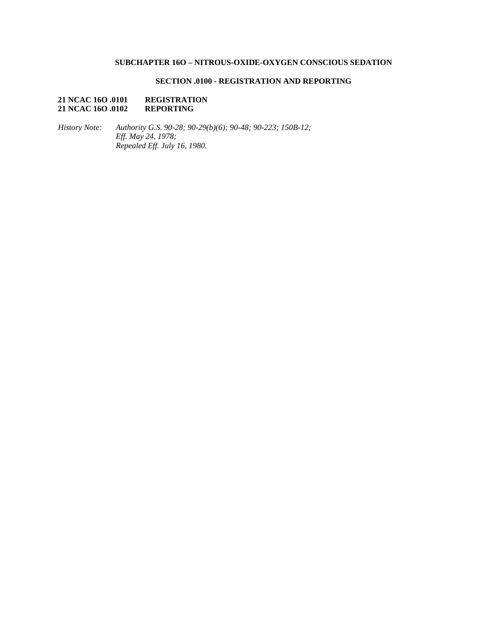# **SUBCHAPTER 16O – NITROUS-OXIDE-OXYGEN CONSCIOUS SEDATION**

## **SECTION .0100 - REGISTRATION AND REPORTING**

## **21 NCAC 16O .0101 REGISTRATION 21 NCAC 16O .0102**

*History Note: Authority G.S. 90-28; 90-29(b)(6); 90-48; 90-223; 150B-12; Eff. May 24, 1978; Repealed Eff. July 16, 1980.*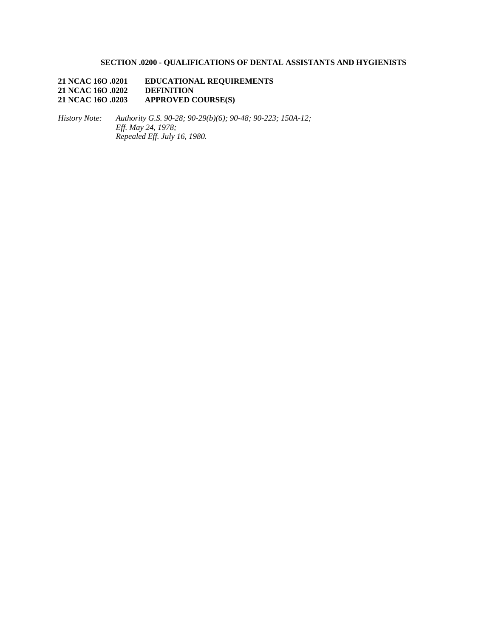# **SECTION .0200 - QUALIFICATIONS OF DENTAL ASSISTANTS AND HYGIENISTS**

**21 NCAC 16O .0201 EDUCATIONAL REQUIREMENTS**  21 NCAC 16O **.0202**<br>21 NCAC 16O **.0203 21 APPROVED COURSE(S)** 

*History Note: Authority G.S. 90-28; 90-29(b)(6); 90-48; 90-223; 150A-12; Eff. May 24, 1978; Repealed Eff. July 16, 1980.*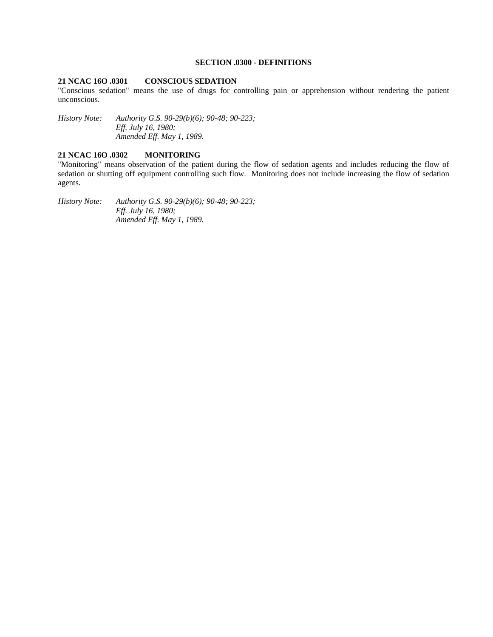## **SECTION .0300 - DEFINITIONS**

## **21 NCAC 16O .0301 CONSCIOUS SEDATION**

"Conscious sedation" means the use of drugs for controlling pain or apprehension without rendering the patient unconscious.

*History Note: Authority G.S. 90-29(b)(6); 90-48; 90-223; Eff. July 16, 1980; Amended Eff. May 1, 1989.* 

## **21 NCAC 16O .0302 MONITORING**

"Monitoring" means observation of the patient during the flow of sedation agents and includes reducing the flow of sedation or shutting off equipment controlling such flow. Monitoring does not include increasing the flow of sedation agents.

*History Note: Authority G.S. 90-29(b)(6); 90-48; 90-223; Eff. July 16, 1980; Amended Eff. May 1, 1989.*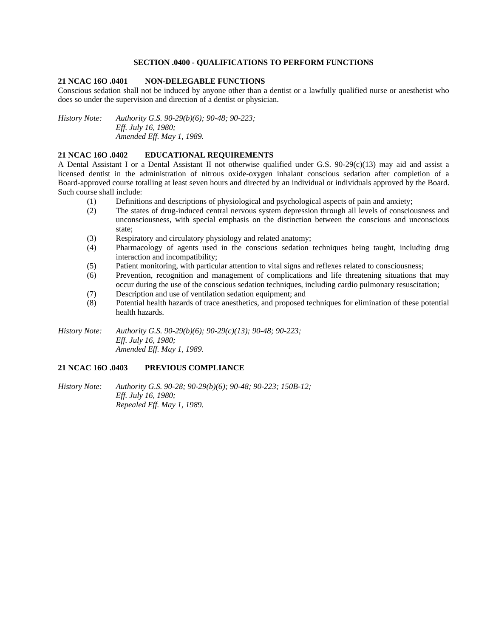## **SECTION .0400 - QUALIFICATIONS TO PERFORM FUNCTIONS**

## **21 NCAC 16O .0401 NON-DELEGABLE FUNCTIONS**

Conscious sedation shall not be induced by anyone other than a dentist or a lawfully qualified nurse or anesthetist who does so under the supervision and direction of a dentist or physician.

*History Note: Authority G.S. 90-29(b)(6); 90-48; 90-223; Eff. July 16, 1980; Amended Eff. May 1, 1989.* 

## **21 NCAC 16O .0402 EDUCATIONAL REQUIREMENTS**

A Dental Assistant I or a Dental Assistant II not otherwise qualified under G.S. 90-29(c)(13) may aid and assist a licensed dentist in the administration of nitrous oxide-oxygen inhalant conscious sedation after completion of a Board-approved course totalling at least seven hours and directed by an individual or individuals approved by the Board. Such course shall include:

- (1) Definitions and descriptions of physiological and psychological aspects of pain and anxiety;
- (2) The states of drug-induced central nervous system depression through all levels of consciousness and unconsciousness, with special emphasis on the distinction between the conscious and unconscious state;
- (3) Respiratory and circulatory physiology and related anatomy;
- (4) Pharmacology of agents used in the conscious sedation techniques being taught, including drug interaction and incompatibility;
- (5) Patient monitoring, with particular attention to vital signs and reflexes related to consciousness;
- (6) Prevention, recognition and management of complications and life threatening situations that may occur during the use of the conscious sedation techniques, including cardio pulmonary resuscitation;
- (7) Description and use of ventilation sedation equipment; and
- (8) Potential health hazards of trace anesthetics, and proposed techniques for elimination of these potential health hazards.

*History Note: Authority G.S. 90-29(b)(6); 90-29(c)(13); 90-48; 90-223; Eff. July 16, 1980; Amended Eff. May 1, 1989.* 

## **21 NCAC 16O .0403 PREVIOUS COMPLIANCE**

*History Note: Authority G.S. 90-28; 90-29(b)(6); 90-48; 90-223; 150B-12; Eff. July 16, 1980; Repealed Eff. May 1, 1989.*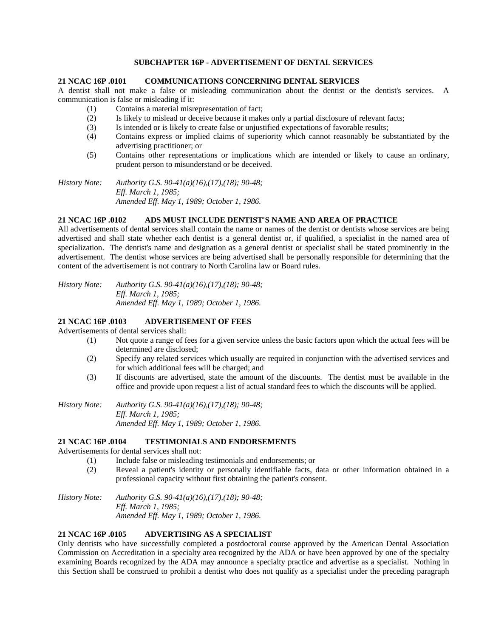## **SUBCHAPTER 16P - ADVERTISEMENT OF DENTAL SERVICES**

**21 NCAC 16P .0101 COMMUNICATIONS CONCERNING DENTAL SERVICES** 

A dentist shall not make a false or misleading communication about the dentist or the dentist's services. A communication is false or misleading if it:

- (1) Contains a material misrepresentation of fact;
- (2) Is likely to mislead or deceive because it makes only a partial disclosure of relevant facts;
- (3) Is intended or is likely to create false or unjustified expectations of favorable results;
- (4) Contains express or implied claims of superiority which cannot reasonably be substantiated by the advertising practitioner; or
- (5) Contains other representations or implications which are intended or likely to cause an ordinary, prudent person to misunderstand or be deceived.

*History Note: Authority G.S. 90-41(a)(16),(17),(18); 90-48; Eff. March 1, 1985; Amended Eff. May 1, 1989; October 1, 1986.* 

### **21 NCAC 16P .0102 ADS MUST INCLUDE DENTIST'S NAME AND AREA OF PRACTICE**

All advertisements of dental services shall contain the name or names of the dentist or dentists whose services are being advertised and shall state whether each dentist is a general dentist or, if qualified, a specialist in the named area of specialization. The dentist's name and designation as a general dentist or specialist shall be stated prominently in the advertisement. The dentist whose services are being advertised shall be personally responsible for determining that the content of the advertisement is not contrary to North Carolina law or Board rules.

*History Note: Authority G.S. 90-41(a)(16),(17),(18); 90-48; Eff. March 1, 1985; Amended Eff. May 1, 1989; October 1, 1986.* 

## **21 NCAC 16P .0103 ADVERTISEMENT OF FEES**

Advertisements of dental services shall:

- (1) Not quote a range of fees for a given service unless the basic factors upon which the actual fees will be determined are disclosed;
- (2) Specify any related services which usually are required in conjunction with the advertised services and for which additional fees will be charged; and
- (3) If discounts are advertised, state the amount of the discounts. The dentist must be available in the office and provide upon request a list of actual standard fees to which the discounts will be applied.

*History Note: Authority G.S. 90-41(a)(16),(17),(18); 90-48; Eff. March 1, 1985; Amended Eff. May 1, 1989; October 1, 1986.* 

#### **21 NCAC 16P .0104 TESTIMONIALS AND ENDORSEMENTS**

Advertisements for dental services shall not:

- (1) Include false or misleading testimonials and endorsements; or
- (2) Reveal a patient's identity or personally identifiable facts, data or other information obtained in a professional capacity without first obtaining the patient's consent.

*History Note: Authority G.S. 90-41(a)(16),(17),(18); 90-48; Eff. March 1, 1985; Amended Eff. May 1, 1989; October 1, 1986.* 

## **21 NCAC 16P .0105 ADVERTISING AS A SPECIALIST**

Only dentists who have successfully completed a postdoctoral course approved by the American Dental Association Commission on Accreditation in a specialty area recognized by the ADA or have been approved by one of the specialty examining Boards recognized by the ADA may announce a specialty practice and advertise as a specialist. Nothing in this Section shall be construed to prohibit a dentist who does not qualify as a specialist under the preceding paragraph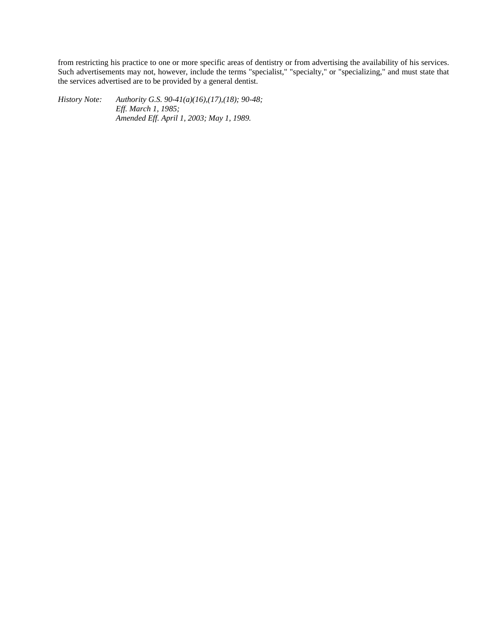from restricting his practice to one or more specific areas of dentistry or from advertising the availability of his services. Such advertisements may not, however, include the terms "specialist," "specialty," or "specializing," and must state that the services advertised are to be provided by a general dentist.

*History Note: Authority G.S. 90-41(a)(16),(17),(18); 90-48; Eff. March 1, 1985; Amended Eff. April 1, 2003; May 1, 1989.*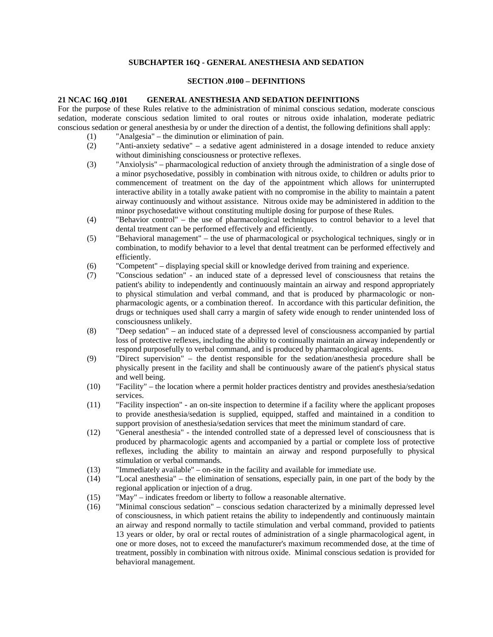## **SUBCHAPTER 16Q - GENERAL ANESTHESIA AND SEDATION**

#### **SECTION .0100 – DEFINITIONS**

#### **21 NCAC 16Q .0101 GENERAL ANESTHESIA AND SEDATION DEFINITIONS**

For the purpose of these Rules relative to the administration of minimal conscious sedation, moderate conscious sedation, moderate conscious sedation limited to oral routes or nitrous oxide inhalation, moderate pediatric conscious sedation or general anesthesia by or under the direction of a dentist, the following definitions shall apply:

- (1) "Analgesia" the diminution or elimination of pain.
- (2) "Anti-anxiety sedative" a sedative agent administered in a dosage intended to reduce anxiety without diminishing consciousness or protective reflexes.
- (3) "Anxiolysis" pharmacological reduction of anxiety through the administration of a single dose of a minor psychosedative, possibly in combination with nitrous oxide, to children or adults prior to commencement of treatment on the day of the appointment which allows for uninterrupted interactive ability in a totally awake patient with no compromise in the ability to maintain a patent airway continuously and without assistance. Nitrous oxide may be administered in addition to the minor psychosedative without constituting multiple dosing for purpose of these Rules.
- (4) "Behavior control" the use of pharmacological techniques to control behavior to a level that dental treatment can be performed effectively and efficiently.
- (5) "Behavioral management" the use of pharmacological or psychological techniques, singly or in combination, to modify behavior to a level that dental treatment can be performed effectively and efficiently.
- (6) "Competent" displaying special skill or knowledge derived from training and experience.
- (7) "Conscious sedation" an induced state of a depressed level of consciousness that retains the patient's ability to independently and continuously maintain an airway and respond appropriately to physical stimulation and verbal command, and that is produced by pharmacologic or nonpharmacologic agents, or a combination thereof. In accordance with this particular definition, the drugs or techniques used shall carry a margin of safety wide enough to render unintended loss of consciousness unlikely.
- (8) "Deep sedation" an induced state of a depressed level of consciousness accompanied by partial loss of protective reflexes, including the ability to continually maintain an airway independently or respond purposefully to verbal command, and is produced by pharmacological agents.
- (9) "Direct supervision" the dentist responsible for the sedation/anesthesia procedure shall be physically present in the facility and shall be continuously aware of the patient's physical status and well being.
- (10) "Facility" the location where a permit holder practices dentistry and provides anesthesia/sedation services.
- (11) "Facility inspection" an on-site inspection to determine if a facility where the applicant proposes to provide anesthesia/sedation is supplied, equipped, staffed and maintained in a condition to support provision of anesthesia/sedation services that meet the minimum standard of care.
- (12) "General anesthesia" the intended controlled state of a depressed level of consciousness that is produced by pharmacologic agents and accompanied by a partial or complete loss of protective reflexes, including the ability to maintain an airway and respond purposefully to physical stimulation or verbal commands.
- (13) "Immediately available" on-site in the facility and available for immediate use.
- (14) "Local anesthesia" the elimination of sensations, especially pain, in one part of the body by the regional application or injection of a drug.
- (15) "May" indicates freedom or liberty to follow a reasonable alternative.
- (16) "Minimal conscious sedation" conscious sedation characterized by a minimally depressed level of consciousness, in which patient retains the ability to independently and continuously maintain an airway and respond normally to tactile stimulation and verbal command, provided to patients 13 years or older, by oral or rectal routes of administration of a single pharmacological agent, in one or more doses, not to exceed the manufacturer's maximum recommended dose, at the time of treatment, possibly in combination with nitrous oxide. Minimal conscious sedation is provided for behavioral management.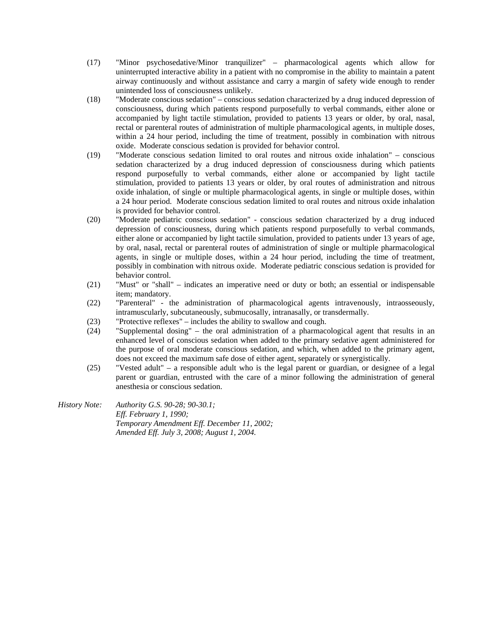- (17) "Minor psychosedative/Minor tranquilizer" pharmacological agents which allow for uninterrupted interactive ability in a patient with no compromise in the ability to maintain a patent airway continuously and without assistance and carry a margin of safety wide enough to render unintended loss of consciousness unlikely.
- (18) "Moderate conscious sedation" conscious sedation characterized by a drug induced depression of consciousness, during which patients respond purposefully to verbal commands, either alone or accompanied by light tactile stimulation, provided to patients 13 years or older, by oral, nasal, rectal or parenteral routes of administration of multiple pharmacological agents, in multiple doses, within a 24 hour period, including the time of treatment, possibly in combination with nitrous oxide. Moderate conscious sedation is provided for behavior control.
- (19) "Moderate conscious sedation limited to oral routes and nitrous oxide inhalation" conscious sedation characterized by a drug induced depression of consciousness during which patients respond purposefully to verbal commands, either alone or accompanied by light tactile stimulation, provided to patients 13 years or older, by oral routes of administration and nitrous oxide inhalation, of single or multiple pharmacological agents, in single or multiple doses, within a 24 hour period. Moderate conscious sedation limited to oral routes and nitrous oxide inhalation is provided for behavior control.
- (20) "Moderate pediatric conscious sedation" conscious sedation characterized by a drug induced depression of consciousness, during which patients respond purposefully to verbal commands, either alone or accompanied by light tactile simulation, provided to patients under 13 years of age, by oral, nasal, rectal or parenteral routes of administration of single or multiple pharmacological agents, in single or multiple doses, within a 24 hour period, including the time of treatment, possibly in combination with nitrous oxide. Moderate pediatric conscious sedation is provided for behavior control.
- (21) "Must" or "shall" indicates an imperative need or duty or both; an essential or indispensable item; mandatory.
- (22) "Parenteral" the administration of pharmacological agents intravenously, intraosseously, intramuscularly, subcutaneously, submucosally, intranasally, or transdermally.
- (23) "Protective reflexes" includes the ability to swallow and cough.
- (24) "Supplemental dosing" the oral administration of a pharmacological agent that results in an enhanced level of conscious sedation when added to the primary sedative agent administered for the purpose of oral moderate conscious sedation, and which, when added to the primary agent, does not exceed the maximum safe dose of either agent, separately or synergistically.
- (25) "Vested adult" a responsible adult who is the legal parent or guardian, or designee of a legal parent or guardian, entrusted with the care of a minor following the administration of general anesthesia or conscious sedation.
- *History Note: Authority G.S. 90-28; 90-30.1; Eff. February 1, 1990; Temporary Amendment Eff. December 11, 2002; Amended Eff. July 3, 2008; August 1, 2004.*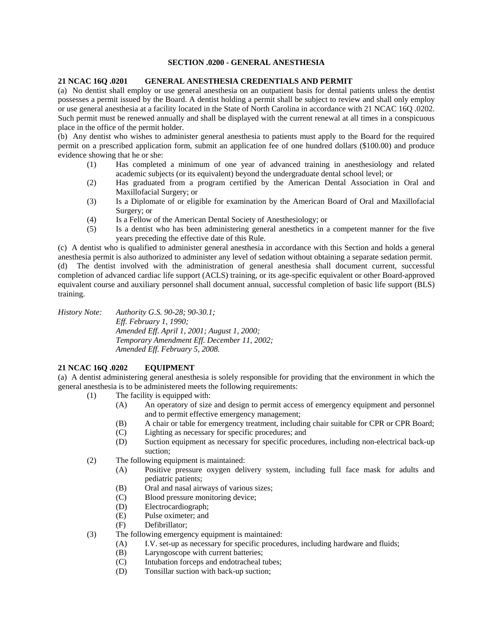## **SECTION .0200 - GENERAL ANESTHESIA**

## **21 NCAC 16Q .0201 GENERAL ANESTHESIA CREDENTIALS AND PERMIT**

(a) No dentist shall employ or use general anesthesia on an outpatient basis for dental patients unless the dentist possesses a permit issued by the Board. A dentist holding a permit shall be subject to review and shall only employ or use general anesthesia at a facility located in the State of North Carolina in accordance with 21 NCAC 16Q .0202. Such permit must be renewed annually and shall be displayed with the current renewal at all times in a conspicuous place in the office of the permit holder.

(b) Any dentist who wishes to administer general anesthesia to patients must apply to the Board for the required permit on a prescribed application form, submit an application fee of one hundred dollars (\$100.00) and produce evidence showing that he or she:

- (1) Has completed a minimum of one year of advanced training in anesthesiology and related academic subjects (or its equivalent) beyond the undergraduate dental school level; or
- (2) Has graduated from a program certified by the American Dental Association in Oral and Maxillofacial Surgery; or
- (3) Is a Diplomate of or eligible for examination by the American Board of Oral and Maxillofacial Surgery; or
- (4) Is a Fellow of the American Dental Society of Anesthesiology; or
- (5) Is a dentist who has been administering general anesthetics in a competent manner for the five years preceding the effective date of this Rule.

(c) A dentist who is qualified to administer general anesthesia in accordance with this Section and holds a general anesthesia permit is also authorized to administer any level of sedation without obtaining a separate sedation permit. (d) The dentist involved with the administration of general anesthesia shall document current, successful completion of advanced cardiac life support (ACLS) training, or its age-specific equivalent or other Board-approved

equivalent course and auxiliary personnel shall document annual, successful completion of basic life support (BLS) training.

*History Note: Authority G.S. 90-28; 90-30.1;* 

*Eff. February 1, 1990; Amended Eff. April 1, 2001; August 1, 2000; Temporary Amendment Eff. December 11, 2002; Amended Eff. February 5, 2008.* 

## **21 NCAC 16Q .0202 EQUIPMENT**

(a) A dentist administering general anesthesia is solely responsible for providing that the environment in which the general anesthesia is to be administered meets the following requirements:

- (1) The facility is equipped with:
	- (A) An operatory of size and design to permit access of emergency equipment and personnel and to permit effective emergency management;
	- (B) A chair or table for emergency treatment, including chair suitable for CPR or CPR Board;
	- (C) Lighting as necessary for specific procedures; and
	- (D) Suction equipment as necessary for specific procedures, including non-electrical back-up suction;
- (2) The following equipment is maintained:
	- (A) Positive pressure oxygen delivery system, including full face mask for adults and pediatric patients;
	- (B) Oral and nasal airways of various sizes;
	- (C) Blood pressure monitoring device;
	- (D) Electrocardiograph;
	- (E) Pulse oximeter; and
	- (F) Defibrillator;
- (3) The following emergency equipment is maintained:
	- (A) I.V. set-up as necessary for specific procedures, including hardware and fluids;
	- (B) Laryngoscope with current batteries;
	- (C) Intubation forceps and endotracheal tubes;
	- (D) Tonsillar suction with back-up suction;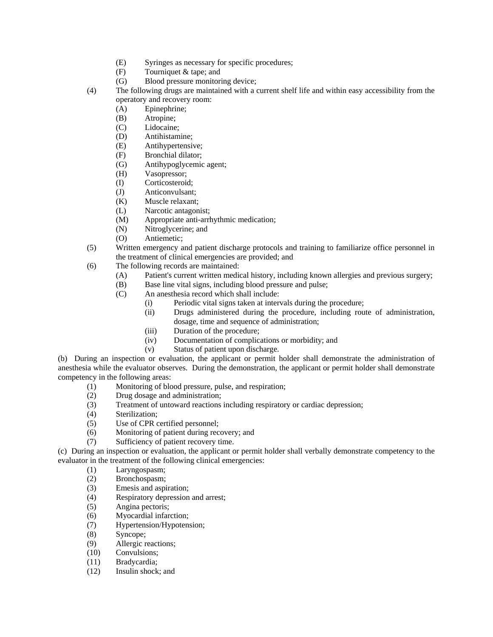- (E) Syringes as necessary for specific procedures;
- (F) Tourniquet & tape; and
- (G) Blood pressure monitoring device;
- (4) The following drugs are maintained with a current shelf life and within easy accessibility from the operatory and recovery room:
	- (A) Epinephrine;
	- (B) Atropine;
	- (C) Lidocaine;
	- (D) Antihistamine;
	- (E) Antihypertensive;
	- (F) Bronchial dilator;
	- (G) Antihypoglycemic agent;
	- (H) Vasopressor;
	- (I) Corticosteroid;
	- (J) Anticonvulsant;
	- (K) Muscle relaxant;
	- (L) Narcotic antagonist;
	- (M) Appropriate anti-arrhythmic medication;
	- (N) Nitroglycerine; and
	- (O) Antiemetic;
- (5) Written emergency and patient discharge protocols and training to familiarize office personnel in the treatment of clinical emergencies are provided; and
- (6) The following records are maintained:
	- (A) Patient's current written medical history, including known allergies and previous surgery;
	- (B) Base line vital signs, including blood pressure and pulse;
	- (C) An anesthesia record which shall include:
		- (i) Periodic vital signs taken at intervals during the procedure;
		- (ii) Drugs administered during the procedure, including route of administration, dosage, time and sequence of administration;
		- (iii) Duration of the procedure;
		- (iv) Documentation of complications or morbidity; and
		- (v) Status of patient upon discharge.

(b) During an inspection or evaluation, the applicant or permit holder shall demonstrate the administration of anesthesia while the evaluator observes. During the demonstration, the applicant or permit holder shall demonstrate competency in the following areas:

- (1) Monitoring of blood pressure, pulse, and respiration;
- (2) Drug dosage and administration;
- (3) Treatment of untoward reactions including respiratory or cardiac depression;
- (4) Sterilization;
- (5) Use of CPR certified personnel;
- (6) Monitoring of patient during recovery; and
- (7) Sufficiency of patient recovery time.

(c) During an inspection or evaluation, the applicant or permit holder shall verbally demonstrate competency to the evaluator in the treatment of the following clinical emergencies:

- (1) Laryngospasm;
- (2) Bronchospasm;
- (3) Emesis and aspiration;
- (4) Respiratory depression and arrest;
- (5) Angina pectoris;
- (6) Myocardial infarction;
- (7) Hypertension/Hypotension;
- (8) Syncope;
- (9) Allergic reactions;
- (10) Convulsions;
- (11) Bradycardia;
- (12) Insulin shock; and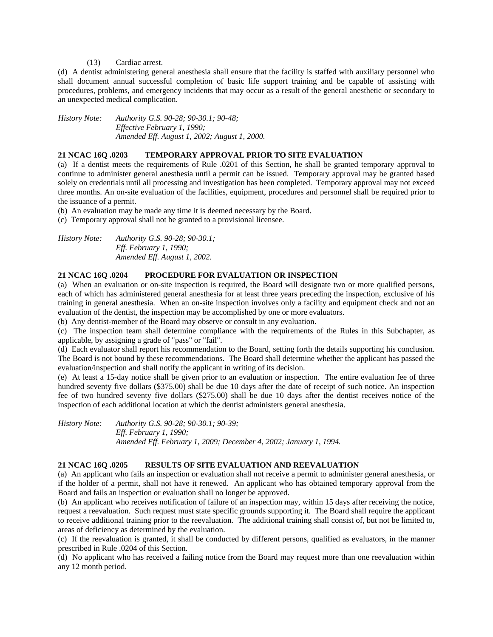## (13) Cardiac arrest.

(d) A dentist administering general anesthesia shall ensure that the facility is staffed with auxiliary personnel who shall document annual successful completion of basic life support training and be capable of assisting with procedures, problems, and emergency incidents that may occur as a result of the general anesthetic or secondary to an unexpected medical complication.

*History Note: Authority G.S. 90-28; 90-30.1; 90-48; Effective February 1, 1990; Amended Eff. August 1, 2002; August 1, 2000.* 

## **21 NCAC 16Q .0203 TEMPORARY APPROVAL PRIOR TO SITE EVALUATION**

(a) If a dentist meets the requirements of Rule .0201 of this Section, he shall be granted temporary approval to continue to administer general anesthesia until a permit can be issued. Temporary approval may be granted based solely on credentials until all processing and investigation has been completed. Temporary approval may not exceed three months. An on-site evaluation of the facilities, equipment, procedures and personnel shall be required prior to the issuance of a permit.

(b) An evaluation may be made any time it is deemed necessary by the Board.

(c) Temporary approval shall not be granted to a provisional licensee.

| <i>History Note:</i> | Authority G.S. 90-28; 90-30.1; |
|----------------------|--------------------------------|
|                      | <i>Eff. February 1, 1990;</i>  |
|                      | Amended Eff. August 1, 2002.   |

## **21 NCAC 16Q .0204 PROCEDURE FOR EVALUATION OR INSPECTION**

(a) When an evaluation or on-site inspection is required, the Board will designate two or more qualified persons, each of which has administered general anesthesia for at least three years preceding the inspection, exclusive of his training in general anesthesia. When an on-site inspection involves only a facility and equipment check and not an evaluation of the dentist, the inspection may be accomplished by one or more evaluators.

(b) Any dentist-member of the Board may observe or consult in any evaluation.

(c) The inspection team shall determine compliance with the requirements of the Rules in this Subchapter, as applicable, by assigning a grade of "pass" or "fail".

(d) Each evaluator shall report his recommendation to the Board, setting forth the details supporting his conclusion. The Board is not bound by these recommendations. The Board shall determine whether the applicant has passed the evaluation/inspection and shall notify the applicant in writing of its decision.

(e) At least a 15-day notice shall be given prior to an evaluation or inspection. The entire evaluation fee of three hundred seventy five dollars (\$375.00) shall be due 10 days after the date of receipt of such notice. An inspection fee of two hundred seventy five dollars (\$275.00) shall be due 10 days after the dentist receives notice of the inspection of each additional location at which the dentist administers general anesthesia.

*History Note: Authority G.S. 90-28; 90-30.1; 90-39; Eff. February 1, 1990; Amended Eff. February 1, 2009; December 4, 2002; January 1, 1994.* 

## **21 NCAC 16Q .0205 RESULTS OF SITE EVALUATION AND REEVALUATION**

(a) An applicant who fails an inspection or evaluation shall not receive a permit to administer general anesthesia, or if the holder of a permit, shall not have it renewed. An applicant who has obtained temporary approval from the Board and fails an inspection or evaluation shall no longer be approved.

(b) An applicant who receives notification of failure of an inspection may, within 15 days after receiving the notice, request a reevaluation. Such request must state specific grounds supporting it. The Board shall require the applicant to receive additional training prior to the reevaluation. The additional training shall consist of, but not be limited to, areas of deficiency as determined by the evaluation.

(c) If the reevaluation is granted, it shall be conducted by different persons, qualified as evaluators, in the manner prescribed in Rule .0204 of this Section.

(d) No applicant who has received a failing notice from the Board may request more than one reevaluation within any 12 month period.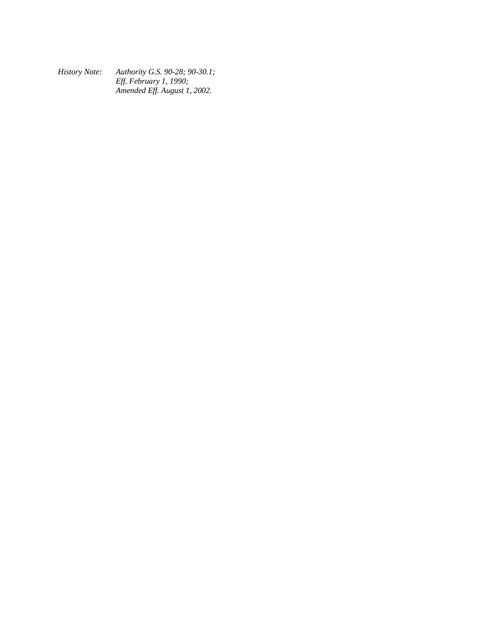*History Note: Authority G.S. 90-28; 90-30.1; Eff. February 1, 1990; Amended Eff. August 1, 2002.*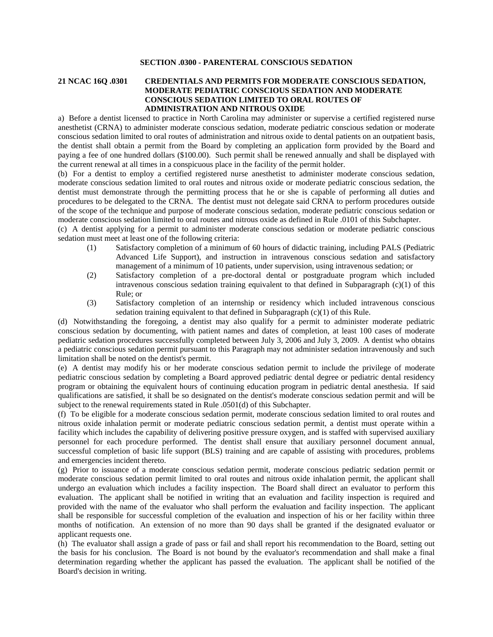## **SECTION .0300 - PARENTERAL CONSCIOUS SEDATION**

## **21 NCAC 16Q .0301 CREDENTIALS AND PERMITS FOR MODERATE CONSCIOUS SEDATION, MODERATE PEDIATRIC CONSCIOUS SEDATION AND MODERATE CONSCIOUS SEDATION LIMITED TO ORAL ROUTES OF ADMINISTRATION AND NITROUS OXIDE**

a) Before a dentist licensed to practice in North Carolina may administer or supervise a certified registered nurse anesthetist (CRNA) to administer moderate conscious sedation, moderate pediatric conscious sedation or moderate conscious sedation limited to oral routes of administration and nitrous oxide to dental patients on an outpatient basis, the dentist shall obtain a permit from the Board by completing an application form provided by the Board and paying a fee of one hundred dollars (\$100.00). Such permit shall be renewed annually and shall be displayed with the current renewal at all times in a conspicuous place in the facility of the permit holder.

(b) For a dentist to employ a certified registered nurse anesthetist to administer moderate conscious sedation, moderate conscious sedation limited to oral routes and nitrous oxide or moderate pediatric conscious sedation, the dentist must demonstrate through the permitting process that he or she is capable of performing all duties and procedures to be delegated to the CRNA. The dentist must not delegate said CRNA to perform procedures outside of the scope of the technique and purpose of moderate conscious sedation, moderate pediatric conscious sedation or moderate conscious sedation limited to oral routes and nitrous oxide as defined in Rule .0101 of this Subchapter.

(c) A dentist applying for a permit to administer moderate conscious sedation or moderate pediatric conscious sedation must meet at least one of the following criteria:

- (1) Satisfactory completion of a minimum of 60 hours of didactic training, including PALS (Pediatric Advanced Life Support), and instruction in intravenous conscious sedation and satisfactory management of a minimum of 10 patients, under supervision, using intravenous sedation; or
- (2) Satisfactory completion of a pre-doctoral dental or postgraduate program which included intravenous conscious sedation training equivalent to that defined in Subparagraph  $(c)(1)$  of this Rule; or
- (3) Satisfactory completion of an internship or residency which included intravenous conscious sedation training equivalent to that defined in Subparagraph (c)(1) of this Rule.

(d) Notwithstanding the foregoing, a dentist may also qualify for a permit to administer moderate pediatric conscious sedation by documenting, with patient names and dates of completion, at least 100 cases of moderate pediatric sedation procedures successfully completed between July 3, 2006 and July 3, 2009. A dentist who obtains a pediatric conscious sedation permit pursuant to this Paragraph may not administer sedation intravenously and such limitation shall be noted on the dentist's permit.

(e) A dentist may modify his or her moderate conscious sedation permit to include the privilege of moderate pediatric conscious sedation by completing a Board approved pediatric dental degree or pediatric dental residency program or obtaining the equivalent hours of continuing education program in pediatric dental anesthesia. If said qualifications are satisfied, it shall be so designated on the dentist's moderate conscious sedation permit and will be subject to the renewal requirements stated in Rule .0501(d) of this Subchapter.

(f) To be eligible for a moderate conscious sedation permit, moderate conscious sedation limited to oral routes and nitrous oxide inhalation permit or moderate pediatric conscious sedation permit, a dentist must operate within a facility which includes the capability of delivering positive pressure oxygen, and is staffed with supervised auxiliary personnel for each procedure performed. The dentist shall ensure that auxiliary personnel document annual, successful completion of basic life support (BLS) training and are capable of assisting with procedures, problems and emergencies incident thereto.

(g) Prior to issuance of a moderate conscious sedation permit, moderate conscious pediatric sedation permit or moderate conscious sedation permit limited to oral routes and nitrous oxide inhalation permit, the applicant shall undergo an evaluation which includes a facility inspection. The Board shall direct an evaluator to perform this evaluation. The applicant shall be notified in writing that an evaluation and facility inspection is required and provided with the name of the evaluator who shall perform the evaluation and facility inspection. The applicant shall be responsible for successful completion of the evaluation and inspection of his or her facility within three months of notification. An extension of no more than 90 days shall be granted if the designated evaluator or applicant requests one.

(h) The evaluator shall assign a grade of pass or fail and shall report his recommendation to the Board, setting out the basis for his conclusion. The Board is not bound by the evaluator's recommendation and shall make a final determination regarding whether the applicant has passed the evaluation. The applicant shall be notified of the Board's decision in writing.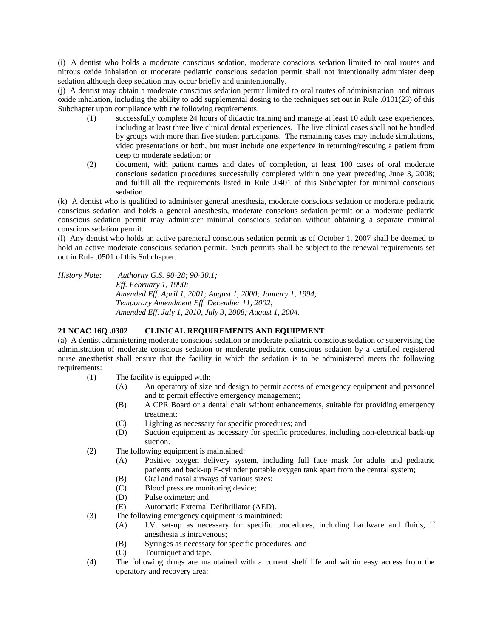(i) A dentist who holds a moderate conscious sedation, moderate conscious sedation limited to oral routes and nitrous oxide inhalation or moderate pediatric conscious sedation permit shall not intentionally administer deep sedation although deep sedation may occur briefly and unintentionally.

(j) A dentist may obtain a moderate conscious sedation permit limited to oral routes of administration and nitrous oxide inhalation, including the ability to add supplemental dosing to the techniques set out in Rule .0101(23) of this Subchapter upon compliance with the following requirements:

- (1) successfully complete 24 hours of didactic training and manage at least 10 adult case experiences, including at least three live clinical dental experiences. The live clinical cases shall not be handled by groups with more than five student participants. The remaining cases may include simulations, video presentations or both, but must include one experience in returning/rescuing a patient from deep to moderate sedation; or
- (2) document, with patient names and dates of completion, at least 100 cases of oral moderate conscious sedation procedures successfully completed within one year preceding June 3, 2008; and fulfill all the requirements listed in Rule .0401 of this Subchapter for minimal conscious sedation.

(k) A dentist who is qualified to administer general anesthesia, moderate conscious sedation or moderate pediatric conscious sedation and holds a general anesthesia, moderate conscious sedation permit or a moderate pediatric conscious sedation permit may administer minimal conscious sedation without obtaining a separate minimal conscious sedation permit.

(l) Any dentist who holds an active parenteral conscious sedation permit as of October 1, 2007 shall be deemed to hold an active moderate conscious sedation permit. Such permits shall be subject to the renewal requirements set out in Rule .0501 of this Subchapter.

*History Note: Authority G.S. 90-28; 90-30.1; Eff. February 1, 1990; Amended Eff. April 1, 2001; August 1, 2000; January 1, 1994; Temporary Amendment Eff. December 11, 2002; Amended Eff. July 1, 2010, July 3, 2008; August 1, 2004.* 

## **21 NCAC 16Q .0302 CLINICAL REQUIREMENTS AND EQUIPMENT**

(a) A dentist administering moderate conscious sedation or moderate pediatric conscious sedation or supervising the administration of moderate conscious sedation or moderate pediatric conscious sedation by a certified registered nurse anesthetist shall ensure that the facility in which the sedation is to be administered meets the following requirements:

- (1) The facility is equipped with:
	- (A) An operatory of size and design to permit access of emergency equipment and personnel and to permit effective emergency management;
	- (B) A CPR Board or a dental chair without enhancements, suitable for providing emergency treatment;
	- (C) Lighting as necessary for specific procedures; and
	- (D) Suction equipment as necessary for specific procedures, including non-electrical back-up suction.
- (2) The following equipment is maintained:
	- (A) Positive oxygen delivery system, including full face mask for adults and pediatric patients and back-up E-cylinder portable oxygen tank apart from the central system;
	- (B) Oral and nasal airways of various sizes;
	- (C) Blood pressure monitoring device;
	- (D) Pulse oximeter; and
	- (E) Automatic External Defibrillator (AED).
- (3) The following emergency equipment is maintained:
	- (A) I.V. set-up as necessary for specific procedures, including hardware and fluids, if anesthesia is intravenous;
	- (B) Syringes as necessary for specific procedures; and
	- (C) Tourniquet and tape.
- (4) The following drugs are maintained with a current shelf life and within easy access from the operatory and recovery area: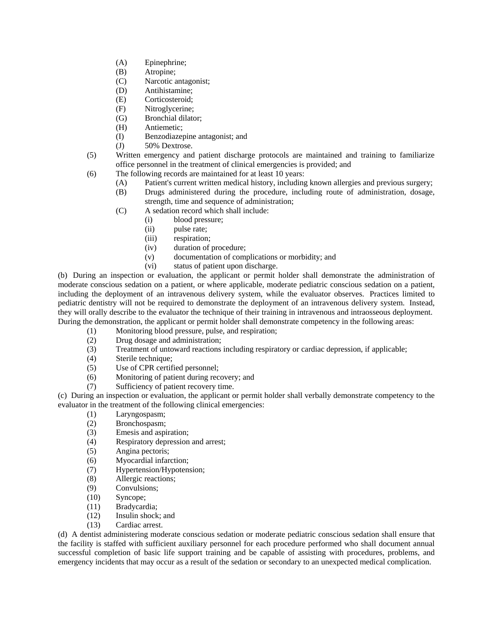- (A) Epinephrine;
- (B) Atropine;
- (C) Narcotic antagonist;
- (D) Antihistamine;
- (E) Corticosteroid;
- (F) Nitroglycerine;
- (G) Bronchial dilator;
- (H) Antiemetic;
- (I) Benzodiazepine antagonist; and
- (J) 50% Dextrose.
- (5) Written emergency and patient discharge protocols are maintained and training to familiarize office personnel in the treatment of clinical emergencies is provided; and
- (6) The following records are maintained for at least 10 years:
	- (A) Patient's current written medical history, including known allergies and previous surgery;
	- (B) Drugs administered during the procedure, including route of administration, dosage, strength, time and sequence of administration;
	- (C) A sedation record which shall include:
		- (i) blood pressure;
		- (ii) pulse rate;
		- (iii) respiration;
		- (iv) duration of procedure;
		- (v) documentation of complications or morbidity; and
		- (vi) status of patient upon discharge.

(b) During an inspection or evaluation, the applicant or permit holder shall demonstrate the administration of moderate conscious sedation on a patient, or where applicable, moderate pediatric conscious sedation on a patient, including the deployment of an intravenous delivery system, while the evaluator observes. Practices limited to pediatric dentistry will not be required to demonstrate the deployment of an intravenous delivery system. Instead, they will orally describe to the evaluator the technique of their training in intravenous and intraosseous deployment. During the demonstration, the applicant or permit holder shall demonstrate competency in the following areas:

- (1) Monitoring blood pressure, pulse, and respiration;
- (2) Drug dosage and administration;
- (3) Treatment of untoward reactions including respiratory or cardiac depression, if applicable;
- (4) Sterile technique;
- (5) Use of CPR certified personnel;
- (6) Monitoring of patient during recovery; and
- (7) Sufficiency of patient recovery time.

(c) During an inspection or evaluation, the applicant or permit holder shall verbally demonstrate competency to the evaluator in the treatment of the following clinical emergencies:

- (1) Laryngospasm;
- (2) Bronchospasm;
- (3) Emesis and aspiration;
- (4) Respiratory depression and arrest;
- (5) Angina pectoris;
- (6) Myocardial infarction;
- (7) Hypertension/Hypotension;
- (8) Allergic reactions;
- (9) Convulsions;<br>(10) Syncope;
- Syncope;
- (11) Bradycardia;
- (12) Insulin shock; and
- (13) Cardiac arrest.

(d) A dentist administering moderate conscious sedation or moderate pediatric conscious sedation shall ensure that the facility is staffed with sufficient auxiliary personnel for each procedure performed who shall document annual successful completion of basic life support training and be capable of assisting with procedures, problems, and emergency incidents that may occur as a result of the sedation or secondary to an unexpected medical complication.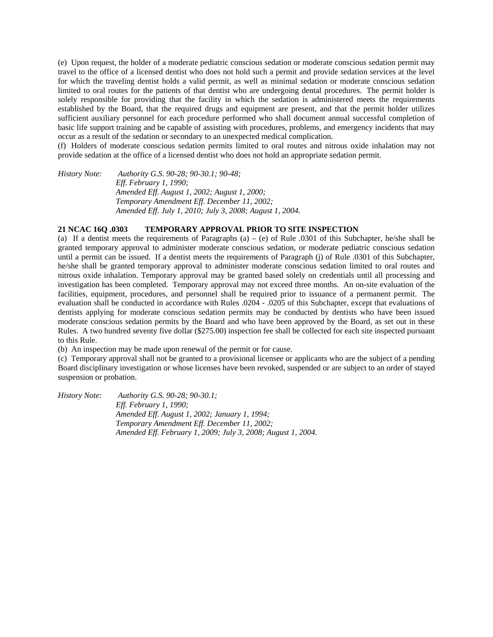(e) Upon request, the holder of a moderate pediatric conscious sedation or moderate conscious sedation permit may travel to the office of a licensed dentist who does not hold such a permit and provide sedation services at the level for which the traveling dentist holds a valid permit, as well as minimal sedation or moderate conscious sedation limited to oral routes for the patients of that dentist who are undergoing dental procedures. The permit holder is solely responsible for providing that the facility in which the sedation is administered meets the requirements established by the Board, that the required drugs and equipment are present, and that the permit holder utilizes sufficient auxiliary personnel for each procedure performed who shall document annual successful completion of basic life support training and be capable of assisting with procedures, problems, and emergency incidents that may occur as a result of the sedation or secondary to an unexpected medical complication.

(f) Holders of moderate conscious sedation permits limited to oral routes and nitrous oxide inhalation may not provide sedation at the office of a licensed dentist who does not hold an appropriate sedation permit.

*History Note: Authority G.S. 90-28; 90-30.1; 90-48; Eff. February 1, 1990; Amended Eff. August 1, 2002; August 1, 2000; Temporary Amendment Eff. December 11, 2002; Amended Eff. July 1, 2010; July 3, 2008; August 1, 2004.* 

#### **21 NCAC 16Q .0303 TEMPORARY APPROVAL PRIOR TO SITE INSPECTION**

(a) If a dentist meets the requirements of Paragraphs  $(a) - (e)$  of Rule .0301 of this Subchapter, he/she shall be granted temporary approval to administer moderate conscious sedation, or moderate pediatric conscious sedation until a permit can be issued. If a dentist meets the requirements of Paragraph (j) of Rule .0301 of this Subchapter, he/she shall be granted temporary approval to administer moderate conscious sedation limited to oral routes and nitrous oxide inhalation. Temporary approval may be granted based solely on credentials until all processing and investigation has been completed. Temporary approval may not exceed three months. An on-site evaluation of the facilities, equipment, procedures, and personnel shall be required prior to issuance of a permanent permit. The evaluation shall be conducted in accordance with Rules .0204 - .0205 of this Subchapter, except that evaluations of dentists applying for moderate conscious sedation permits may be conducted by dentists who have been issued moderate conscious sedation permits by the Board and who have been approved by the Board, as set out in these Rules. A two hundred seventy five dollar (\$275.00) inspection fee shall be collected for each site inspected pursuant to this Rule.

(b) An inspection may be made upon renewal of the permit or for cause.

(c) Temporary approval shall not be granted to a provisional licensee or applicants who are the subject of a pending Board disciplinary investigation or whose licenses have been revoked, suspended or are subject to an order of stayed suspension or probation.

*History Note: Authority G.S. 90-28; 90-30.1; Eff. February 1, 1990; Amended Eff. August 1, 2002; January 1, 1994; Temporary Amendment Eff. December 11, 2002; Amended Eff. February 1, 2009; July 3, 2008; August 1, 2004.*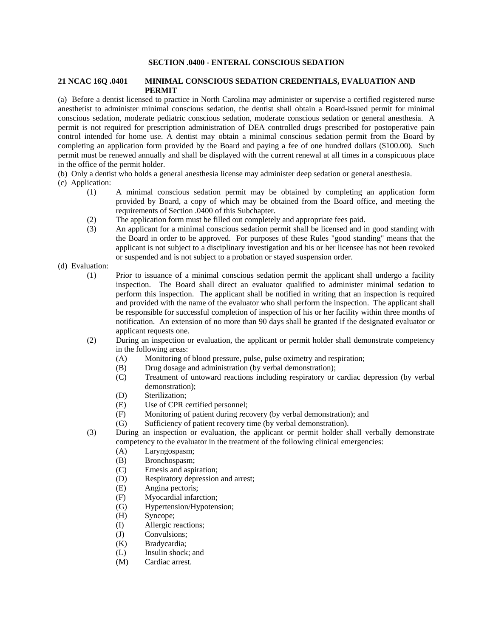## **SECTION .0400 - ENTERAL CONSCIOUS SEDATION**

#### **21 NCAC 16Q .0401 MINIMAL CONSCIOUS SEDATION CREDENTIALS, EVALUATION AND PERMIT**

(a) Before a dentist licensed to practice in North Carolina may administer or supervise a certified registered nurse anesthetist to administer minimal conscious sedation, the dentist shall obtain a Board-issued permit for minimal conscious sedation, moderate pediatric conscious sedation, moderate conscious sedation or general anesthesia. A permit is not required for prescription administration of DEA controlled drugs prescribed for postoperative pain control intended for home use. A dentist may obtain a minimal conscious sedation permit from the Board by completing an application form provided by the Board and paying a fee of one hundred dollars (\$100.00). Such permit must be renewed annually and shall be displayed with the current renewal at all times in a conspicuous place in the office of the permit holder.

(b) Only a dentist who holds a general anesthesia license may administer deep sedation or general anesthesia.

- (c) Application:
	- (1) A minimal conscious sedation permit may be obtained by completing an application form provided by Board, a copy of which may be obtained from the Board office, and meeting the requirements of Section .0400 of this Subchapter.
	- (2) The application form must be filled out completely and appropriate fees paid.
	- (3) An applicant for a minimal conscious sedation permit shall be licensed and in good standing with the Board in order to be approved. For purposes of these Rules "good standing" means that the applicant is not subject to a disciplinary investigation and his or her licensee has not been revoked or suspended and is not subject to a probation or stayed suspension order.
- (d) Evaluation:
	- (1) Prior to issuance of a minimal conscious sedation permit the applicant shall undergo a facility inspection. The Board shall direct an evaluator qualified to administer minimal sedation to perform this inspection. The applicant shall be notified in writing that an inspection is required and provided with the name of the evaluator who shall perform the inspection. The applicant shall be responsible for successful completion of inspection of his or her facility within three months of notification. An extension of no more than 90 days shall be granted if the designated evaluator or applicant requests one.
	- (2) During an inspection or evaluation, the applicant or permit holder shall demonstrate competency in the following areas:
		- (A) Monitoring of blood pressure, pulse, pulse oximetry and respiration;
		- (B) Drug dosage and administration (by verbal demonstration);
		- (C) Treatment of untoward reactions including respiratory or cardiac depression (by verbal demonstration);
		- (D) Sterilization;
		- (E) Use of CPR certified personnel;
		- (F) Monitoring of patient during recovery (by verbal demonstration); and
		- (G) Sufficiency of patient recovery time (by verbal demonstration).
	- (3) During an inspection or evaluation, the applicant or permit holder shall verbally demonstrate competency to the evaluator in the treatment of the following clinical emergencies:
		- (A) Laryngospasm;
		- (B) Bronchospasm;
		- (C) Emesis and aspiration;
		- (D) Respiratory depression and arrest;
		- (E) Angina pectoris;
		- (F) Myocardial infarction;
		- (G) Hypertension/Hypotension;
		- (H) Syncope;
		- (I) Allergic reactions;
		- (J) Convulsions;
		- (K) Bradycardia;
		- (L) Insulin shock; and
		- (M) Cardiac arrest.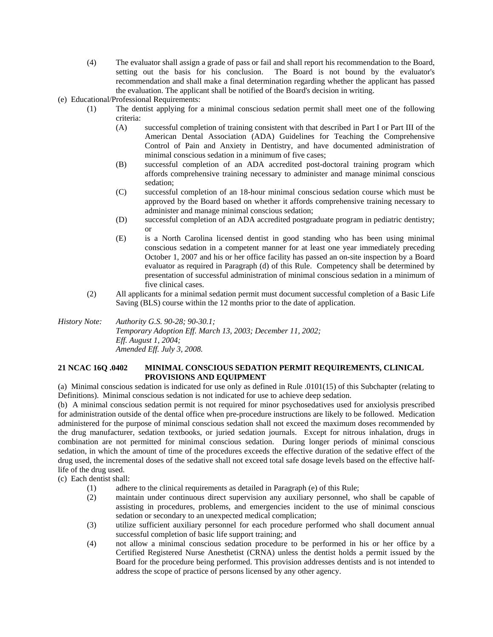- (4) The evaluator shall assign a grade of pass or fail and shall report his recommendation to the Board, setting out the basis for his conclusion. The Board is not bound by the evaluator's recommendation and shall make a final determination regarding whether the applicant has passed the evaluation. The applicant shall be notified of the Board's decision in writing.
- (e) Educational/Professional Requirements:
	- (1) The dentist applying for a minimal conscious sedation permit shall meet one of the following criteria:
		- (A) successful completion of training consistent with that described in Part I or Part III of the American Dental Association (ADA) Guidelines for Teaching the Comprehensive Control of Pain and Anxiety in Dentistry, and have documented administration of minimal conscious sedation in a minimum of five cases;
		- (B) successful completion of an ADA accredited post-doctoral training program which affords comprehensive training necessary to administer and manage minimal conscious sedation;
		- (C) successful completion of an 18-hour minimal conscious sedation course which must be approved by the Board based on whether it affords comprehensive training necessary to administer and manage minimal conscious sedation;
		- (D) successful completion of an ADA accredited postgraduate program in pediatric dentistry; or
		- (E) is a North Carolina licensed dentist in good standing who has been using minimal conscious sedation in a competent manner for at least one year immediately preceding October 1, 2007 and his or her office facility has passed an on-site inspection by a Board evaluator as required in Paragraph (d) of this Rule. Competency shall be determined by presentation of successful administration of minimal conscious sedation in a minimum of five clinical cases.
	- (2) All applicants for a minimal sedation permit must document successful completion of a Basic Life Saving (BLS) course within the 12 months prior to the date of application.

*History Note: Authority G.S. 90-28; 90-30.1; Temporary Adoption Eff. March 13, 2003; December 11, 2002; Eff. August 1, 2004; Amended Eff. July 3, 2008.* 

## **21 NCAC 16Q .0402 MINIMAL CONSCIOUS SEDATION PERMIT REQUIREMENTS, CLINICAL PROVISIONS AND EQUIPMENT**

(a) Minimal conscious sedation is indicated for use only as defined in Rule .0101(15) of this Subchapter (relating to Definitions). Minimal conscious sedation is not indicated for use to achieve deep sedation.

(b) A minimal conscious sedation permit is not required for minor psychosedatives used for anxiolysis prescribed for administration outside of the dental office when pre-procedure instructions are likely to be followed. Medication administered for the purpose of minimal conscious sedation shall not exceed the maximum doses recommended by the drug manufacturer, sedation textbooks, or juried sedation journals. Except for nitrous inhalation, drugs in combination are not permitted for minimal conscious sedation. During longer periods of minimal conscious sedation, in which the amount of time of the procedures exceeds the effective duration of the sedative effect of the drug used, the incremental doses of the sedative shall not exceed total safe dosage levels based on the effective halflife of the drug used.

(c) Each dentist shall:

- (1) adhere to the clinical requirements as detailed in Paragraph (e) of this Rule;
- (2) maintain under continuous direct supervision any auxiliary personnel, who shall be capable of assisting in procedures, problems, and emergencies incident to the use of minimal conscious sedation or secondary to an unexpected medical complication;
- (3) utilize sufficient auxiliary personnel for each procedure performed who shall document annual successful completion of basic life support training; and
- (4) not allow a minimal conscious sedation procedure to be performed in his or her office by a Certified Registered Nurse Anesthetist (CRNA) unless the dentist holds a permit issued by the Board for the procedure being performed. This provision addresses dentists and is not intended to address the scope of practice of persons licensed by any other agency.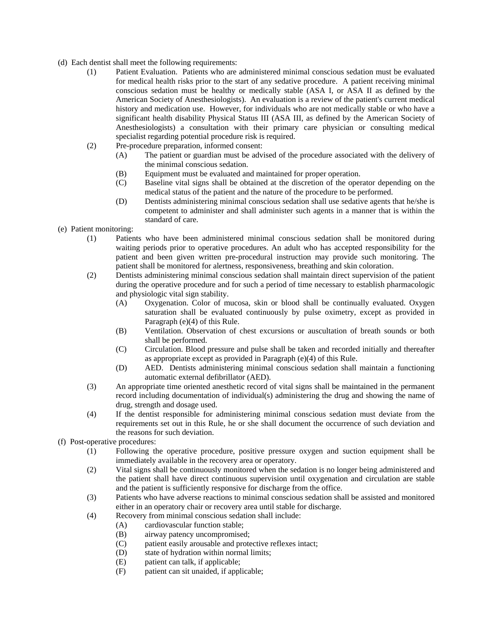- (d) Each dentist shall meet the following requirements:
	- (1) Patient Evaluation. Patients who are administered minimal conscious sedation must be evaluated for medical health risks prior to the start of any sedative procedure. A patient receiving minimal conscious sedation must be healthy or medically stable (ASA I, or ASA II as defined by the American Society of Anesthesiologists). An evaluation is a review of the patient's current medical history and medication use. However, for individuals who are not medically stable or who have a significant health disability Physical Status III (ASA III, as defined by the American Society of Anesthesiologists) a consultation with their primary care physician or consulting medical specialist regarding potential procedure risk is required.
	- (2) Pre-procedure preparation, informed consent:
		- (A) The patient or guardian must be advised of the procedure associated with the delivery of the minimal conscious sedation.
		- (B) Equipment must be evaluated and maintained for proper operation.
		- (C) Baseline vital signs shall be obtained at the discretion of the operator depending on the medical status of the patient and the nature of the procedure to be performed.
		- (D) Dentists administering minimal conscious sedation shall use sedative agents that he/she is competent to administer and shall administer such agents in a manner that is within the standard of care.
- (e) Patient monitoring:
	- (1) Patients who have been administered minimal conscious sedation shall be monitored during waiting periods prior to operative procedures. An adult who has accepted responsibility for the patient and been given written pre-procedural instruction may provide such monitoring. The patient shall be monitored for alertness, responsiveness, breathing and skin coloration.
	- (2) Dentists administering minimal conscious sedation shall maintain direct supervision of the patient during the operative procedure and for such a period of time necessary to establish pharmacologic and physiologic vital sign stability.
		- (A) Oxygenation. Color of mucosa, skin or blood shall be continually evaluated. Oxygen saturation shall be evaluated continuously by pulse oximetry, except as provided in Paragraph (e)(4) of this Rule.
		- (B) Ventilation. Observation of chest excursions or auscultation of breath sounds or both shall be performed.
		- (C) Circulation. Blood pressure and pulse shall be taken and recorded initially and thereafter as appropriate except as provided in Paragraph (e)(4) of this Rule.
		- (D) AED. Dentists administering minimal conscious sedation shall maintain a functioning automatic external defibrillator (AED).
	- (3) An appropriate time oriented anesthetic record of vital signs shall be maintained in the permanent record including documentation of individual(s) administering the drug and showing the name of drug, strength and dosage used.
	- (4) If the dentist responsible for administering minimal conscious sedation must deviate from the requirements set out in this Rule, he or she shall document the occurrence of such deviation and the reasons for such deviation.
- (f) Post-operative procedures:
	- (1) Following the operative procedure, positive pressure oxygen and suction equipment shall be immediately available in the recovery area or operatory.
	- (2) Vital signs shall be continuously monitored when the sedation is no longer being administered and the patient shall have direct continuous supervision until oxygenation and circulation are stable and the patient is sufficiently responsive for discharge from the office.
	- (3) Patients who have adverse reactions to minimal conscious sedation shall be assisted and monitored either in an operatory chair or recovery area until stable for discharge.
	- (4) Recovery from minimal conscious sedation shall include:
		- (A) cardiovascular function stable;
		- (B) airway patency uncompromised;
		- (C) patient easily arousable and protective reflexes intact;
		- (D) state of hydration within normal limits;
		- (E) patient can talk, if applicable;
		- (F) patient can sit unaided, if applicable;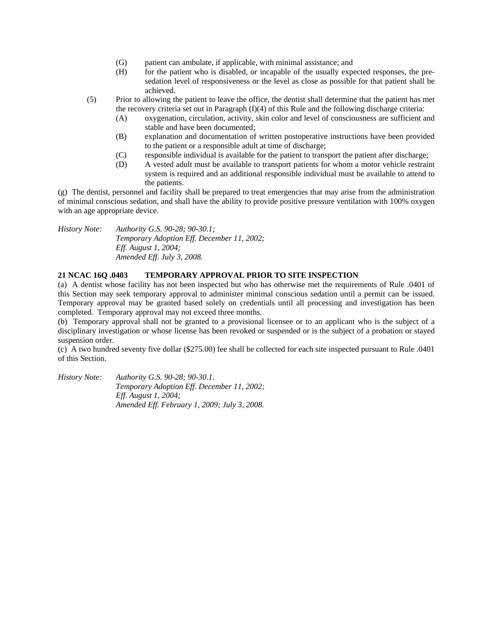- (G) patient can ambulate, if applicable, with minimal assistance; and
- (H) for the patient who is disabled, or incapable of the usually expected responses, the presedation level of responsiveness or the level as close as possible for that patient shall be achieved.
- (5) Prior to allowing the patient to leave the office, the dentist shall determine that the patient has met the recovery criteria set out in Paragraph (f)(4) of this Rule and the following discharge criteria:
	- (A) oxygenation, circulation, activity, skin color and level of consciousness are sufficient and stable and have been documented;
	- (B) explanation and documentation of written postoperative instructions have been provided to the patient or a responsible adult at time of discharge;
	- (C) responsible individual is available for the patient to transport the patient after discharge;
	- (D) A vested adult must be available to transport patients for whom a motor vehicle restraint system is required and an additional responsible individual must be available to attend to the patients.

(g) The dentist, personnel and facility shall be prepared to treat emergencies that may arise from the administration of minimal conscious sedation, and shall have the ability to provide positive pressure ventilation with 100% oxygen with an age appropriate device.

*History Note: Authority G.S. 90-28; 90-30.1; Temporary Adoption Eff. December 11, 2002; Eff. August 1, 2004; Amended Eff. July 3, 2008.* 

# **21 NCAC 16Q .0403 TEMPORARY APPROVAL PRIOR TO SITE INSPECTION**

(a) A dentist whose facility has not been inspected but who has otherwise met the requirements of Rule .0401 of this Section may seek temporary approval to administer minimal conscious sedation until a permit can be issued. Temporary approval may be granted based solely on credentials until all processing and investigation has been completed. Temporary approval may not exceed three months.

(b) Temporary approval shall not be granted to a provisional licensee or to an applicant who is the subject of a disciplinary investigation or whose license has been revoked or suspended or is the subject of a probation or stayed suspension order.

(c) A two hundred seventy five dollar (\$275.00) fee shall be collected for each site inspected pursuant to Rule .0401 of this Section.

*History Note: Authority G.S. 90-28; 90-30.1. Temporary Adoption Eff. December 11, 2002; Eff. August 1, 2004; Amended Eff. February 1, 2009; July 3, 2008.*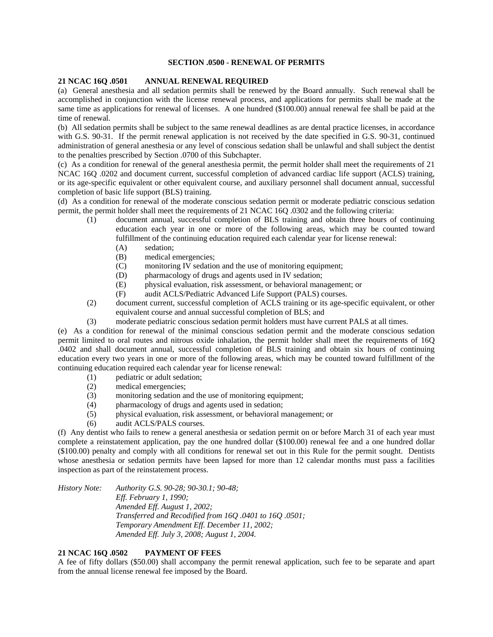## **SECTION .0500 - RENEWAL OF PERMITS**

### **21 NCAC 16Q .0501 ANNUAL RENEWAL REQUIRED**

(a) General anesthesia and all sedation permits shall be renewed by the Board annually. Such renewal shall be accomplished in conjunction with the license renewal process, and applications for permits shall be made at the same time as applications for renewal of licenses. A one hundred (\$100.00) annual renewal fee shall be paid at the time of renewal.

(b) All sedation permits shall be subject to the same renewal deadlines as are dental practice licenses, in accordance with G.S. 90-31. If the permit renewal application is not received by the date specified in G.S. 90-31, continued administration of general anesthesia or any level of conscious sedation shall be unlawful and shall subject the dentist to the penalties prescribed by Section .0700 of this Subchapter.

(c) As a condition for renewal of the general anesthesia permit, the permit holder shall meet the requirements of 21 NCAC 16Q .0202 and document current, successful completion of advanced cardiac life support (ACLS) training, or its age-specific equivalent or other equivalent course, and auxiliary personnel shall document annual, successful completion of basic life support (BLS) training.

(d) As a condition for renewal of the moderate conscious sedation permit or moderate pediatric conscious sedation permit, the permit holder shall meet the requirements of 21 NCAC 16Q .0302 and the following criteria:

- (1) document annual, successful completion of BLS training and obtain three hours of continuing education each year in one or more of the following areas, which may be counted toward fulfillment of the continuing education required each calendar year for license renewal:
	- (A) sedation;
	- (B) medical emergencies;
	- (C) monitoring IV sedation and the use of monitoring equipment;
	- (D) pharmacology of drugs and agents used in IV sedation;
	- (E) physical evaluation, risk assessment, or behavioral management; or
	- (F) audit ACLS/Pediatric Advanced Life Support (PALS) courses.
- (2) document current, successful completion of ACLS training or its age-specific equivalent, or other equivalent course and annual successful completion of BLS; and
- (3) moderate pediatric conscious sedation permit holders must have current PALS at all times.

(e) As a condition for renewal of the minimal conscious sedation permit and the moderate conscious sedation permit limited to oral routes and nitrous oxide inhalation, the permit holder shall meet the requirements of 16Q .0402 and shall document annual, successful completion of BLS training and obtain six hours of continuing education every two years in one or more of the following areas, which may be counted toward fulfillment of the continuing education required each calendar year for license renewal:

- (1) pediatric or adult sedation;
- (2) medical emergencies;
- (3) monitoring sedation and the use of monitoring equipment;
- (4) pharmacology of drugs and agents used in sedation;
- (5) physical evaluation, risk assessment, or behavioral management; or
- (6) audit ACLS/PALS courses.

(f) Any dentist who fails to renew a general anesthesia or sedation permit on or before March 31 of each year must complete a reinstatement application, pay the one hundred dollar (\$100.00) renewal fee and a one hundred dollar (\$100.00) penalty and comply with all conditions for renewal set out in this Rule for the permit sought. Dentists whose anesthesia or sedation permits have been lapsed for more than 12 calendar months must pass a facilities inspection as part of the reinstatement process.

*History Note: Authority G.S. 90-28; 90-30.1; 90-48; Eff. February 1, 1990; Amended Eff. August 1, 2002; Transferred and Recodified from 16Q .0401 to 16Q .0501; Temporary Amendment Eff. December 11, 2002; Amended Eff. July 3, 2008; August 1, 2004.* 

# **21 NCAC 16Q .0502 PAYMENT OF FEES**

A fee of fifty dollars (\$50.00) shall accompany the permit renewal application, such fee to be separate and apart from the annual license renewal fee imposed by the Board.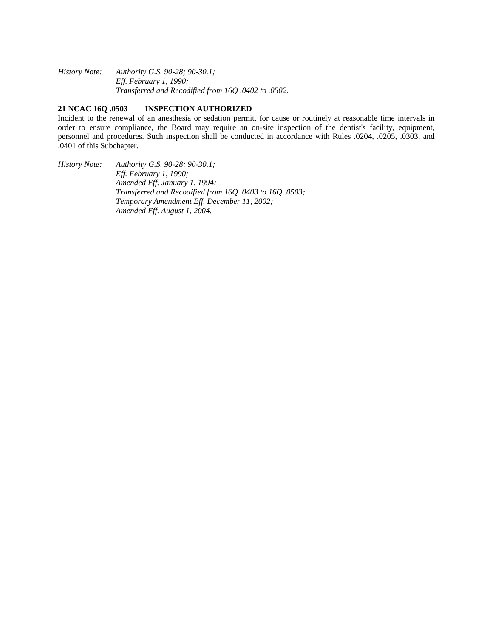*History Note: Authority G.S. 90-28; 90-30.1; Eff. February 1, 1990; Transferred and Recodified from 16Q .0402 to .0502.* 

# **21 NCAC 16Q .0503 INSPECTION AUTHORIZED**

Incident to the renewal of an anesthesia or sedation permit, for cause or routinely at reasonable time intervals in order to ensure compliance, the Board may require an on-site inspection of the dentist's facility, equipment, personnel and procedures. Such inspection shall be conducted in accordance with Rules .0204, .0205, .0303, and .0401 of this Subchapter.

*History Note: Authority G.S. 90-28; 90-30.1; Eff. February 1, 1990; Amended Eff. January 1, 1994; Transferred and Recodified from 16Q .0403 to 16Q .0503; Temporary Amendment Eff. December 11, 2002; Amended Eff. August 1, 2004.*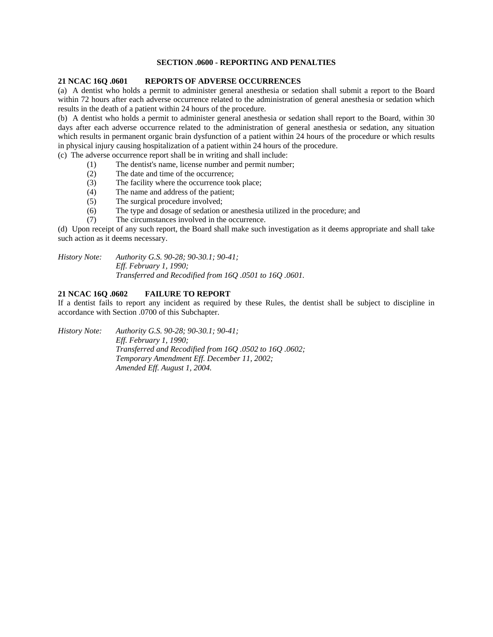## **SECTION .0600 - REPORTING AND PENALTIES**

### **21 NCAC 16Q .0601 REPORTS OF ADVERSE OCCURRENCES**

(a) A dentist who holds a permit to administer general anesthesia or sedation shall submit a report to the Board within 72 hours after each adverse occurrence related to the administration of general anesthesia or sedation which results in the death of a patient within 24 hours of the procedure.

(b) A dentist who holds a permit to administer general anesthesia or sedation shall report to the Board, within 30 days after each adverse occurrence related to the administration of general anesthesia or sedation, any situation which results in permanent organic brain dysfunction of a patient within 24 hours of the procedure or which results in physical injury causing hospitalization of a patient within 24 hours of the procedure.

(c) The adverse occurrence report shall be in writing and shall include:

- (1) The dentist's name, license number and permit number;
- (2) The date and time of the occurrence;
- (3) The facility where the occurrence took place;<br>(4) The name and address of the patient;
- The name and address of the patient;
- (5) The surgical procedure involved;
- (6) The type and dosage of sedation or anesthesia utilized in the procedure; and
- (7) The circumstances involved in the occurrence.

(d) Upon receipt of any such report, the Board shall make such investigation as it deems appropriate and shall take such action as it deems necessary.

*History Note: Authority G.S. 90-28; 90-30.1; 90-41; Eff. February 1, 1990; Transferred and Recodified from 16Q .0501 to 16Q .0601.* 

# **21 NCAC 16Q .0602 FAILURE TO REPORT**

If a dentist fails to report any incident as required by these Rules, the dentist shall be subject to discipline in accordance with Section .0700 of this Subchapter.

*History Note: Authority G.S. 90-28; 90-30.1; 90-41; Eff. February 1, 1990; Transferred and Recodified from 16Q .0502 to 16Q .0602; Temporary Amendment Eff. December 11, 2002; Amended Eff. August 1, 2004.*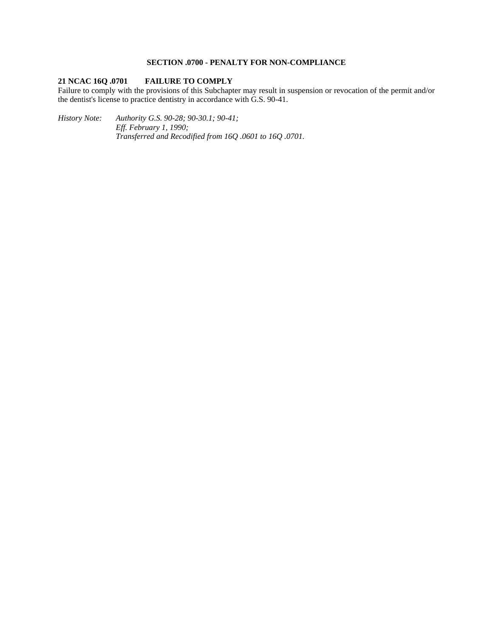# **SECTION .0700 - PENALTY FOR NON-COMPLIANCE**

# **21 NCAC 16Q .0701 FAILURE TO COMPLY**

Failure to comply with the provisions of this Subchapter may result in suspension or revocation of the permit and/or the dentist's license to practice dentistry in accordance with G.S. 90-41.

*History Note: Authority G.S. 90-28; 90-30.1; 90-41; Eff. February 1, 1990; Transferred and Recodified from 16Q .0601 to 16Q .0701.*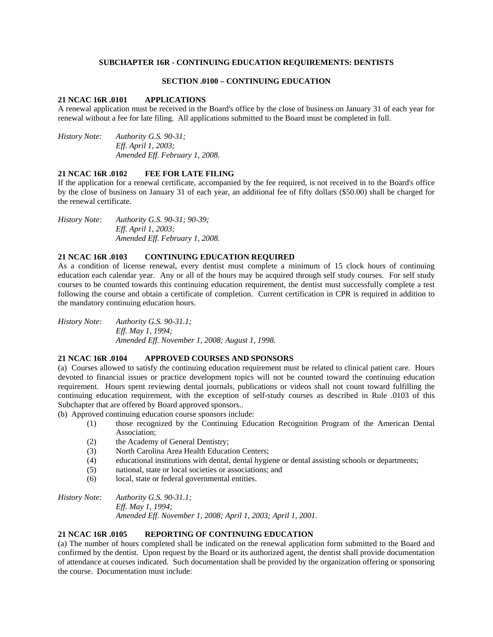## **SUBCHAPTER 16R - CONTINUING EDUCATION REQUIREMENTS: DENTISTS**

### **SECTION .0100 – CONTINUING EDUCATION**

## **21 NCAC 16R .0101 APPLICATIONS**

A renewal application must be received in the Board's office by the close of business on January 31 of each year for renewal without a fee for late filing. All applications submitted to the Board must be completed in full.

*History Note: Authority G.S. 90-31; Eff. April 1, 2003; Amended Eff. February 1, 2008.* 

### **21 NCAC 16R .0102 FEE FOR LATE FILING**

If the application for a renewal certificate, accompanied by the fee required, is not received in to the Board's office by the close of business on January 31 of each year, an additional fee of fifty dollars (\$50.00) shall be charged for the renewal certificate.

*History Note: Authority G.S. 90-31; 90-39; Eff. April 1, 2003; Amended Eff. February 1, 2008.* 

# **21 NCAC 16R .0103 CONTINUING EDUCATION REQUIRED**

As a condition of license renewal, every dentist must complete a minimum of 15 clock hours of continuing education each calendar year. Any or all of the hours may be acquired through self study courses. For self study courses to be counted towards this continuing education requirement, the dentist must successfully complete a test following the course and obtain a certificate of completion. Current certification in CPR is required in addition to the mandatory continuing education hours.

*History Note: Authority G.S. 90-31.1; Eff. May 1, 1994; Amended Eff. November 1, 2008; August 1, 1998.* 

### **21 NCAC 16R .0104 APPROVED COURSES AND SPONSORS**

(a) Courses allowed to satisfy the continuing education requirement must be related to clinical patient care. Hours devoted to financial issues or practice development topics will not be counted toward the continuing education requirement. Hours spent reviewing dental journals, publications or videos shall not count toward fulfilling the continuing education requirement, with the exception of self-study courses as described in Rule .0103 of this Subchapter that are offered by Board approved sponsors..

(b) Approved continuing education course sponsors include:

- (1) those recognized by the Continuing Education Recognition Program of the American Dental Association;
- (2) the Academy of General Dentistry;
- (3) North Carolina Area Health Education Centers;
- (4) educational institutions with dental, dental hygiene or dental assisting schools or departments;
- (5) national, state or local societies or associations; and
- (6) local, state or federal governmental entities.

*History Note: Authority G.S. 90-31.1; Eff. May 1, 1994; Amended Eff. November 1, 2008; April 1, 2003; April 1, 2001.* 

### **21 NCAC 16R .0105 REPORTING OF CONTINUING EDUCATION**

(a) The number of hours completed shall be indicated on the renewal application form submitted to the Board and confirmed by the dentist. Upon request by the Board or its authorized agent, the dentist shall provide documentation of attendance at courses indicated. Such documentation shall be provided by the organization offering or sponsoring the course. Documentation must include: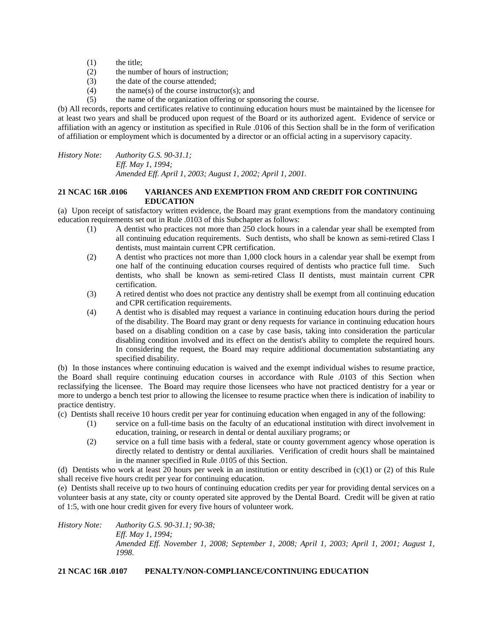- (1) the title;
- (2) the number of hours of instruction;
- (3) the date of the course attended;<br>(4) the name(s) of the course instru
- the name(s) of the course instructor(s); and
- (5) the name of the organization offering or sponsoring the course.

(b) All records, reports and certificates relative to continuing education hours must be maintained by the licensee for at least two years and shall be produced upon request of the Board or its authorized agent. Evidence of service or affiliation with an agency or institution as specified in Rule .0106 of this Section shall be in the form of verification of affiliation or employment which is documented by a director or an official acting in a supervisory capacity.

*History Note: Authority G.S. 90-31.1; Eff. May 1, 1994; Amended Eff. April 1, 2003; August 1, 2002; April 1, 2001.* 

## **21 NCAC 16R .0106 VARIANCES AND EXEMPTION FROM AND CREDIT FOR CONTINUING EDUCATION**

(a) Upon receipt of satisfactory written evidence, the Board may grant exemptions from the mandatory continuing education requirements set out in Rule .0103 of this Subchapter as follows:

- (1) A dentist who practices not more than 250 clock hours in a calendar year shall be exempted from all continuing education requirements. Such dentists, who shall be known as semi-retired Class I dentists, must maintain current CPR certification.
- (2) A dentist who practices not more than 1,000 clock hours in a calendar year shall be exempt from one half of the continuing education courses required of dentists who practice full time. Such dentists, who shall be known as semi-retired Class II dentists, must maintain current CPR certification.
- (3) A retired dentist who does not practice any dentistry shall be exempt from all continuing education and CPR certification requirements.
- (4) A dentist who is disabled may request a variance in continuing education hours during the period of the disability. The Board may grant or deny requests for variance in continuing education hours based on a disabling condition on a case by case basis, taking into consideration the particular disabling condition involved and its effect on the dentist's ability to complete the required hours. In considering the request, the Board may require additional documentation substantiating any specified disability.

(b) In those instances where continuing education is waived and the exempt individual wishes to resume practice, the Board shall require continuing education courses in accordance with Rule .0103 of this Section when reclassifying the licensee. The Board may require those licensees who have not practiced dentistry for a year or more to undergo a bench test prior to allowing the licensee to resume practice when there is indication of inability to practice dentistry.

(c) Dentists shall receive 10 hours credit per year for continuing education when engaged in any of the following:

- (1) service on a full-time basis on the faculty of an educational institution with direct involvement in education, training, or research in dental or dental auxiliary programs; or
- (2) service on a full time basis with a federal, state or county government agency whose operation is directly related to dentistry or dental auxiliaries. Verification of credit hours shall be maintained in the manner specified in Rule .0105 of this Section.

(d) Dentists who work at least 20 hours per week in an institution or entity described in  $(c)(1)$  or (2) of this Rule shall receive five hours credit per year for continuing education.

(e) Dentists shall receive up to two hours of continuing education credits per year for providing dental services on a volunteer basis at any state, city or county operated site approved by the Dental Board. Credit will be given at ratio of 1:5, with one hour credit given for every five hours of volunteer work.

*History Note: Authority G.S. 90-31.1; 90-38; Eff. May 1, 1994; Amended Eff. November 1, 2008; September 1, 2008; April 1, 2003; April 1, 2001; August 1, 1998.* 

# **21 NCAC 16R .0107 PENALTY/NON-COMPLIANCE/CONTINUING EDUCATION**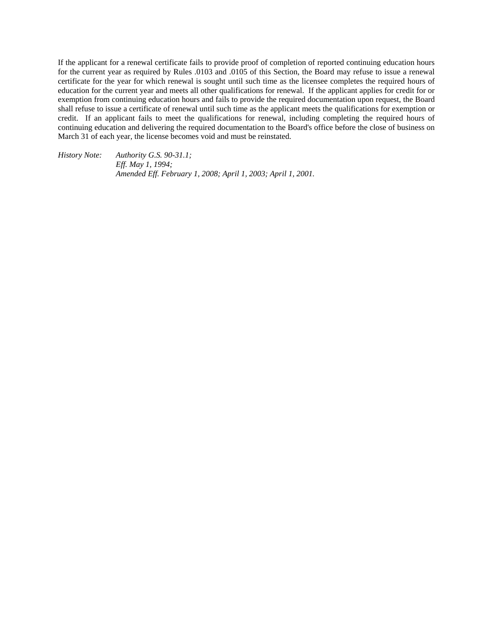If the applicant for a renewal certificate fails to provide proof of completion of reported continuing education hours for the current year as required by Rules .0103 and .0105 of this Section, the Board may refuse to issue a renewal certificate for the year for which renewal is sought until such time as the licensee completes the required hours of education for the current year and meets all other qualifications for renewal. If the applicant applies for credit for or exemption from continuing education hours and fails to provide the required documentation upon request, the Board shall refuse to issue a certificate of renewal until such time as the applicant meets the qualifications for exemption or credit. If an applicant fails to meet the qualifications for renewal, including completing the required hours of continuing education and delivering the required documentation to the Board's office before the close of business on March 31 of each year, the license becomes void and must be reinstated.

*History Note: Authority G.S. 90-31.1; Eff. May 1, 1994; Amended Eff. February 1, 2008; April 1, 2003; April 1, 2001.*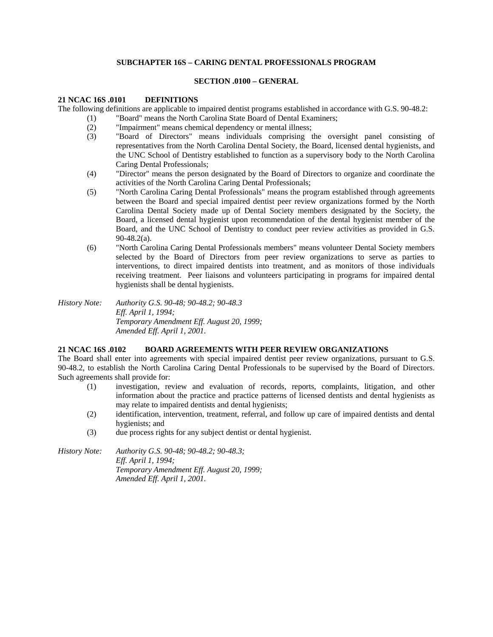# **SUBCHAPTER 16S – CARING DENTAL PROFESSIONALS PROGRAM**

### **SECTION .0100 – GENERAL**

## **21 NCAC 16S .0101 DEFINITIONS**

The following definitions are applicable to impaired dentist programs established in accordance with G.S. 90-48.2:

- (1) "Board" means the North Carolina State Board of Dental Examiners;
- (2) "Impairment" means chemical dependency or mental illness;
- (3) "Board of Directors" means individuals comprising the oversight panel consisting of representatives from the North Carolina Dental Society, the Board, licensed dental hygienists, and the UNC School of Dentistry established to function as a supervisory body to the North Carolina Caring Dental Professionals;
- (4) "Director" means the person designated by the Board of Directors to organize and coordinate the activities of the North Carolina Caring Dental Professionals;
- (5) "North Carolina Caring Dental Professionals" means the program established through agreements between the Board and special impaired dentist peer review organizations formed by the North Carolina Dental Society made up of Dental Society members designated by the Society, the Board, a licensed dental hygienist upon recommendation of the dental hygienist member of the Board, and the UNC School of Dentistry to conduct peer review activities as provided in G.S. 90-48.2(a).
- (6) "North Carolina Caring Dental Professionals members" means volunteer Dental Society members selected by the Board of Directors from peer review organizations to serve as parties to interventions, to direct impaired dentists into treatment, and as monitors of those individuals receiving treatment. Peer liaisons and volunteers participating in programs for impaired dental hygienists shall be dental hygienists.
- *History Note: Authority G.S. 90-48; 90-48.2; 90-48.3 Eff. April 1, 1994; Temporary Amendment Eff. August 20, 1999; Amended Eff. April 1, 2001.*

# **21 NCAC 16S .0102 BOARD AGREEMENTS WITH PEER REVIEW ORGANIZATIONS**

The Board shall enter into agreements with special impaired dentist peer review organizations, pursuant to G.S. 90-48.2, to establish the North Carolina Caring Dental Professionals to be supervised by the Board of Directors. Such agreements shall provide for:

- (1) investigation, review and evaluation of records, reports, complaints, litigation, and other information about the practice and practice patterns of licensed dentists and dental hygienists as may relate to impaired dentists and dental hygienists;
- (2) identification, intervention, treatment, referral, and follow up care of impaired dentists and dental hygienists; and
- (3) due process rights for any subject dentist or dental hygienist.

*History Note: Authority G.S. 90-48; 90-48.2; 90-48.3; Eff. April 1, 1994; Temporary Amendment Eff. August 20, 1999; Amended Eff. April 1, 2001.*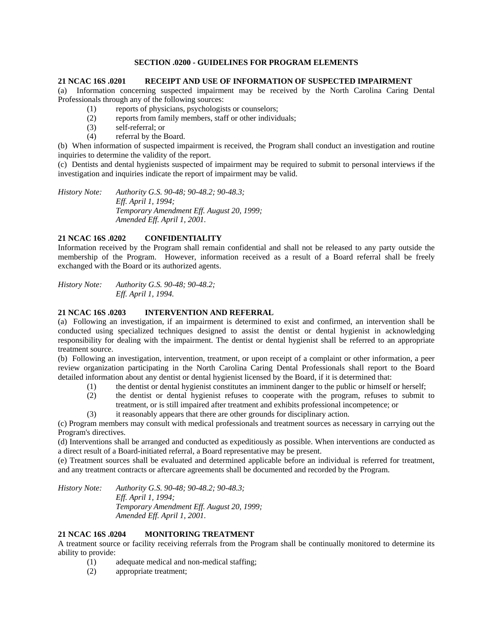## **SECTION .0200 - GUIDELINES FOR PROGRAM ELEMENTS**

### **21 NCAC 16S .0201 RECEIPT AND USE OF INFORMATION OF SUSPECTED IMPAIRMENT**

(a) Information concerning suspected impairment may be received by the North Carolina Caring Dental Professionals through any of the following sources:

- (1) reports of physicians, psychologists or counselors;
- (2) reports from family members, staff or other individuals;
- (3) self-referral; or
- (4) referral by the Board.

(b) When information of suspected impairment is received, the Program shall conduct an investigation and routine inquiries to determine the validity of the report.

(c) Dentists and dental hygienists suspected of impairment may be required to submit to personal interviews if the investigation and inquiries indicate the report of impairment may be valid.

*History Note: Authority G.S. 90-48; 90-48.2; 90-48.3; Eff. April 1, 1994; Temporary Amendment Eff. August 20, 1999; Amended Eff. April 1, 2001.* 

# **21 NCAC 16S .0202 CONFIDENTIALITY**

Information received by the Program shall remain confidential and shall not be released to any party outside the membership of the Program. However, information received as a result of a Board referral shall be freely exchanged with the Board or its authorized agents.

*History Note: Authority G.S. 90-48; 90-48.2; Eff. April 1, 1994.* 

## **21 NCAC 16S .0203 INTERVENTION AND REFERRAL**

(a) Following an investigation, if an impairment is determined to exist and confirmed, an intervention shall be conducted using specialized techniques designed to assist the dentist or dental hygienist in acknowledging responsibility for dealing with the impairment. The dentist or dental hygienist shall be referred to an appropriate treatment source.

(b) Following an investigation, intervention, treatment, or upon receipt of a complaint or other information, a peer review organization participating in the North Carolina Caring Dental Professionals shall report to the Board detailed information about any dentist or dental hygienist licensed by the Board, if it is determined that:

- (1) the dentist or dental hygienist constitutes an imminent danger to the public or himself or herself;
- (2) the dentist or dental hygienist refuses to cooperate with the program, refuses to submit to treatment, or is still impaired after treatment and exhibits professional incompetence; or
- (3) it reasonably appears that there are other grounds for disciplinary action.

(c) Program members may consult with medical professionals and treatment sources as necessary in carrying out the Program's directives.

(d) Interventions shall be arranged and conducted as expeditiously as possible. When interventions are conducted as a direct result of a Board-initiated referral, a Board representative may be present.

(e) Treatment sources shall be evaluated and determined applicable before an individual is referred for treatment, and any treatment contracts or aftercare agreements shall be documented and recorded by the Program.

*History Note: Authority G.S. 90-48; 90-48.2; 90-48.3; Eff. April 1, 1994; Temporary Amendment Eff. August 20, 1999; Amended Eff. April 1, 2001.* 

### **21 NCAC 16S .0204 MONITORING TREATMENT**

A treatment source or facility receiving referrals from the Program shall be continually monitored to determine its ability to provide:

- (1) adequate medical and non-medical staffing;
- (2) appropriate treatment;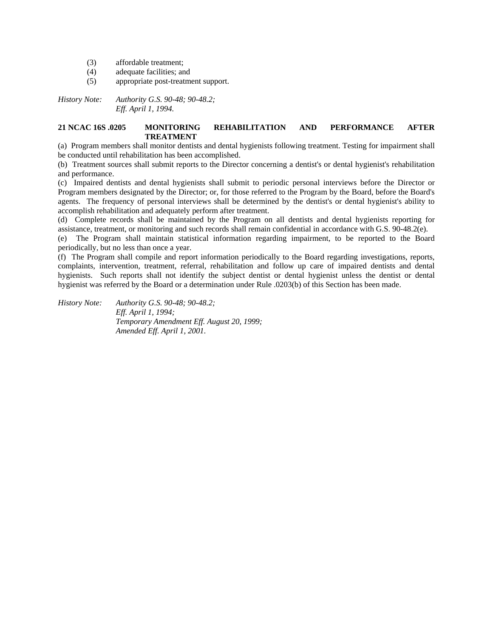- (3) affordable treatment;
- (4) adequate facilities; and
- (5) appropriate post-treatment support.

*History Note: Authority G.S. 90-48; 90-48.2; Eff. April 1, 1994.* 

### **21 NCAC 16S .0205 MONITORING REHABILITATION AND PERFORMANCE AFTER TREATMENT**

(a) Program members shall monitor dentists and dental hygienists following treatment. Testing for impairment shall be conducted until rehabilitation has been accomplished.

(b) Treatment sources shall submit reports to the Director concerning a dentist's or dental hygienist's rehabilitation and performance.

(c) Impaired dentists and dental hygienists shall submit to periodic personal interviews before the Director or Program members designated by the Director; or, for those referred to the Program by the Board, before the Board's agents. The frequency of personal interviews shall be determined by the dentist's or dental hygienist's ability to accomplish rehabilitation and adequately perform after treatment.

(d) Complete records shall be maintained by the Program on all dentists and dental hygienists reporting for assistance, treatment, or monitoring and such records shall remain confidential in accordance with G.S. 90-48.2(e).

(e) The Program shall maintain statistical information regarding impairment, to be reported to the Board periodically, but no less than once a year.

(f) The Program shall compile and report information periodically to the Board regarding investigations, reports, complaints, intervention, treatment, referral, rehabilitation and follow up care of impaired dentists and dental hygienists. Such reports shall not identify the subject dentist or dental hygienist unless the dentist or dental hygienist was referred by the Board or a determination under Rule .0203(b) of this Section has been made.

*History Note: Authority G.S. 90-48; 90-48.2; Eff. April 1, 1994; Temporary Amendment Eff. August 20, 1999; Amended Eff. April 1, 2001.*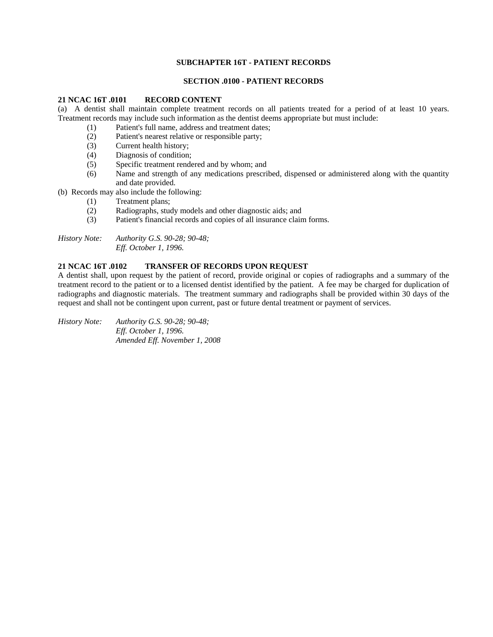# **SUBCHAPTER 16T - PATIENT RECORDS**

### **SECTION .0100 - PATIENT RECORDS**

### **21 NCAC 16T .0101 RECORD CONTENT**

(a) A dentist shall maintain complete treatment records on all patients treated for a period of at least 10 years. Treatment records may include such information as the dentist deems appropriate but must include:

- (1) Patient's full name, address and treatment dates;
- (2) Patient's nearest relative or responsible party;
- (3) Current health history;
- (4) Diagnosis of condition;
- (5) Specific treatment rendered and by whom; and
- (6) Name and strength of any medications prescribed, dispensed or administered along with the quantity and date provided.
- (b) Records may also include the following:
	- (1) Treatment plans;
	- (2) Radiographs, study models and other diagnostic aids; and
	- (3) Patient's financial records and copies of all insurance claim forms.

*History Note: Authority G.S. 90-28; 90-48; Eff. October 1, 1996.* 

# **21 NCAC 16T .0102 TRANSFER OF RECORDS UPON REQUEST**

A dentist shall, upon request by the patient of record, provide original or copies of radiographs and a summary of the treatment record to the patient or to a licensed dentist identified by the patient. A fee may be charged for duplication of radiographs and diagnostic materials. The treatment summary and radiographs shall be provided within 30 days of the request and shall not be contingent upon current, past or future dental treatment or payment of services.

*History Note: Authority G.S. 90-28; 90-48; Eff. October 1, 1996. Amended Eff. November 1, 2008*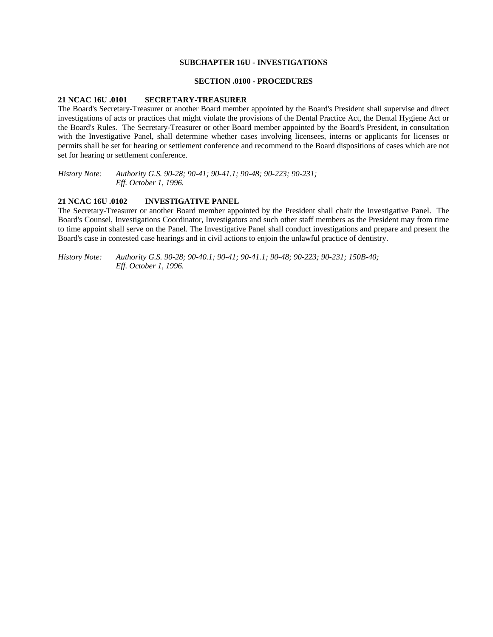### **SUBCHAPTER 16U - INVESTIGATIONS**

### **SECTION .0100 - PROCEDURES**

#### **21 NCAC 16U .0101 SECRETARY-TREASURER**

The Board's Secretary-Treasurer or another Board member appointed by the Board's President shall supervise and direct investigations of acts or practices that might violate the provisions of the Dental Practice Act, the Dental Hygiene Act or the Board's Rules. The Secretary-Treasurer or other Board member appointed by the Board's President, in consultation with the Investigative Panel, shall determine whether cases involving licensees, interns or applicants for licenses or permits shall be set for hearing or settlement conference and recommend to the Board dispositions of cases which are not set for hearing or settlement conference.

*History Note: Authority G.S. 90-28; 90-41; 90-41.1; 90-48; 90-223; 90-231; Eff. October 1, 1996.* 

#### **21 NCAC 16U .0102 INVESTIGATIVE PANEL**

The Secretary-Treasurer or another Board member appointed by the President shall chair the Investigative Panel. The Board's Counsel, Investigations Coordinator, Investigators and such other staff members as the President may from time to time appoint shall serve on the Panel. The Investigative Panel shall conduct investigations and prepare and present the Board's case in contested case hearings and in civil actions to enjoin the unlawful practice of dentistry.

*History Note: Authority G.S. 90-28; 90-40.1; 90-41; 90-41.1; 90-48; 90-223; 90-231; 150B-40; Eff. October 1, 1996.*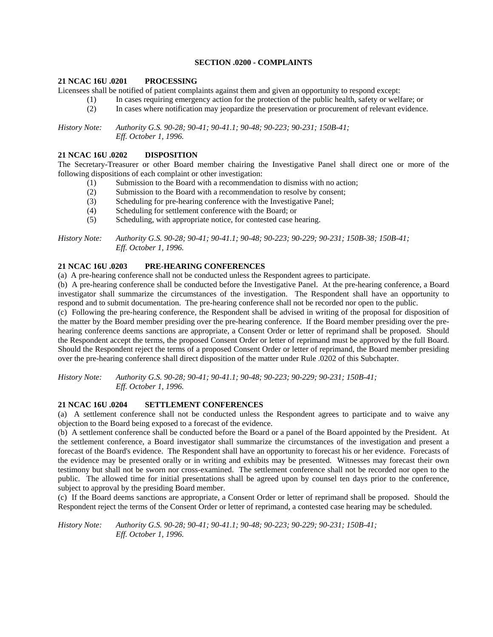## **SECTION .0200 - COMPLAINTS**

## **21 NCAC 16U .0201 PROCESSING**

Licensees shall be notified of patient complaints against them and given an opportunity to respond except:

- (1) In cases requiring emergency action for the protection of the public health, safety or welfare; or
- (2) In cases where notification may jeopardize the preservation or procurement of relevant evidence.

*History Note: Authority G.S. 90-28; 90-41; 90-41.1; 90-48; 90-223; 90-231; 150B-41; Eff. October 1, 1996.* 

# **21 NCAC 16U .0202 DISPOSITION**

The Secretary-Treasurer or other Board member chairing the Investigative Panel shall direct one or more of the following dispositions of each complaint or other investigation:

- (1) Submission to the Board with a recommendation to dismiss with no action;
- (2) Submission to the Board with a recommendation to resolve by consent;
- (3) Scheduling for pre-hearing conference with the Investigative Panel;
- (4) Scheduling for settlement conference with the Board; or
- (5) Scheduling, with appropriate notice, for contested case hearing.

*History Note: Authority G.S. 90-28; 90-41; 90-41.1; 90-48; 90-223; 90-229; 90-231; 150B-38; 150B-41; Eff. October 1, 1996.* 

# **21 NCAC 16U .0203 PRE-HEARING CONFERENCES**

(a) A pre-hearing conference shall not be conducted unless the Respondent agrees to participate.

(b) A pre-hearing conference shall be conducted before the Investigative Panel. At the pre-hearing conference, a Board investigator shall summarize the circumstances of the investigation. The Respondent shall have an opportunity to respond and to submit documentation. The pre-hearing conference shall not be recorded nor open to the public.

(c) Following the pre-hearing conference, the Respondent shall be advised in writing of the proposal for disposition of the matter by the Board member presiding over the pre-hearing conference. If the Board member presiding over the prehearing conference deems sanctions are appropriate, a Consent Order or letter of reprimand shall be proposed. Should the Respondent accept the terms, the proposed Consent Order or letter of reprimand must be approved by the full Board. Should the Respondent reject the terms of a proposed Consent Order or letter of reprimand, the Board member presiding over the pre-hearing conference shall direct disposition of the matter under Rule .0202 of this Subchapter.

*History Note: Authority G.S. 90-28; 90-41; 90-41.1; 90-48; 90-223; 90-229; 90-231; 150B-41; Eff. October 1, 1996.* 

# **21 NCAC 16U .0204 SETTLEMENT CONFERENCES**

(a) A settlement conference shall not be conducted unless the Respondent agrees to participate and to waive any objection to the Board being exposed to a forecast of the evidence.

(b) A settlement conference shall be conducted before the Board or a panel of the Board appointed by the President. At the settlement conference, a Board investigator shall summarize the circumstances of the investigation and present a forecast of the Board's evidence. The Respondent shall have an opportunity to forecast his or her evidence. Forecasts of the evidence may be presented orally or in writing and exhibits may be presented. Witnesses may forecast their own testimony but shall not be sworn nor cross-examined. The settlement conference shall not be recorded nor open to the public. The allowed time for initial presentations shall be agreed upon by counsel ten days prior to the conference, subject to approval by the presiding Board member.

(c) If the Board deems sanctions are appropriate, a Consent Order or letter of reprimand shall be proposed. Should the Respondent reject the terms of the Consent Order or letter of reprimand, a contested case hearing may be scheduled.

*History Note: Authority G.S. 90-28; 90-41; 90-41.1; 90-48; 90-223; 90-229; 90-231; 150B-41; Eff. October 1, 1996.*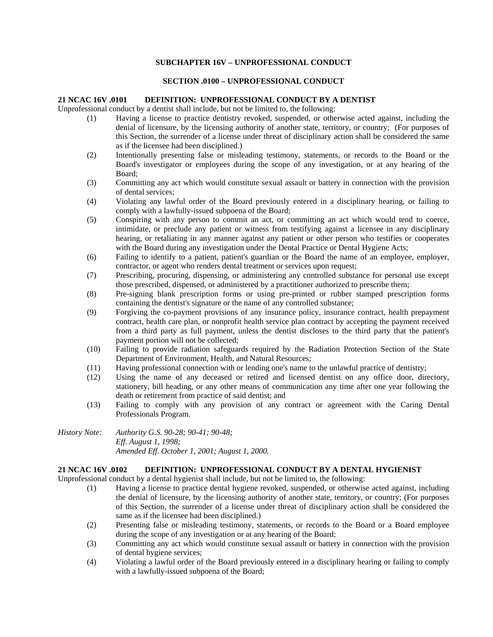## **SUBCHAPTER 16V – UNPROFESSIONAL CONDUCT**

# **SECTION .0100 – UNPROFESSIONAL CONDUCT**

### **21 NCAC 16V .0101 DEFINITION: UNPROFESSIONAL CONDUCT BY A DENTIST**

Unprofessional conduct by a dentist shall include, but not be limited to, the following:

- (1) Having a license to practice dentistry revoked, suspended, or otherwise acted against, including the denial of licensure, by the licensing authority of another state, territory, or country; (For purposes of this Section, the surrender of a license under threat of disciplinary action shall be considered the same as if the licensee had been disciplined.)
- (2) Intentionally presenting false or misleading testimony, statements, or records to the Board or the Board's investigator or employees during the scope of any investigation, or at any hearing of the Board;
- (3) Committing any act which would constitute sexual assault or battery in connection with the provision of dental services;
- (4) Violating any lawful order of the Board previously entered in a disciplinary hearing, or failing to comply with a lawfully-issued subpoena of the Board;
- (5) Conspiring with any person to commit an act, or committing an act which would tend to coerce, intimidate, or preclude any patient or witness from testifying against a licensee in any disciplinary hearing, or retaliating in any manner against any patient or other person who testifies or cooperates with the Board during any investigation under the Dental Practice or Dental Hygiene Acts;
- (6) Failing to identify to a patient, patient's guardian or the Board the name of an employee, employer, contractor, or agent who renders dental treatment or services upon request;
- (7) Prescribing, procuring, dispensing, or administering any controlled substance for personal use except those prescribed, dispensed, or administered by a practitioner authorized to prescribe them;
- (8) Pre-signing blank prescription forms or using pre-printed or rubber stamped prescription forms containing the dentist's signature or the name of any controlled substance;
- (9) Forgiving the co-payment provisions of any insurance policy, insurance contract, health prepayment contract, health care plan, or nonprofit health service plan contract by accepting the payment received from a third party as full payment, unless the dentist discloses to the third party that the patient's payment portion will not be collected;
- (10) Failing to provide radiation safeguards required by the Radiation Protection Section of the State Department of Environment, Health, and Natural Resources;
- (11) Having professional connection with or lending one's name to the unlawful practice of dentistry;
- (12) Using the name of any deceased or retired and licensed dentist on any office door, directory, stationery, bill heading, or any other means of communication any time after one year following the death or retirement from practice of said dentist; and
- (13) Failing to comply with any provision of any contract or agreement with the Caring Dental Professionals Program.

*History Note: Authority G.S. 90-28; 90-41; 90-48; Eff. August 1, 1998; Amended Eff. October 1, 2001; August 1, 2000.* 

### **21 NCAC 16V .0102 DEFINITION: UNPROFESSIONAL CONDUCT BY A DENTAL HYGIENIST**

Unprofessional conduct by a dental hygienist shall include, but not be limited to, the following:

- (1) Having a license to practice dental hygiene revoked, suspended, or otherwise acted against, including the denial of licensure, by the licensing authority of another state, territory, or country; (For purposes of this Section, the surrender of a license under threat of disciplinary action shall be considered the same as if the licensee had been disciplined.)
- (2) Presenting false or misleading testimony, statements, or records to the Board or a Board employee during the scope of any investigation or at any hearing of the Board;
- (3) Committing any act which would constitute sexual assault or battery in connection with the provision of dental hygiene services;
- (4) Violating a lawful order of the Board previously entered in a disciplinary hearing or failing to comply with a lawfully-issued subpoena of the Board;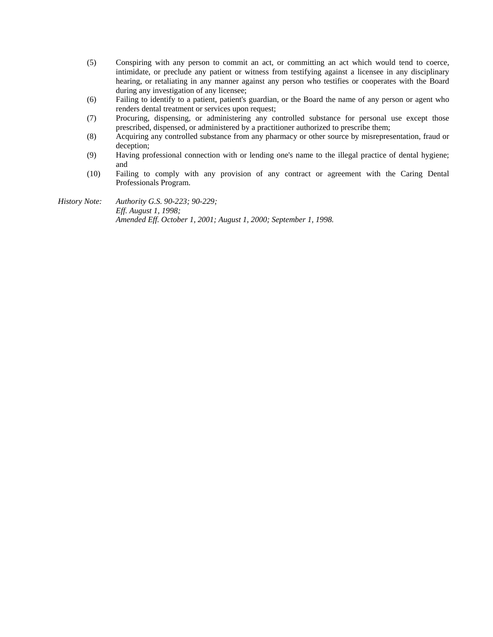- (5) Conspiring with any person to commit an act, or committing an act which would tend to coerce, intimidate, or preclude any patient or witness from testifying against a licensee in any disciplinary hearing, or retaliating in any manner against any person who testifies or cooperates with the Board during any investigation of any licensee;
- (6) Failing to identify to a patient, patient's guardian, or the Board the name of any person or agent who renders dental treatment or services upon request;
- (7) Procuring, dispensing, or administering any controlled substance for personal use except those prescribed, dispensed, or administered by a practitioner authorized to prescribe them;
- (8) Acquiring any controlled substance from any pharmacy or other source by misrepresentation, fraud or deception;
- (9) Having professional connection with or lending one's name to the illegal practice of dental hygiene; and
- (10) Failing to comply with any provision of any contract or agreement with the Caring Dental Professionals Program.

*History Note: Authority G.S. 90-223; 90-229; Eff. August 1, 1998; Amended Eff. October 1, 2001; August 1, 2000; September 1, 1998.*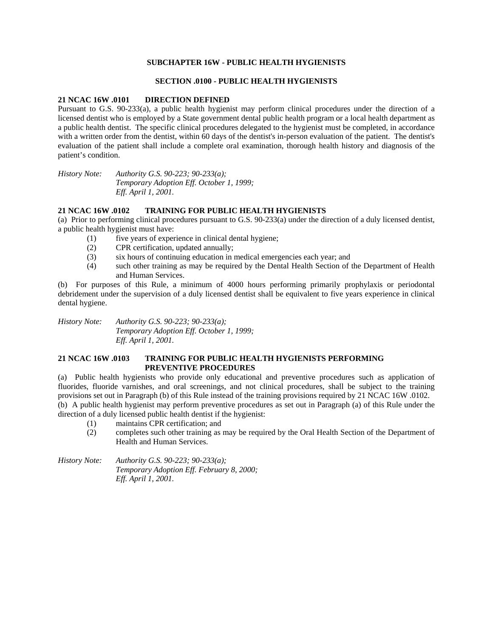### **SUBCHAPTER 16W - PUBLIC HEALTH HYGIENISTS**

### **SECTION .0100 - PUBLIC HEALTH HYGIENISTS**

#### **21 NCAC 16W .0101 DIRECTION DEFINED**

Pursuant to G.S. 90-233(a), a public health hygienist may perform clinical procedures under the direction of a licensed dentist who is employed by a State government dental public health program or a local health department as a public health dentist. The specific clinical procedures delegated to the hygienist must be completed, in accordance with a written order from the dentist, within 60 days of the dentist's in-person evaluation of the patient. The dentist's evaluation of the patient shall include a complete oral examination, thorough health history and diagnosis of the patient's condition.

*History Note: Authority G.S. 90-223; 90-233(a); Temporary Adoption Eff. October 1, 1999; Eff. April 1, 2001.* 

## **21 NCAC 16W .0102 TRAINING FOR PUBLIC HEALTH HYGIENISTS**

(a) Prior to performing clinical procedures pursuant to G.S. 90-233(a) under the direction of a duly licensed dentist, a public health hygienist must have:

- (1) five years of experience in clinical dental hygiene;
- (2) CPR certification, updated annually;
- (3) six hours of continuing education in medical emergencies each year; and
- (4) such other training as may be required by the Dental Health Section of the Department of Health and Human Services.

(b) For purposes of this Rule, a minimum of 4000 hours performing primarily prophylaxis or periodontal debridement under the supervision of a duly licensed dentist shall be equivalent to five years experience in clinical dental hygiene.

*History Note: Authority G.S. 90-223; 90-233(a); Temporary Adoption Eff. October 1, 1999; Eff. April 1, 2001.* 

# **21 NCAC 16W .0103 TRAINING FOR PUBLIC HEALTH HYGIENISTS PERFORMING PREVENTIVE PROCEDURES**

(a) Public health hygienists who provide only educational and preventive procedures such as application of fluorides, fluoride varnishes, and oral screenings, and not clinical procedures, shall be subject to the training provisions set out in Paragraph (b) of this Rule instead of the training provisions required by 21 NCAC 16W .0102. (b) A public health hygienist may perform preventive procedures as set out in Paragraph (a) of this Rule under the direction of a duly licensed public health dentist if the hygienist:

- (1) maintains CPR certification; and
- (2) completes such other training as may be required by the Oral Health Section of the Department of Health and Human Services.

*History Note: Authority G.S. 90-223; 90-233(a); Temporary Adoption Eff. February 8, 2000; Eff. April 1, 2001.*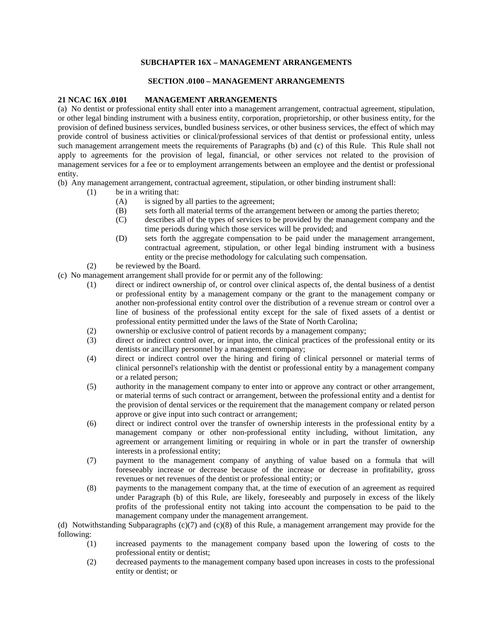# **SUBCHAPTER 16X – MANAGEMENT ARRANGEMENTS**

## **SECTION .0100 – MANAGEMENT ARRANGEMENTS**

## **21 NCAC 16X .0101 MANAGEMENT ARRANGEMENTS**

(a) No dentist or professional entity shall enter into a management arrangement, contractual agreement, stipulation, or other legal binding instrument with a business entity, corporation, proprietorship, or other business entity, for the provision of defined business services, bundled business services, or other business services, the effect of which may provide control of business activities or clinical/professional services of that dentist or professional entity, unless such management arrangement meets the requirements of Paragraphs (b) and (c) of this Rule. This Rule shall not apply to agreements for the provision of legal, financial, or other services not related to the provision of management services for a fee or to employment arrangements between an employee and the dentist or professional entity.

(b) Any management arrangement, contractual agreement, stipulation, or other binding instrument shall:

- (1) be in a writing that:
	- (A) is signed by all parties to the agreement;
	- (B) sets forth all material terms of the arrangement between or among the parties thereto;
	- (C) describes all of the types of services to be provided by the management company and the time periods during which those services will be provided; and
	- (D) sets forth the aggregate compensation to be paid under the management arrangement, contractual agreement, stipulation, or other legal binding instrument with a business entity or the precise methodology for calculating such compensation.
- (2) be reviewed by the Board.
- (c) No management arrangement shall provide for or permit any of the following:
	- (1) direct or indirect ownership of, or control over clinical aspects of, the dental business of a dentist or professional entity by a management company or the grant to the management company or another non-professional entity control over the distribution of a revenue stream or control over a line of business of the professional entity except for the sale of fixed assets of a dentist or professional entity permitted under the laws of the State of North Carolina;
	- (2) ownership or exclusive control of patient records by a management company;
	- (3) direct or indirect control over, or input into, the clinical practices of the professional entity or its dentists or ancillary personnel by a management company;
	- (4) direct or indirect control over the hiring and firing of clinical personnel or material terms of clinical personnel's relationship with the dentist or professional entity by a management company or a related person;
	- (5) authority in the management company to enter into or approve any contract or other arrangement, or material terms of such contract or arrangement, between the professional entity and a dentist for the provision of dental services or the requirement that the management company or related person approve or give input into such contract or arrangement;
	- (6) direct or indirect control over the transfer of ownership interests in the professional entity by a management company or other non-professional entity including, without limitation, any agreement or arrangement limiting or requiring in whole or in part the transfer of ownership interests in a professional entity;
	- (7) payment to the management company of anything of value based on a formula that will foreseeably increase or decrease because of the increase or decrease in profitability, gross revenues or net revenues of the dentist or professional entity; or
	- (8) payments to the management company that, at the time of execution of an agreement as required under Paragraph (b) of this Rule, are likely, foreseeably and purposely in excess of the likely profits of the professional entity not taking into account the compensation to be paid to the management company under the management arrangement.

(d) Notwithstanding Subparagraphs (c)(7) and (c)(8) of this Rule, a management arrangement may provide for the following:

- (1) increased payments to the management company based upon the lowering of costs to the professional entity or dentist;
- (2) decreased payments to the management company based upon increases in costs to the professional entity or dentist; or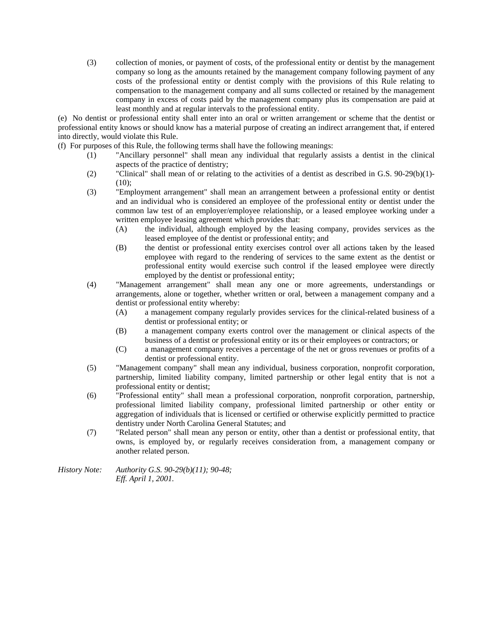(3) collection of monies, or payment of costs, of the professional entity or dentist by the management company so long as the amounts retained by the management company following payment of any costs of the professional entity or dentist comply with the provisions of this Rule relating to compensation to the management company and all sums collected or retained by the management company in excess of costs paid by the management company plus its compensation are paid at least monthly and at regular intervals to the professional entity.

(e) No dentist or professional entity shall enter into an oral or written arrangement or scheme that the dentist or professional entity knows or should know has a material purpose of creating an indirect arrangement that, if entered into directly, would violate this Rule.

(f) For purposes of this Rule, the following terms shall have the following meanings:

- (1) "Ancillary personnel" shall mean any individual that regularly assists a dentist in the clinical aspects of the practice of dentistry;
- (2) "Clinical" shall mean of or relating to the activities of a dentist as described in G.S. 90-29(b)(1)- (10);
- (3) "Employment arrangement" shall mean an arrangement between a professional entity or dentist and an individual who is considered an employee of the professional entity or dentist under the common law test of an employer/employee relationship, or a leased employee working under a written employee leasing agreement which provides that:
	- (A) the individual, although employed by the leasing company, provides services as the leased employee of the dentist or professional entity; and
	- (B) the dentist or professional entity exercises control over all actions taken by the leased employee with regard to the rendering of services to the same extent as the dentist or professional entity would exercise such control if the leased employee were directly employed by the dentist or professional entity;
- (4) "Management arrangement" shall mean any one or more agreements, understandings or arrangements, alone or together, whether written or oral, between a management company and a dentist or professional entity whereby:
	- (A) a management company regularly provides services for the clinical-related business of a dentist or professional entity; or
	- (B) a management company exerts control over the management or clinical aspects of the business of a dentist or professional entity or its or their employees or contractors; or
	- (C) a management company receives a percentage of the net or gross revenues or profits of a dentist or professional entity.
- (5) "Management company" shall mean any individual, business corporation, nonprofit corporation, partnership, limited liability company, limited partnership or other legal entity that is not a professional entity or dentist;
- (6) "Professional entity" shall mean a professional corporation, nonprofit corporation, partnership, professional limited liability company, professional limited partnership or other entity or aggregation of individuals that is licensed or certified or otherwise explicitly permitted to practice dentistry under North Carolina General Statutes; and
- (7) "Related person" shall mean any person or entity, other than a dentist or professional entity, that owns, is employed by, or regularly receives consideration from, a management company or another related person.

*History Note: Authority G.S. 90-29(b)(11); 90-48; Eff. April 1, 2001.*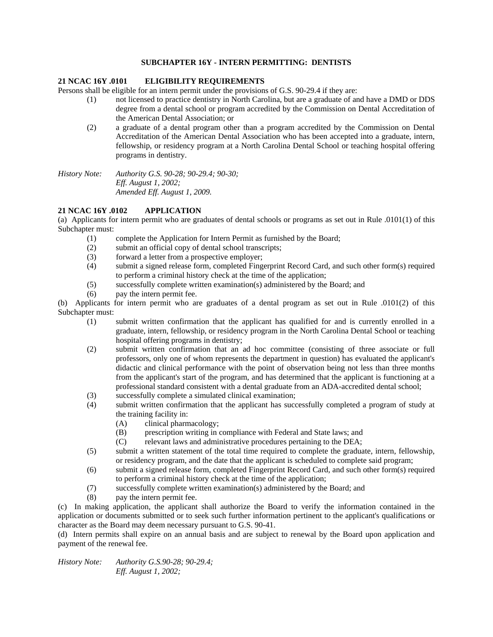### **SUBCHAPTER 16Y - INTERN PERMITTING: DENTISTS**

## **21 NCAC 16Y .0101 ELIGIBILITY REQUIREMENTS**

Persons shall be eligible for an intern permit under the provisions of G.S. 90-29.4 if they are:

- (1) not licensed to practice dentistry in North Carolina, but are a graduate of and have a DMD or DDS degree from a dental school or program accredited by the Commission on Dental Accreditation of the American Dental Association; or
- (2) a graduate of a dental program other than a program accredited by the Commission on Dental Accreditation of the American Dental Association who has been accepted into a graduate, intern, fellowship, or residency program at a North Carolina Dental School or teaching hospital offering programs in dentistry.

*History Note: Authority G.S. 90-28; 90-29.4; 90-30; Eff. August 1, 2002; Amended Eff. August 1, 2009.* 

## **21 NCAC 16Y .0102 APPLICATION**

(a) Applicants for intern permit who are graduates of dental schools or programs as set out in Rule .0101(1) of this Subchapter must:

- (1) complete the Application for Intern Permit as furnished by the Board;
- (2) submit an official copy of dental school transcripts;
- (3) forward a letter from a prospective employer;
- (4) submit a signed release form, completed Fingerprint Record Card, and such other form(s) required to perform a criminal history check at the time of the application;
- (5) successfully complete written examination(s) administered by the Board; and
- (6) pay the intern permit fee.

(b) Applicants for intern permit who are graduates of a dental program as set out in Rule .0101(2) of this Subchapter must:

- (1) submit written confirmation that the applicant has qualified for and is currently enrolled in a graduate, intern, fellowship, or residency program in the North Carolina Dental School or teaching hospital offering programs in dentistry;
- (2) submit written confirmation that an ad hoc committee (consisting of three associate or full professors, only one of whom represents the department in question) has evaluated the applicant's didactic and clinical performance with the point of observation being not less than three months from the applicant's start of the program, and has determined that the applicant is functioning at a professional standard consistent with a dental graduate from an ADA-accredited dental school;
- (3) successfully complete a simulated clinical examination;
- (4) submit written confirmation that the applicant has successfully completed a program of study at the training facility in:
	- (A) clinical pharmacology;
	- (B) prescription writing in compliance with Federal and State laws; and
	- (C) relevant laws and administrative procedures pertaining to the DEA;
- (5) submit a written statement of the total time required to complete the graduate, intern, fellowship, or residency program, and the date that the applicant is scheduled to complete said program;
- (6) submit a signed release form, completed Fingerprint Record Card, and such other form(s) required to perform a criminal history check at the time of the application;
- (7) successfully complete written examination(s) administered by the Board; and
- (8) pay the intern permit fee.

(c) In making application, the applicant shall authorize the Board to verify the information contained in the application or documents submitted or to seek such further information pertinent to the applicant's qualifications or character as the Board may deem necessary pursuant to G.S. 90-41.

(d) Intern permits shall expire on an annual basis and are subject to renewal by the Board upon application and payment of the renewal fee.

*History Note: Authority G.S.90-28; 90-29.4; Eff. August 1, 2002;*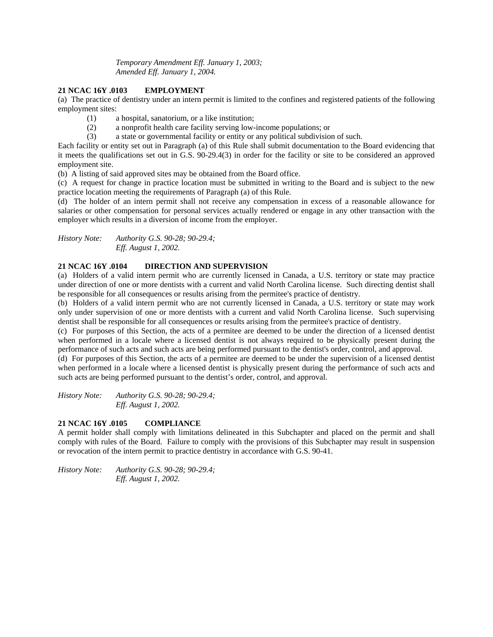*Temporary Amendment Eff. January 1, 2003; Amended Eff. January 1, 2004.* 

# **21 NCAC 16Y .0103 EMPLOYMENT**

(a) The practice of dentistry under an intern permit is limited to the confines and registered patients of the following employment sites:

- (1) a hospital, sanatorium, or a like institution;
- (2) a nonprofit health care facility serving low-income populations; or
- (3) a state or governmental facility or entity or any political subdivision of such.

Each facility or entity set out in Paragraph (a) of this Rule shall submit documentation to the Board evidencing that it meets the qualifications set out in G.S. 90-29.4(3) in order for the facility or site to be considered an approved employment site.

(b) A listing of said approved sites may be obtained from the Board office.

(c) A request for change in practice location must be submitted in writing to the Board and is subject to the new practice location meeting the requirements of Paragraph (a) of this Rule.

(d) The holder of an intern permit shall not receive any compensation in excess of a reasonable allowance for salaries or other compensation for personal services actually rendered or engage in any other transaction with the employer which results in a diversion of income from the employer.

*History Note: Authority G.S. 90-28; 90-29.4; Eff. August 1, 2002.* 

# **21 NCAC 16Y .0104 DIRECTION AND SUPERVISION**

(a) Holders of a valid intern permit who are currently licensed in Canada, a U.S. territory or state may practice under direction of one or more dentists with a current and valid North Carolina license. Such directing dentist shall be responsible for all consequences or results arising from the permitee's practice of dentistry.

(b) Holders of a valid intern permit who are not currently licensed in Canada, a U.S. territory or state may work only under supervision of one or more dentists with a current and valid North Carolina license. Such supervising dentist shall be responsible for all consequences or results arising from the permitee's practice of dentistry.

(c) For purposes of this Section, the acts of a permitee are deemed to be under the direction of a licensed dentist when performed in a locale where a licensed dentist is not always required to be physically present during the performance of such acts and such acts are being performed pursuant to the dentist's order, control, and approval.

(d) For purposes of this Section, the acts of a permitee are deemed to be under the supervision of a licensed dentist when performed in a locale where a licensed dentist is physically present during the performance of such acts and such acts are being performed pursuant to the dentist's order, control, and approval.

*History Note: Authority G.S. 90-28; 90-29.4; Eff. August 1, 2002.* 

# **21 NCAC 16Y .0105 COMPLIANCE**

A permit holder shall comply with limitations delineated in this Subchapter and placed on the permit and shall comply with rules of the Board. Failure to comply with the provisions of this Subchapter may result in suspension or revocation of the intern permit to practice dentistry in accordance with G.S. 90-41.

*History Note: Authority G.S. 90-28; 90-29.4; Eff. August 1, 2002.*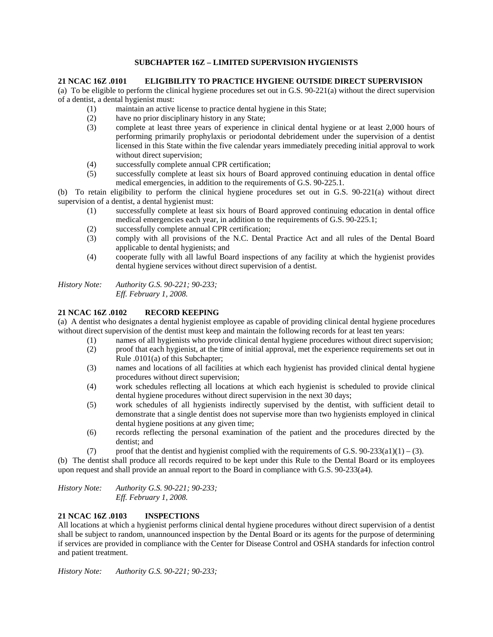## **SUBCHAPTER 16Z – LIMITED SUPERVISION HYGIENISTS**

### **21 NCAC 16Z .0101 ELIGIBILITY TO PRACTICE HYGIENE OUTSIDE DIRECT SUPERVISION**

(a) To be eligible to perform the clinical hygiene procedures set out in G.S. 90-221(a) without the direct supervision of a dentist, a dental hygienist must:

- (1) maintain an active license to practice dental hygiene in this State;
- (2) have no prior disciplinary history in any State;
- (3) complete at least three years of experience in clinical dental hygiene or at least 2,000 hours of performing primarily prophylaxis or periodontal debridement under the supervision of a dentist licensed in this State within the five calendar years immediately preceding initial approval to work without direct supervision;
- (4) successfully complete annual CPR certification;
- (5) successfully complete at least six hours of Board approved continuing education in dental office medical emergencies, in addition to the requirements of G.S. 90-225.1.

(b) To retain eligibility to perform the clinical hygiene procedures set out in G.S. 90-221(a) without direct supervision of a dentist, a dental hygienist must:

- (1) successfully complete at least six hours of Board approved continuing education in dental office medical emergencies each year, in addition to the requirements of G.S. 90-225.1;
- (2) successfully complete annual CPR certification;
- (3) comply with all provisions of the N.C. Dental Practice Act and all rules of the Dental Board applicable to dental hygienists; and
- (4) cooperate fully with all lawful Board inspections of any facility at which the hygienist provides dental hygiene services without direct supervision of a dentist.

*History Note: Authority G.S. 90-221; 90-233; Eff. February 1, 2008.* 

# **21 NCAC 16Z .0102 RECORD KEEPING**

(a) A dentist who designates a dental hygienist employee as capable of providing clinical dental hygiene procedures without direct supervision of the dentist must keep and maintain the following records for at least ten years:

- (1) names of all hygienists who provide clinical dental hygiene procedures without direct supervision;
- (2) proof that each hygienist, at the time of initial approval, met the experience requirements set out in Rule .0101(a) of this Subchapter;
- (3) names and locations of all facilities at which each hygienist has provided clinical dental hygiene procedures without direct supervision;
- (4) work schedules reflecting all locations at which each hygienist is scheduled to provide clinical dental hygiene procedures without direct supervision in the next 30 days;
- (5) work schedules of all hygienists indirectly supervised by the dentist, with sufficient detail to demonstrate that a single dentist does not supervise more than two hygienists employed in clinical dental hygiene positions at any given time;
- (6) records reflecting the personal examination of the patient and the procedures directed by the dentist; and
- (7) proof that the dentist and hygienist complied with the requirements of G.S.  $90-233(a1)(1) (3)$ .

(b) The dentist shall produce all records required to be kept under this Rule to the Dental Board or its employees upon request and shall provide an annual report to the Board in compliance with G.S. 90-233(a4).

*History Note: Authority G.S. 90-221; 90-233; Eff. February 1, 2008.* 

# **21 NCAC 16Z .0103 INSPECTIONS**

All locations at which a hygienist performs clinical dental hygiene procedures without direct supervision of a dentist shall be subject to random, unannounced inspection by the Dental Board or its agents for the purpose of determining if services are provided in compliance with the Center for Disease Control and OSHA standards for infection control and patient treatment.

*History Note: Authority G.S. 90-221; 90-233;*